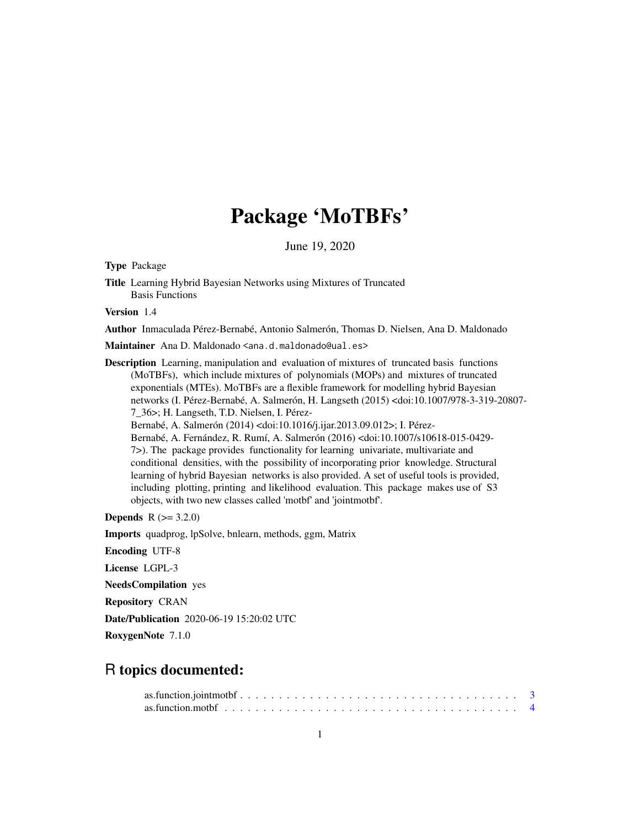# Package 'MoTBFs'

June 19, 2020

<span id="page-0-0"></span>Type Package

Title Learning Hybrid Bayesian Networks using Mixtures of Truncated Basis Functions

Version 1.4

Author Inmaculada Pérez-Bernabé, Antonio Salmerón, Thomas D. Nielsen, Ana D. Maldonado

Maintainer Ana D. Maldonado <ana.d.maldonado@ual.es>

Description Learning, manipulation and evaluation of mixtures of truncated basis functions (MoTBFs), which include mixtures of polynomials (MOPs) and mixtures of truncated exponentials (MTEs). MoTBFs are a flexible framework for modelling hybrid Bayesian networks (I. Pérez-Bernabé, A. Salmerón, H. Langseth (2015) <doi:10.1007/978-3-319-20807- 7\_36>; H. Langseth, T.D. Nielsen, I. Pérez-Bernabé, A. Salmerón (2014) <doi:10.1016/j.ijar.2013.09.012>; I. Pérez-Bernabé, A. Fernández, R. Rumí, A. Salmerón (2016) <doi:10.1007/s10618-015-0429- 7>). The package provides functionality for learning univariate, multivariate and conditional densities, with the possibility of incorporating prior knowledge. Structural learning of hybrid Bayesian networks is also provided. A set of useful tools is provided, including plotting, printing and likelihood evaluation. This package makes use of S3 objects, with two new classes called 'motbf' and 'jointmotbf'.

**Depends** R  $(>= 3.2.0)$ 

Imports quadprog, lpSolve, bnlearn, methods, ggm, Matrix

Encoding UTF-8

License LGPL-3

NeedsCompilation yes

Repository CRAN

Date/Publication 2020-06-19 15:20:02 UTC

RoxygenNote 7.1.0

## R topics documented: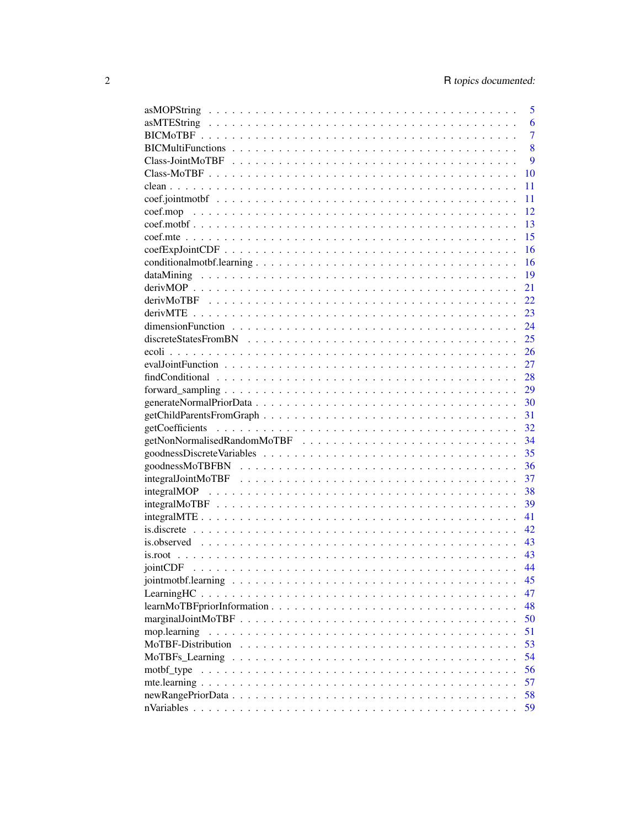|                                                                                                                                                                                                                                                                                                                                                                                                                                                                                                            | 5              |
|------------------------------------------------------------------------------------------------------------------------------------------------------------------------------------------------------------------------------------------------------------------------------------------------------------------------------------------------------------------------------------------------------------------------------------------------------------------------------------------------------------|----------------|
|                                                                                                                                                                                                                                                                                                                                                                                                                                                                                                            | 6              |
|                                                                                                                                                                                                                                                                                                                                                                                                                                                                                                            | $\overline{7}$ |
|                                                                                                                                                                                                                                                                                                                                                                                                                                                                                                            | 8              |
|                                                                                                                                                                                                                                                                                                                                                                                                                                                                                                            | 9              |
|                                                                                                                                                                                                                                                                                                                                                                                                                                                                                                            | 10             |
|                                                                                                                                                                                                                                                                                                                                                                                                                                                                                                            | 11             |
|                                                                                                                                                                                                                                                                                                                                                                                                                                                                                                            | 11             |
|                                                                                                                                                                                                                                                                                                                                                                                                                                                                                                            | 12             |
|                                                                                                                                                                                                                                                                                                                                                                                                                                                                                                            | 13             |
|                                                                                                                                                                                                                                                                                                                                                                                                                                                                                                            | 15             |
|                                                                                                                                                                                                                                                                                                                                                                                                                                                                                                            | 16             |
|                                                                                                                                                                                                                                                                                                                                                                                                                                                                                                            | 16             |
|                                                                                                                                                                                                                                                                                                                                                                                                                                                                                                            | 19             |
|                                                                                                                                                                                                                                                                                                                                                                                                                                                                                                            | 21             |
|                                                                                                                                                                                                                                                                                                                                                                                                                                                                                                            | 22             |
|                                                                                                                                                                                                                                                                                                                                                                                                                                                                                                            | 23             |
|                                                                                                                                                                                                                                                                                                                                                                                                                                                                                                            | 24             |
|                                                                                                                                                                                                                                                                                                                                                                                                                                                                                                            | 25             |
|                                                                                                                                                                                                                                                                                                                                                                                                                                                                                                            | 26             |
|                                                                                                                                                                                                                                                                                                                                                                                                                                                                                                            | 27             |
|                                                                                                                                                                                                                                                                                                                                                                                                                                                                                                            | 28             |
|                                                                                                                                                                                                                                                                                                                                                                                                                                                                                                            | 29             |
|                                                                                                                                                                                                                                                                                                                                                                                                                                                                                                            | 30             |
|                                                                                                                                                                                                                                                                                                                                                                                                                                                                                                            | 31             |
|                                                                                                                                                                                                                                                                                                                                                                                                                                                                                                            | 32             |
|                                                                                                                                                                                                                                                                                                                                                                                                                                                                                                            |                |
|                                                                                                                                                                                                                                                                                                                                                                                                                                                                                                            | 34             |
|                                                                                                                                                                                                                                                                                                                                                                                                                                                                                                            | 35             |
|                                                                                                                                                                                                                                                                                                                                                                                                                                                                                                            | 36             |
|                                                                                                                                                                                                                                                                                                                                                                                                                                                                                                            | 37             |
|                                                                                                                                                                                                                                                                                                                                                                                                                                                                                                            | 38             |
|                                                                                                                                                                                                                                                                                                                                                                                                                                                                                                            | 39             |
|                                                                                                                                                                                                                                                                                                                                                                                                                                                                                                            | 41             |
|                                                                                                                                                                                                                                                                                                                                                                                                                                                                                                            | 42             |
|                                                                                                                                                                                                                                                                                                                                                                                                                                                                                                            | 43             |
|                                                                                                                                                                                                                                                                                                                                                                                                                                                                                                            | 43             |
|                                                                                                                                                                                                                                                                                                                                                                                                                                                                                                            | 44             |
|                                                                                                                                                                                                                                                                                                                                                                                                                                                                                                            | 45             |
|                                                                                                                                                                                                                                                                                                                                                                                                                                                                                                            | 47             |
|                                                                                                                                                                                                                                                                                                                                                                                                                                                                                                            | 48             |
|                                                                                                                                                                                                                                                                                                                                                                                                                                                                                                            | 50             |
| mop.learning                                                                                                                                                                                                                                                                                                                                                                                                                                                                                               | 51             |
|                                                                                                                                                                                                                                                                                                                                                                                                                                                                                                            | 53             |
| $MoTBFs$ Learning $\ldots \ldots \ldots \ldots \ldots \ldots \ldots \ldots \ldots \ldots \ldots \ldots$                                                                                                                                                                                                                                                                                                                                                                                                    | 54             |
| motbf_type<br>$\mathcal{L}_{\mathcal{A}}(\mathcal{A}) = \mathcal{L}_{\mathcal{A}}(\mathcal{A}) = \mathcal{L}_{\mathcal{A}}(\mathcal{A}) = \mathcal{L}_{\mathcal{A}}(\mathcal{A}) = \mathcal{L}_{\mathcal{A}}(\mathcal{A}) = \mathcal{L}_{\mathcal{A}}(\mathcal{A}) = \mathcal{L}_{\mathcal{A}}(\mathcal{A}) = \mathcal{L}_{\mathcal{A}}(\mathcal{A}) = \mathcal{L}_{\mathcal{A}}(\mathcal{A}) = \mathcal{L}_{\mathcal{A}}(\mathcal{A}) = \mathcal{L}_{\mathcal{A}}(\mathcal{A}) = \mathcal{L}_{\mathcal{A$ | 56             |
|                                                                                                                                                                                                                                                                                                                                                                                                                                                                                                            | 57             |
|                                                                                                                                                                                                                                                                                                                                                                                                                                                                                                            | 58             |
|                                                                                                                                                                                                                                                                                                                                                                                                                                                                                                            | 59             |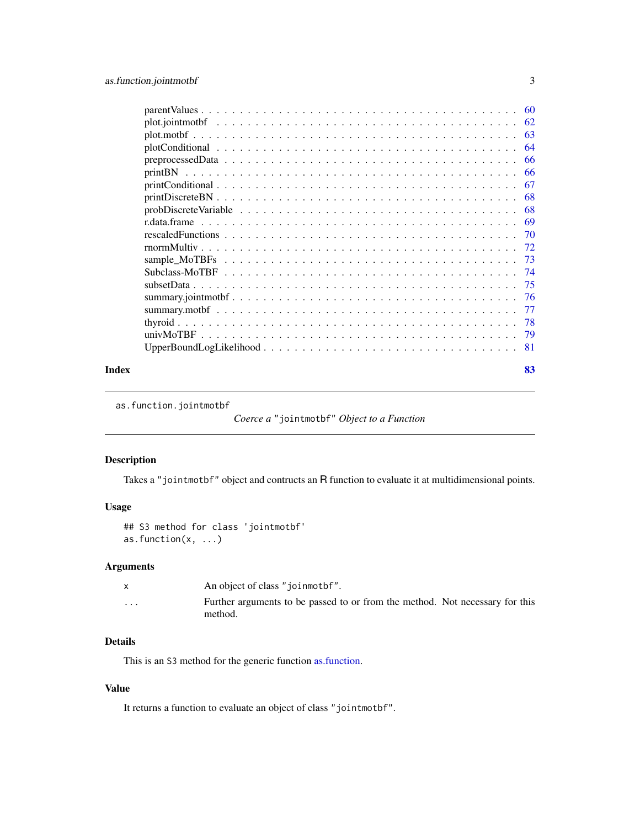<span id="page-2-0"></span>

| Index | 83 |
|-------|----|

as.function.jointmotbf

```
Coerce a "jointmotbf" Object to a Function
```
## Description

Takes a "jointmotbf" object and contructs an R function to evaluate it at multidimensional points.

## Usage

```
## S3 method for class 'jointmotbf'
as.function(x, ...)
```
## Arguments

|                      | An object of class "joinmothen".                                                        |
|----------------------|-----------------------------------------------------------------------------------------|
| $\ddot{\phantom{0}}$ | Further arguments to be passed to or from the method. Not necessary for this<br>method. |

## Details

This is an S3 method for the generic function [as.function.](#page-0-0)

## Value

It returns a function to evaluate an object of class "jointmotbf".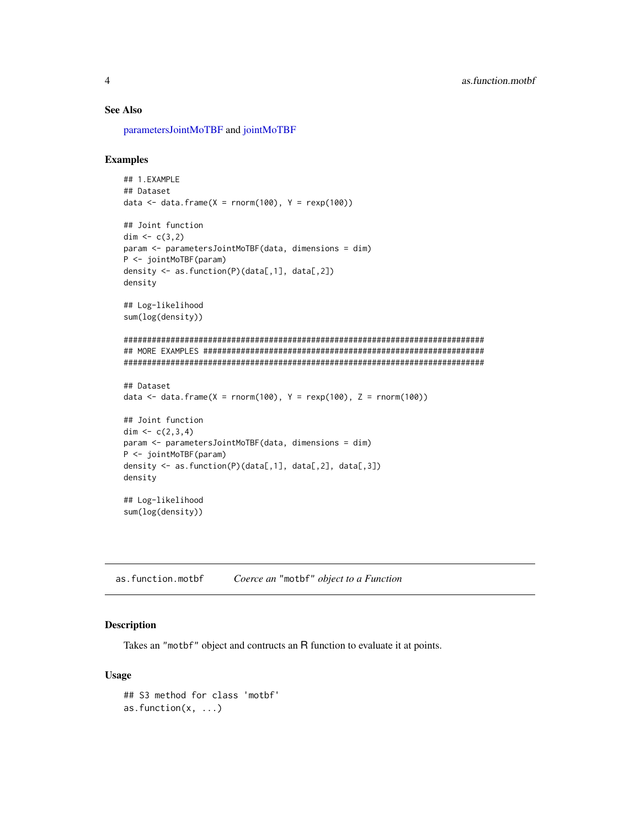## <span id="page-3-0"></span>See Also

[parametersJointMoTBF](#page-44-1) and [jointMoTBF](#page-44-1)

#### Examples

```
## 1.EXAMPLE
## Dataset
data \leq data.frame(X = rnorm(100), Y = rexp(100))
## Joint function
dim <-c(3,2)param <- parametersJointMoTBF(data, dimensions = dim)
P <- jointMoTBF(param)
density <- as.function(P)(data[,1], data[,2])
density
## Log-likelihood
sum(log(density))
#############################################################################
## MORE EXAMPLES ############################################################
#############################################################################
## Dataset
data \le data.frame(X = rnorm(100), Y = rexp(100), Z = rnorm(100))
## Joint function
dim <-c(2,3,4)param <- parametersJointMoTBF(data, dimensions = dim)
P <- jointMoTBF(param)
density <- as.function(P)(data[,1], data[,2], data[,3])
density
## Log-likelihood
sum(log(density))
```
as.function.motbf *Coerce an* "motbf" *object to a Function*

#### Description

Takes an "motbf" object and contructs an R function to evaluate it at points.

#### Usage

```
## S3 method for class 'motbf'
as.function(x, ...)
```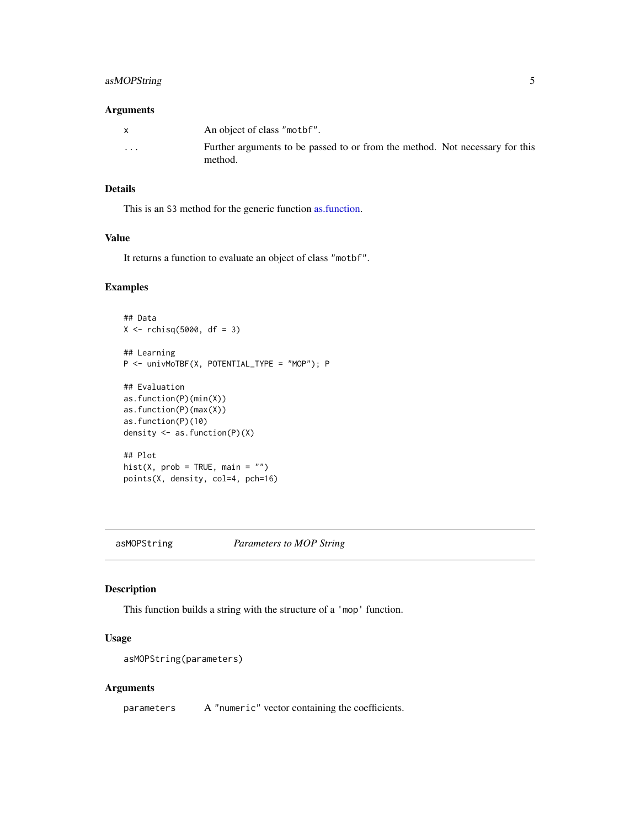## <span id="page-4-0"></span>asMOPString 5

#### Arguments

|          | An object of class "mother".                                                            |
|----------|-----------------------------------------------------------------------------------------|
| $\cdots$ | Further arguments to be passed to or from the method. Not necessary for this<br>method. |

### Details

This is an S3 method for the generic function [as.function.](#page-0-0)

## Value

It returns a function to evaluate an object of class "motbf".

## Examples

```
## Data
X \leftarrow rchisq(5000, df = 3)
## Learning
P <- univMoTBF(X, POTENTIAL_TYPE = "MOP"); P
## Evaluation
as.function(P)(min(X))
as.function(P)(max(X))
as.function(P)(10)
density <- as.function(P)(X)
## Plot
hist(X, prob = TRUE, main = "")
points(X, density, col=4, pch=16)
```
<span id="page-4-1"></span>asMOPString *Parameters to MOP String*

## Description

This function builds a string with the structure of a 'mop' function.

## Usage

```
asMOPString(parameters)
```
#### Arguments

parameters A "numeric" vector containing the coefficients.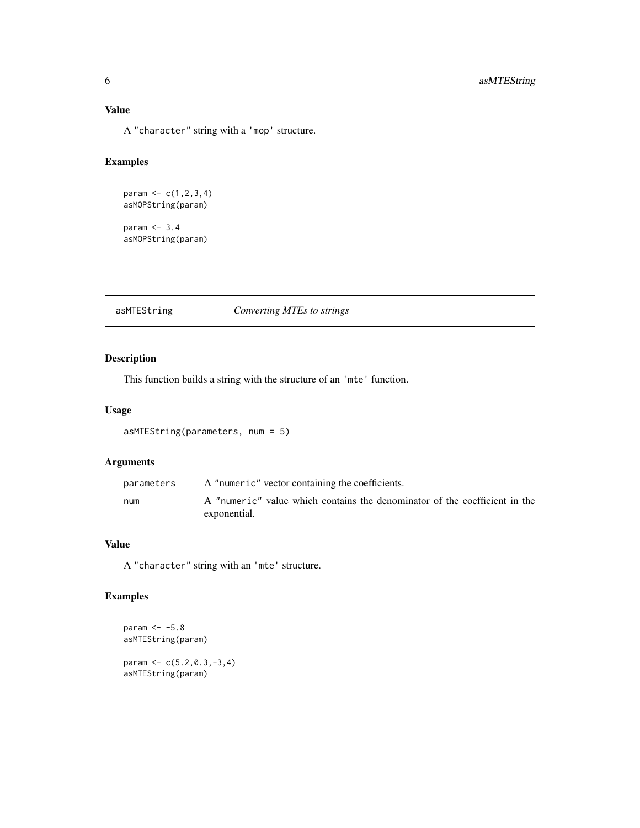<span id="page-5-0"></span>A "character" string with a 'mop' structure.

## Examples

```
param <-c(1, 2, 3, 4)asMOPString(param)
param <- 3.4
asMOPString(param)
```
## <span id="page-5-1"></span>asMTEString *Converting MTEs to strings*

## Description

This function builds a string with the structure of an 'mte' function.

## Usage

```
asMTEString(parameters, num = 5)
```
## Arguments

| parameters | A "numeric" vector containing the coefficients.                                            |
|------------|--------------------------------------------------------------------------------------------|
| num        | A "numeric" value which contains the denominator of the coefficient in the<br>exponential. |

## Value

A "character" string with an 'mte' structure.

## Examples

```
param <-5.8asMTEString(param)
```
param  $<-c(5.2, 0.3, -3, 4)$ asMTEString(param)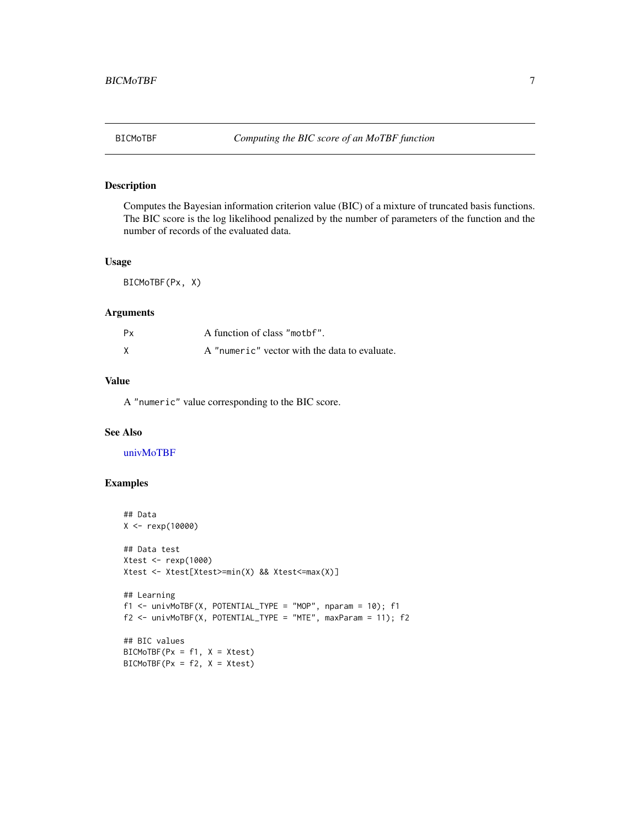## <span id="page-6-0"></span>Description

Computes the Bayesian information criterion value (BIC) of a mixture of truncated basis functions. The BIC score is the log likelihood penalized by the number of parameters of the function and the number of records of the evaluated data.

#### Usage

BICMoTBF(Px, X)

## Arguments

| Рx | A function of class "motbf".                  |
|----|-----------------------------------------------|
|    | A "numeric" vector with the data to evaluate. |

## Value

A "numeric" value corresponding to the BIC score.

## See Also

[univMoTBF](#page-78-1)

```
## Data
X <- rexp(10000)
## Data test
Xtest <- rexp(1000)
Xtest <- Xtest[Xtest>=min(X) && Xtest<=max(X)]
## Learning
f1 <- univMoTBF(X, POTENTIAL_TYPE = "MOP", nparam = 10); f1f2 <- univMoTBF(X, POTENTIAL_TYPE = "MTE", maxParam = 11); f2
## BIC values
BICMoTBF(Px = f1, X = Xtest)BICMoTBF(Px = f2, X = Xtest)
```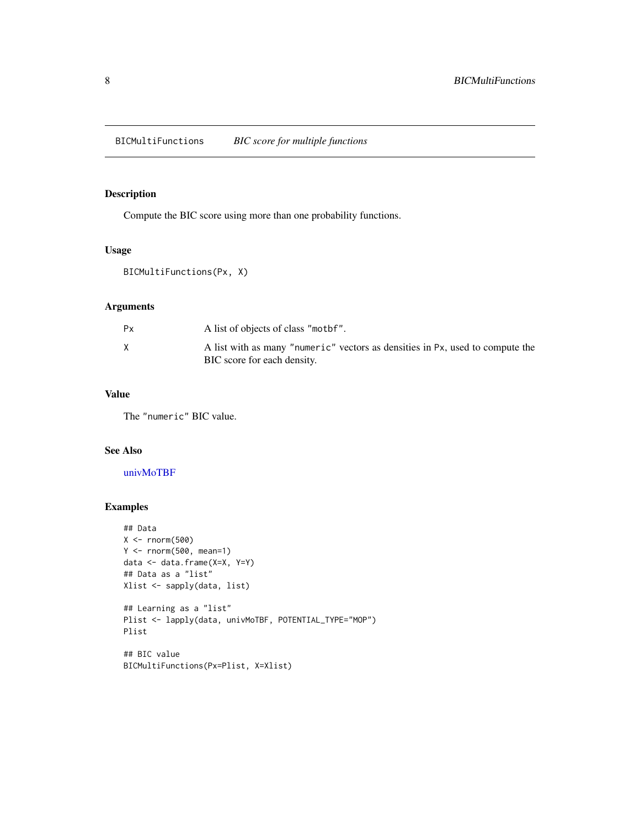<span id="page-7-0"></span>BICMultiFunctions *BIC score for multiple functions*

## Description

Compute the BIC score using more than one probability functions.

## Usage

BICMultiFunctions(Px, X)

## Arguments

| Рx | A list of objects of class "mothen".                                                                         |
|----|--------------------------------------------------------------------------------------------------------------|
|    | A list with as many "numeric" vectors as densities in Px, used to compute the<br>BIC score for each density. |

## Value

The "numeric" BIC value.

### See Also

## [univMoTBF](#page-78-1)

```
## Data
X < - rnorm(500)
Y <- rnorm(500, mean=1)
data <- data.frame(X=X, Y=Y)
## Data as a "list"
Xlist <- sapply(data, list)
## Learning as a "list"
Plist <- lapply(data, univMoTBF, POTENTIAL_TYPE="MOP")
Plist
## BIC value
BICMultiFunctions(Px=Plist, X=Xlist)
```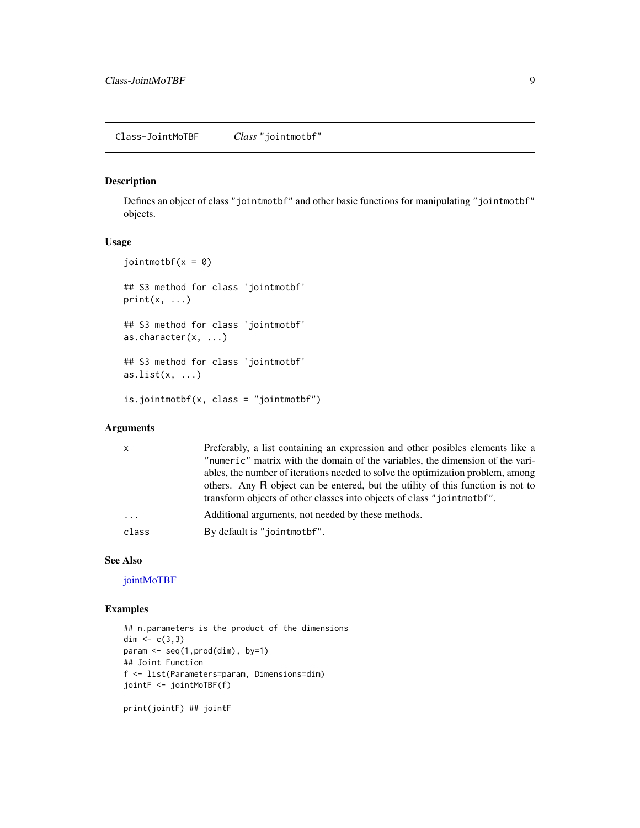#### <span id="page-8-0"></span>Description

Defines an object of class "jointmotbf" and other basic functions for manipulating "jointmotbf" objects.

## Usage

```
jointmotbf(x = 0)
## S3 method for class 'jointmotbf'
print(x, \ldots)## S3 method for class 'jointmotbf'
as.character(x, ...)
## S3 method for class 'jointmotbf'
as.list(x, \ldots)is.jointmotbf(x, class = "jointmotbf")
```
## Arguments

| x        | Preferably, a list containing an expression and other posibles elements like a  |
|----------|---------------------------------------------------------------------------------|
|          | "numeric" matrix with the domain of the variables, the dimension of the vari-   |
|          | ables, the number of iterations needed to solve the optimization problem, among |
|          | others. Any R object can be entered, but the utility of this function is not to |
|          | transform objects of other classes into objects of class "jointmothet".         |
| $\cdots$ | Additional arguments, not needed by these methods.                              |
| class    | By default is "jointmothen".                                                    |
|          |                                                                                 |

#### See Also

[jointMoTBF](#page-44-1)

## Examples

```
## n.parameters is the product of the dimensions
dim <- c(3,3)param <- seq(1,prod(dim), by=1)
## Joint Function
f <- list(Parameters=param, Dimensions=dim)
jointF <- jointMoTBF(f)
```
print(jointF) ## jointF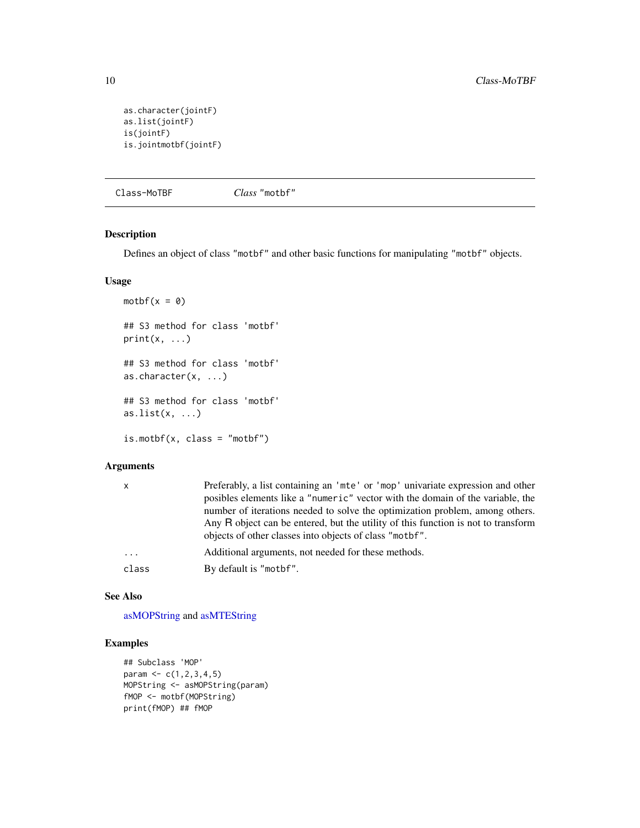```
as.character(jointF)
as.list(jointF)
is(jointF)
is.jointmotbf(jointF)
```
Class-MoTBF *Class* "motbf"

## Description

Defines an object of class "motbf" and other basic functions for manipulating "motbf" objects.

## Usage

```
motbf(x = 0)## S3 method for class 'motbf'
print(x, \ldots)## S3 method for class 'motbf'
as.character(x, ...)
## S3 method for class 'motbf'
as.list(x, \ldots)is.mother(x, class = "mother")
```
## Arguments

| $\mathsf{x}$ | Preferably, a list containing an 'mte' or 'mop' univariate expression and other   |
|--------------|-----------------------------------------------------------------------------------|
|              | posibles elements like a "numeric" vector with the domain of the variable, the    |
|              | number of iterations needed to solve the optimization problem, among others.      |
|              | Any R object can be entered, but the utility of this function is not to transform |
|              | objects of other classes into objects of class "motbf".                           |
| $\cdots$     | Additional arguments, not needed for these methods.                               |
| class        | By default is "motbf".                                                            |
|              |                                                                                   |

#### See Also

[asMOPString](#page-4-1) and [asMTEString](#page-5-1)

```
## Subclass 'MOP'
param <- c(1,2,3,4,5)
MOPString <- asMOPString(param)
fMOP <- motbf(MOPString)
print(fMOP) ## fMOP
```
<span id="page-9-0"></span>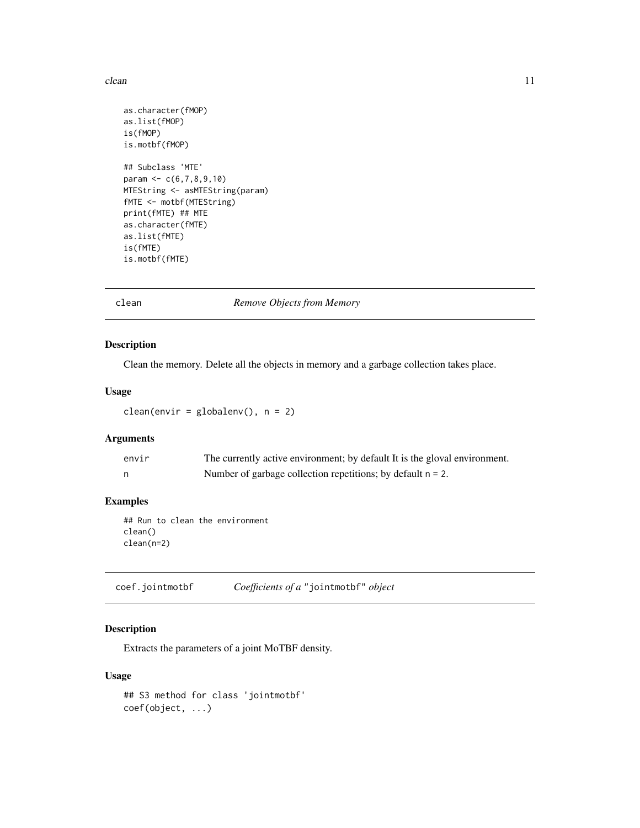#### <span id="page-10-0"></span>clean 11

```
as.character(fMOP)
as.list(fMOP)
is(fMOP)
is.motbf(fMOP)
## Subclass 'MTE'
param <- c(6,7,8,9,10)
MTEString <- asMTEString(param)
fMTE <- motbf(MTEString)
print(fMTE) ## MTE
as.character(fMTE)
as.list(fMTE)
is(fMTE)
is.motbf(fMTE)
```
clean *Remove Objects from Memory*

## Description

Clean the memory. Delete all the objects in memory and a garbage collection takes place.

#### Usage

clean(envir = globalenv(), n = 2)

## Arguments

| envir | The currently active environment; by default It is the gloval environment. |
|-------|----------------------------------------------------------------------------|
|       | Number of garbage collection repetitions; by default $n = 2$ .             |

## Examples

## Run to clean the environment clean() clean(n=2)

coef.jointmotbf *Coefficients of a* "jointmotbf" *object*

## Description

Extracts the parameters of a joint MoTBF density.

#### Usage

## S3 method for class 'jointmotbf' coef(object, ...)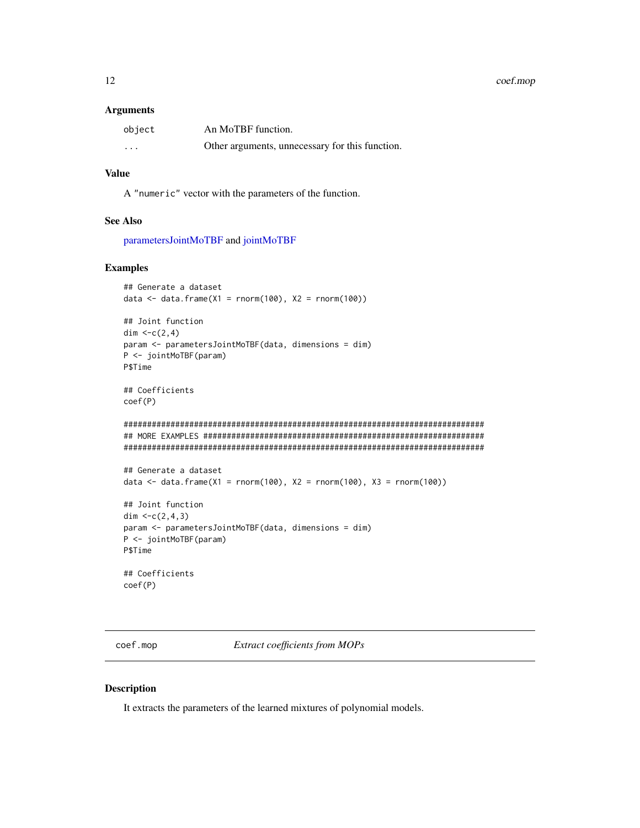#### <span id="page-11-0"></span>Arguments

| object                  | An MoTBF function.                              |
|-------------------------|-------------------------------------------------|
| $\cdot$ $\cdot$ $\cdot$ | Other arguments, unnecessary for this function. |

## Value

A "numeric" vector with the parameters of the function.

#### See Also

[parametersJointMoTBF](#page-44-1) and [jointMoTBF](#page-44-1)

#### Examples

```
## Generate a dataset
data \leq data.frame(X1 = rnorm(100), X2 = rnorm(100))
## Joint function
dim <-c(2,4)param <- parametersJointMoTBF(data, dimensions = dim)
P <- jointMoTBF(param)
P$Time
## Coefficients
coef(P)
#############################################################################
## MORE EXAMPLES ############################################################
#############################################################################
## Generate a dataset
data <- data.frame(X1 = rnorm(100), X2 = rnorm(100), X3 = rnorm(100))
## Joint function
dim <-c(2,4,3)param <- parametersJointMoTBF(data, dimensions = dim)
P <- jointMoTBF(param)
P$Time
## Coefficients
coef(P)
```
coef.mop *Extract coefficients from MOPs*

## <span id="page-11-1"></span>Description

It extracts the parameters of the learned mixtures of polynomial models.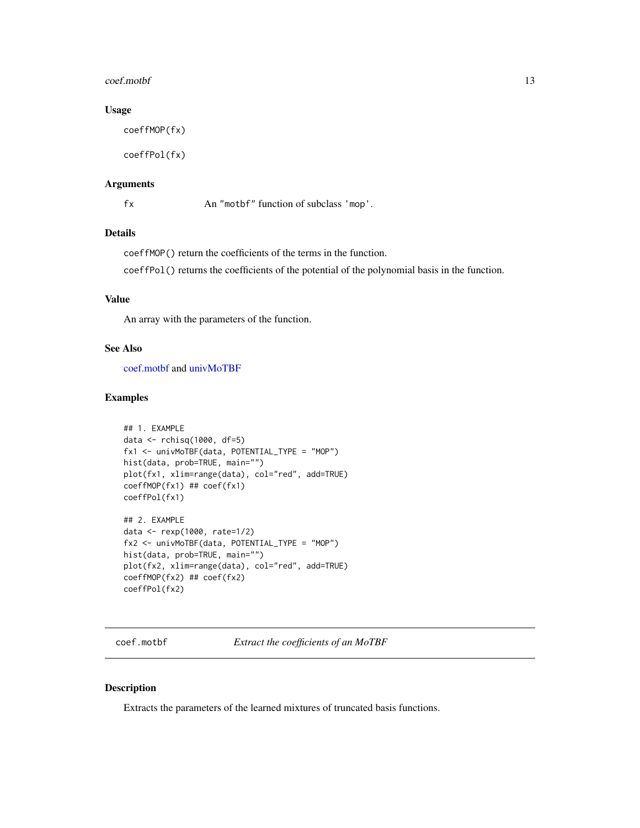#### <span id="page-12-0"></span> $\text{coeff.} \text{motbf}$  13

## Usage

coeffMOP(fx)

coeffPol(fx)

## Arguments

fx An "motbf" function of subclass 'mop'.

## Details

coeffMOP() return the coefficients of the terms in the function.

coeffPol() returns the coefficients of the potential of the polynomial basis in the function.

## Value

An array with the parameters of the function.

#### See Also

[coef.motbf](#page-12-1) and [univMoTBF](#page-78-1)

## Examples

```
## 1. EXAMPLE
data <- rchisq(1000, df=5)
fx1 <- univMoTBF(data, POTENTIAL_TYPE = "MOP")
hist(data, prob=TRUE, main="")
plot(fx1, xlim=range(data), col="red", add=TRUE)
coeffMOP(fx1) ## coef(fx1)
coeffPol(fx1)
## 2. EXAMPLE
data <- rexp(1000, rate=1/2)
fx2 <- univMoTBF(data, POTENTIAL_TYPE = "MOP")
hist(data, prob=TRUE, main="")
plot(fx2, xlim=range(data), col="red", add=TRUE)
coeffMOP(fx2) ## coef(fx2)
coeffPol(fx2)
```
<span id="page-12-1"></span>coef.motbf *Extract the coefficients of an MoTBF*

#### Description

Extracts the parameters of the learned mixtures of truncated basis functions.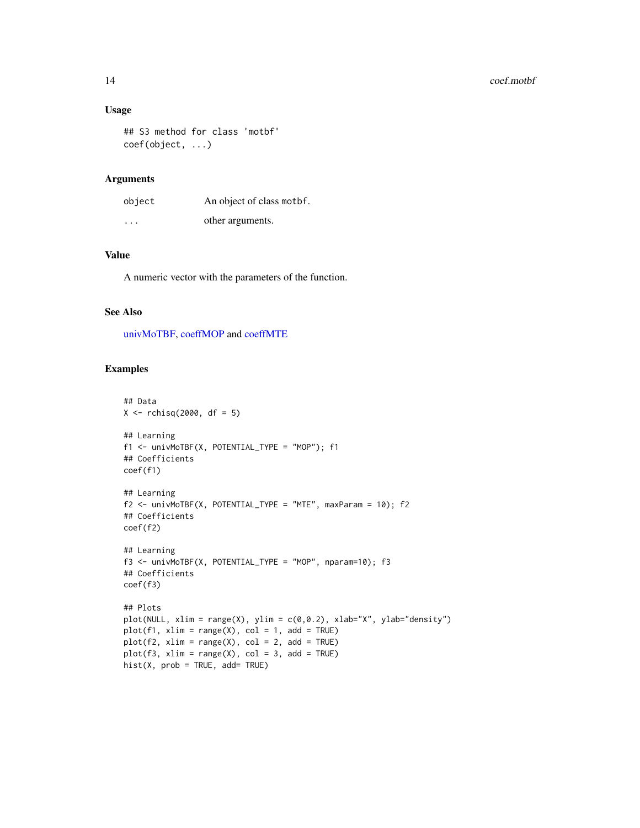## Usage

## S3 method for class 'motbf' coef(object, ...)

#### Arguments

| object  | An object of class mother. |
|---------|----------------------------|
| $\cdot$ | other arguments.           |

## Value

A numeric vector with the parameters of the function.

## See Also

[univMoTBF,](#page-78-1) [coeffMOP](#page-11-1) and [coeffMTE](#page-14-1)

```
## Data
X \leftarrow rchisq(2000, df = 5)
## Learning
f1 <- univMoTBF(X, POTENTIAL_TYPE = "MOP"); f1
## Coefficients
coef(f1)
## Learning
f2 \le - univMoTBF(X, POTENTIAL_TYPE = "MTE", maxParam = 10); f2## Coefficients
coef(f2)
## Learning
f3 <- univMoTBF(X, POTENTIAL_TYPE = "MOP", nparam=10); f3
## Coefficients
coef(f3)
## Plots
plot(NULL, xlim = range(X), ylim = c(0,0.2), xlab="X", ylab="density")
plot(f1, xlim = range(X), col = 1, add = TRUE)plot(f2, xlim = range(X), col = 2, add = TRUE)plot(f3, xlim = range(X), col = 3, add = TRUE)
hist(X, prob = TRUE, add = TRUE)
```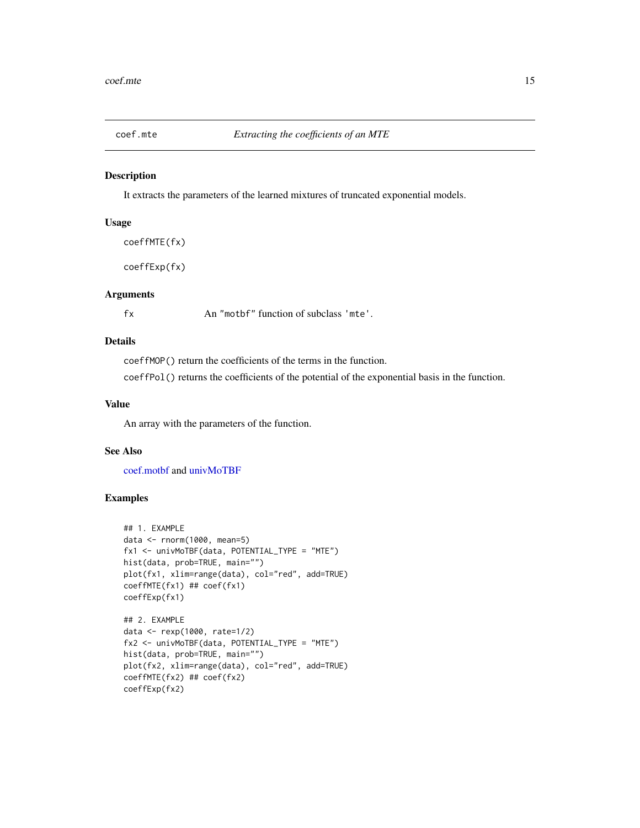<span id="page-14-0"></span>

#### <span id="page-14-1"></span>Description

It extracts the parameters of the learned mixtures of truncated exponential models.

#### Usage

coeffMTE(fx)

coeffExp(fx)

## Arguments

fx An "motbf" function of subclass 'mte'.

## Details

coeffMOP() return the coefficients of the terms in the function.

coeffPol() returns the coefficients of the potential of the exponential basis in the function.

## Value

An array with the parameters of the function.

### See Also

[coef.motbf](#page-12-1) and [univMoTBF](#page-78-1)

```
## 1. EXAMPLE
data <- rnorm(1000, mean=5)
fx1 <- univMoTBF(data, POTENTIAL_TYPE = "MTE")
hist(data, prob=TRUE, main="")
plot(fx1, xlim=range(data), col="red", add=TRUE)
coeffMTE(fx1) ## coef(fx1)
coeffExp(fx1)
## 2. EXAMPLE
data <- rexp(1000, rate=1/2)
fx2 <- univMoTBF(data, POTENTIAL_TYPE = "MTE")
hist(data, prob=TRUE, main="")
plot(fx2, xlim=range(data), col="red", add=TRUE)
coeffMTE(fx2) ## coef(fx2)
coeffExp(fx2)
```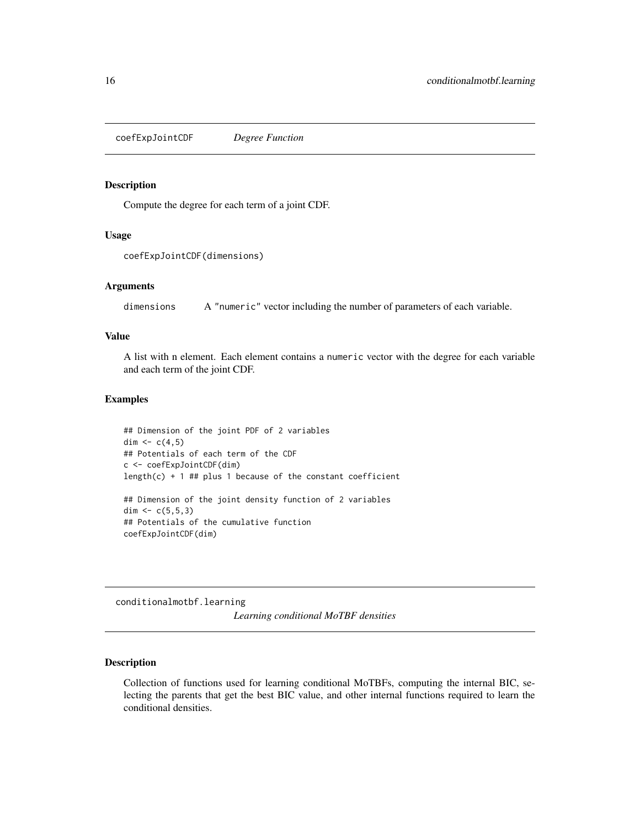<span id="page-15-0"></span>coefExpJointCDF *Degree Function*

#### Description

Compute the degree for each term of a joint CDF.

## Usage

```
coefExpJointCDF(dimensions)
```
#### Arguments

dimensions A "numeric" vector including the number of parameters of each variable.

## Value

A list with n element. Each element contains a numeric vector with the degree for each variable and each term of the joint CDF.

#### Examples

```
## Dimension of the joint PDF of 2 variables
dim <-c(4,5)## Potentials of each term of the CDF
c <- coefExpJointCDF(dim)
length(c) + 1 ## plus 1 because of the constant coefficient
## Dimension of the joint density function of 2 variables
dim \leq -c(5, 5, 3)## Potentials of the cumulative function
coefExpJointCDF(dim)
```
conditionalmotbf.learning

*Learning conditional MoTBF densities*

#### Description

Collection of functions used for learning conditional MoTBFs, computing the internal BIC, selecting the parents that get the best BIC value, and other internal functions required to learn the conditional densities.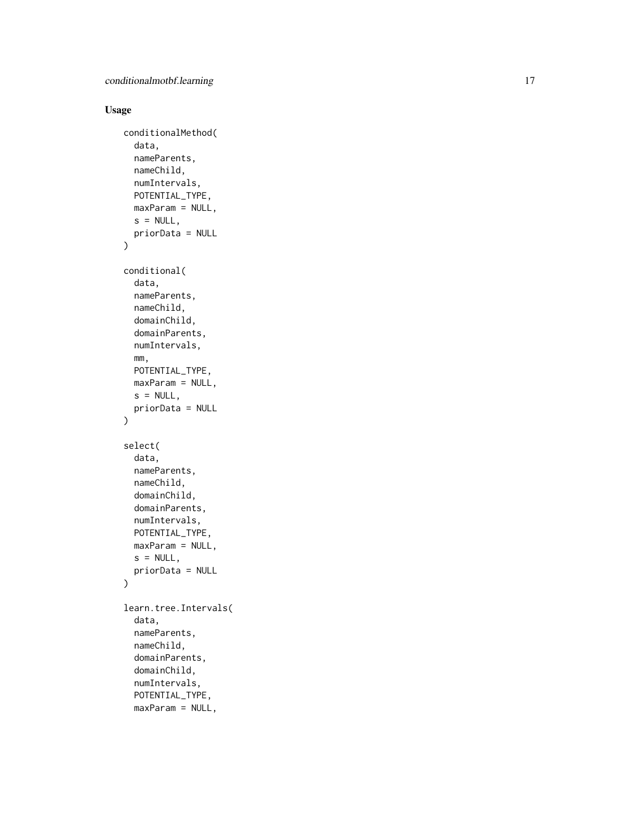## Usage

```
conditionalMethod(
  data,
  nameParents,
  nameChild,
  numIntervals,
 POTENTIAL_TYPE,
 maxParam = NULL,
  s = NULL,
 priorData = NULL
)
conditional(
  data,
  nameParents,
  nameChild,
  domainChild,
  domainParents,
  numIntervals,
  mm,
 POTENTIAL_TYPE,
 maxParam = NULL,
  s = NULL,priorData = NULL
\mathcal{L}select(
  data,
  nameParents,
  nameChild,
  domainChild,
  domainParents,
  numIntervals,
 POTENTIAL_TYPE,
 maxParam = NULL,
  s = NULL,priorData = NULL
)
learn.tree.Intervals(
  data,
  nameParents,
  nameChild,
  domainParents,
  domainChild,
  numIntervals,
```
POTENTIAL\_TYPE, maxParam = NULL,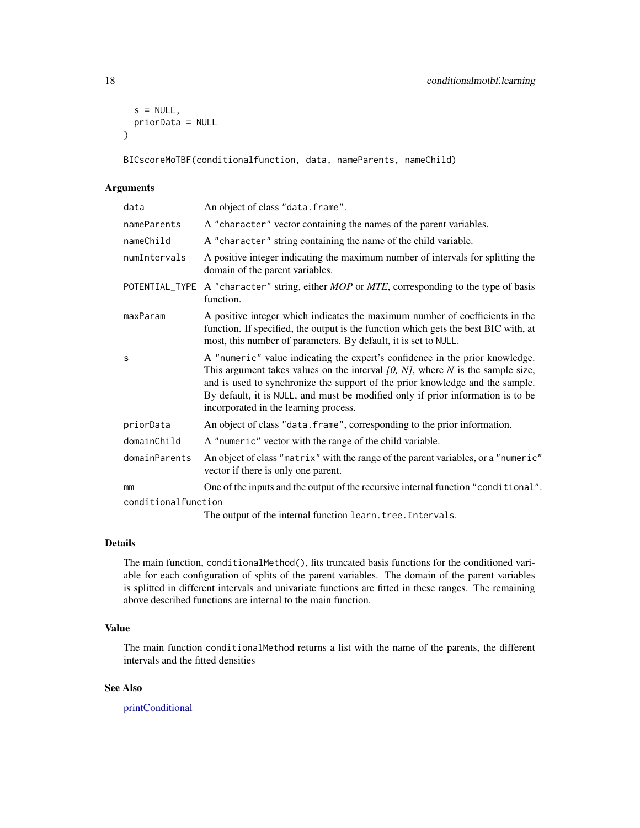```
s = NULL,priorData = NULL
\lambda
```
BICscoreMoTBF(conditionalfunction, data, nameParents, nameChild)

#### Arguments

| data                | An object of class "data.frame".                                                                                                                                                                                                                                                                                                                                               |
|---------------------|--------------------------------------------------------------------------------------------------------------------------------------------------------------------------------------------------------------------------------------------------------------------------------------------------------------------------------------------------------------------------------|
| nameParents         | A "character" vector containing the names of the parent variables.                                                                                                                                                                                                                                                                                                             |
| nameChild           | A "character" string containing the name of the child variable.                                                                                                                                                                                                                                                                                                                |
| numIntervals        | A positive integer indicating the maximum number of intervals for splitting the<br>domain of the parent variables.                                                                                                                                                                                                                                                             |
|                     | POTENTIAL_TYPE A "character" string, either MOP or MTE, corresponding to the type of basis<br>function.                                                                                                                                                                                                                                                                        |
| maxParam            | A positive integer which indicates the maximum number of coefficients in the<br>function. If specified, the output is the function which gets the best BIC with, at<br>most, this number of parameters. By default, it is set to NULL.                                                                                                                                         |
| S                   | A "numeric" value indicating the expert's confidence in the prior knowledge.<br>This argument takes values on the interval $[0, N]$ , where N is the sample size,<br>and is used to synchronize the support of the prior knowledge and the sample.<br>By default, it is NULL, and must be modified only if prior information is to be<br>incorporated in the learning process. |
| priorData           | An object of class "data. frame", corresponding to the prior information.                                                                                                                                                                                                                                                                                                      |
| domainChild         | A "numeric" vector with the range of the child variable.                                                                                                                                                                                                                                                                                                                       |
| domainParents       | An object of class "matrix" with the range of the parent variables, or a "numeric"<br>vector if there is only one parent.                                                                                                                                                                                                                                                      |
| mm                  | One of the inputs and the output of the recursive internal function "conditional".                                                                                                                                                                                                                                                                                             |
| conditionalfunction |                                                                                                                                                                                                                                                                                                                                                                                |
|                     | The output of the internal function learn. tree. Intervals.                                                                                                                                                                                                                                                                                                                    |

#### Details

The main function, conditionalMethod(), fits truncated basis functions for the conditioned variable for each configuration of splits of the parent variables. The domain of the parent variables is splitted in different intervals and univariate functions are fitted in these ranges. The remaining above described functions are internal to the main function.

## Value

The main function conditionalMethod returns a list with the name of the parents, the different intervals and the fitted densities

## See Also

[printConditional](#page-66-1)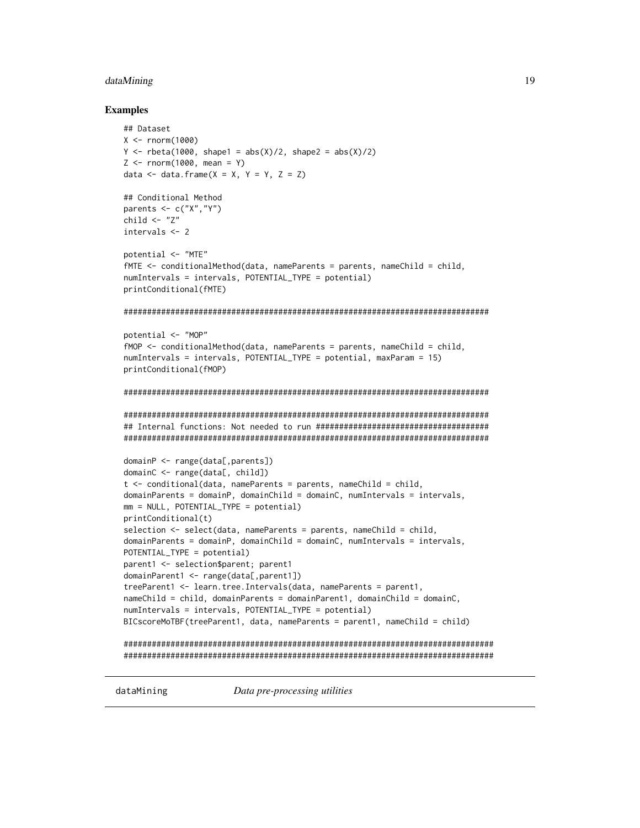#### <span id="page-18-0"></span>dataMining 2012 2013 2014 2022 2023 2024 2022 2023 2024 2022 2023 2024 2022 2023 2024 2022 2023 2024 2022 2023

#### Examples

```
## Dataset
X < - rnorm(1000)
Y \le - rbeta(1000, shape1 = abs(X)/2, shape2 = abs(X)/2)
Z \le - rnorm(1000, mean = Y)
data \leq data.frame(X = X, Y = Y, Z = Z)
## Conditional Method
parents \leq c("X","Y")
child \leftarrow "Z"
intervals <- 2
potential <- "MTE"
fMTE <- conditionalMethod(data, nameParents = parents, nameChild = child,
numIntervals = intervals, POTENTIAL_TYPE = potential)
printConditional(fMTE)
##############################################################################
potential <- "MOP"
fMOP \leq conditionalMethod(data, nameParents = parents, nameChild = child,
numIntervals = intervals, POTENTIAL_TYPE = potential, maxParam = 15)
printConditional(fMOP)
##############################################################################
##############################################################################
## Internal functions: Not needed to run #####################################
##############################################################################
domainP <- range(data[,parents])
domainC <- range(data[, child])
t <- conditional(data, nameParents = parents, nameChild = child,
domainParents = domainP, domainChild = domainC, numIntervals = intervals,
mm = NULL, POTENTIAL_TYPE = potential)
printConditional(t)
selection \leq select(data, nameParents = parents, nameChild = child,
domainParents = domainP, domainChild = domainC, numIntervals = intervals,
POTENTIAL_TYPE = potential)
parent1 <- selection$parent; parent1
domainParent1 <- range(data[,parent1])
treeParent1 <- learn.tree.Intervals(data, nameParents = parent1,
nameChild = child, domainParents = domainParent1, domainChild = domainC,
numIntervals = intervals, POTENTIAL_TYPE = potential)
BICscoreMoTBF(treeParent1, data, nameParents = parent1, nameChild = child)
###############################################################################
###############################################################################
```
dataMining *Data pre-processing utilities*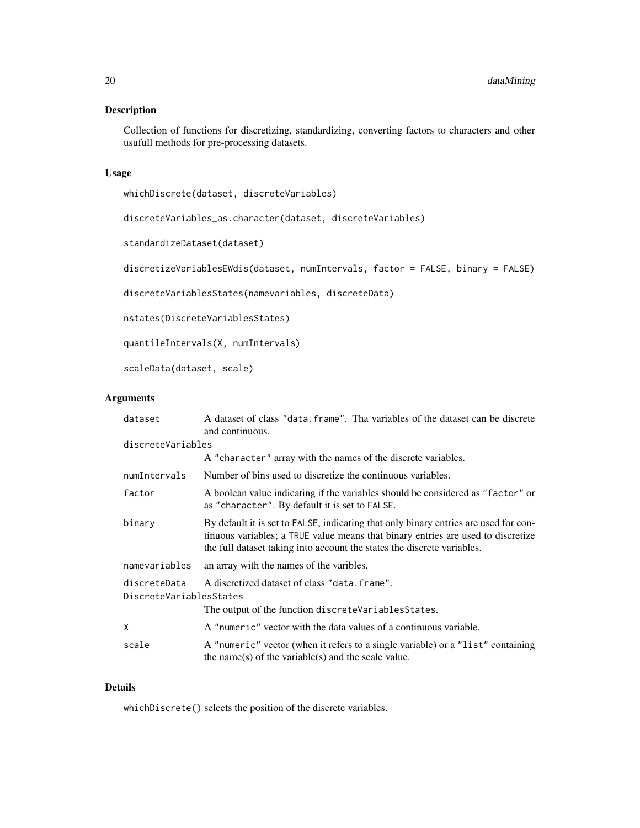## Description

Collection of functions for discretizing, standardizing, converting factors to characters and other usufull methods for pre-processing datasets.

## Usage

whichDiscrete(dataset, discreteVariables)

discreteVariables\_as.character(dataset, discreteVariables)

standardizeDataset(dataset)

discretizeVariablesEWdis(dataset, numIntervals, factor = FALSE, binary = FALSE)

discreteVariablesStates(namevariables, discreteData)

nstates(DiscreteVariablesStates)

quantileIntervals(X, numIntervals)

scaleData(dataset, scale)

## Arguments

| dataset                                                                                                                                         | A dataset of class "data, frame". Tha variables of the dataset can be discrete<br>and continuous.                                                                                                                                                   |
|-------------------------------------------------------------------------------------------------------------------------------------------------|-----------------------------------------------------------------------------------------------------------------------------------------------------------------------------------------------------------------------------------------------------|
| discreteVariables                                                                                                                               |                                                                                                                                                                                                                                                     |
|                                                                                                                                                 | A "character" array with the names of the discrete variables.                                                                                                                                                                                       |
| numIntervals                                                                                                                                    | Number of bins used to discretize the continuous variables.                                                                                                                                                                                         |
| factor                                                                                                                                          | A boolean value indicating if the variables should be considered as "factor" or<br>as "character". By default it is set to FALSE.                                                                                                                   |
| binary                                                                                                                                          | By default it is set to FALSE, indicating that only binary entries are used for con-<br>tinuous variables; a TRUE value means that binary entries are used to discretize<br>the full dataset taking into account the states the discrete variables. |
| namevariables                                                                                                                                   | an array with the names of the varibles.                                                                                                                                                                                                            |
| A discretized dataset of class "data. frame".<br>discreteData<br>DiscreteVariablesStates<br>The output of the function discreteVariablesStates. |                                                                                                                                                                                                                                                     |
| X                                                                                                                                               | A "numeric" vector with the data values of a continuous variable.                                                                                                                                                                                   |
| scale                                                                                                                                           | A "numeric" vector (when it refers to a single variable) or a "list" containing<br>the name(s) of the variable(s) and the scale value.                                                                                                              |

#### Details

whichDiscrete() selects the position of the discrete variables.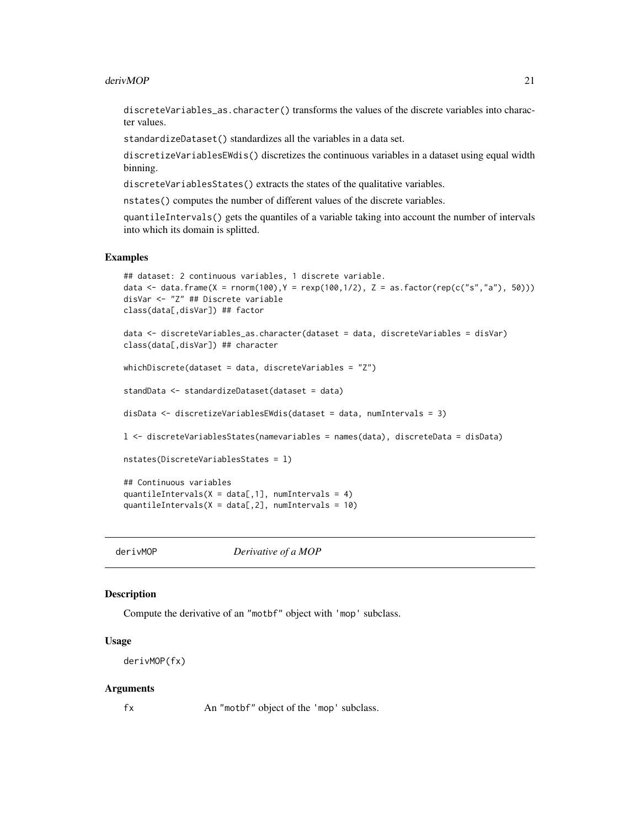#### <span id="page-20-0"></span>derivMOP 21

discreteVariables\_as.character() transforms the values of the discrete variables into character values.

standardizeDataset() standardizes all the variables in a data set.

discretizeVariablesEWdis() discretizes the continuous variables in a dataset using equal width binning.

discreteVariablesStates() extracts the states of the qualitative variables.

nstates() computes the number of different values of the discrete variables.

quantileIntervals() gets the quantiles of a variable taking into account the number of intervals into which its domain is splitted.

#### Examples

```
## dataset: 2 continuous variables, 1 discrete variable.
data <- data.frame(X = rnorm(100),Y = rexp(100,1/2), Z = as.factor(rep(c("s","a"), 50)))
disVar <- "Z" ## Discrete variable
class(data[,disVar]) ## factor
data <- discreteVariables_as.character(dataset = data, discreteVariables = disVar)
class(data[,disVar]) ## character
whichDiscrete(dataset = data, discreteVariables = "Z")
standData <- standardizeDataset(dataset = data)
disData <- discretizeVariablesEWdis(dataset = data, numIntervals = 3)
l <- discreteVariablesStates(namevariables = names(data), discreteData = disData)
nstates(DiscreteVariablesStates = l)
## Continuous variables
quantileIntervals(X = data[, 1], numIntervals = 4)
quantileIntervals(X = data[, 2], numIntervals = 10)
```
<span id="page-20-1"></span>derivMOP *Derivative of a MOP*

#### Description

Compute the derivative of an "motbf" object with 'mop' subclass.

#### Usage

derivMOP(fx)

#### Arguments

fx An "motbf" object of the 'mop' subclass.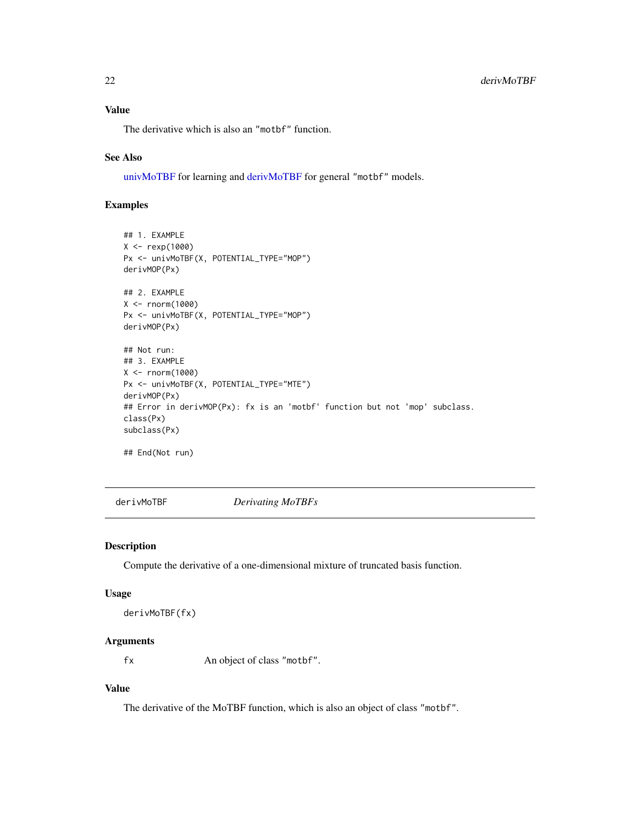## <span id="page-21-0"></span>Value

The derivative which is also an "motbf" function.

#### See Also

[univMoTBF](#page-78-1) for learning and [derivMoTBF](#page-21-1) for general "motbf" models.

## Examples

```
## 1. EXAMPLE
X <- rexp(1000)
Px <- univMoTBF(X, POTENTIAL_TYPE="MOP")
derivMOP(Px)
## 2. EXAMPLE
X <- rnorm(1000)
Px <- univMoTBF(X, POTENTIAL_TYPE="MOP")
derivMOP(Px)
## Not run:
## 3. EXAMPLE
X <- rnorm(1000)
Px <- univMoTBF(X, POTENTIAL_TYPE="MTE")
derivMOP(Px)
## Error in derivMOP(Px): fx is an 'motbf' function but not 'mop' subclass.
class(Px)
subclass(Px)
## End(Not run)
```
<span id="page-21-1"></span>derivMoTBF *Derivating MoTBFs*

#### Description

Compute the derivative of a one-dimensional mixture of truncated basis function.

#### Usage

```
derivMoTBF(fx)
```
## Arguments

fx An object of class "motbf".

## Value

The derivative of the MoTBF function, which is also an object of class "motbf".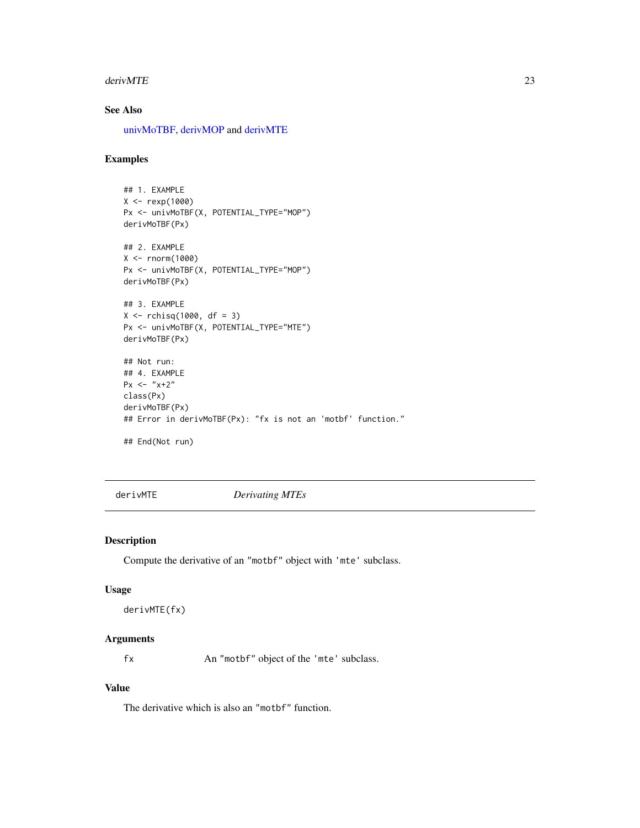#### <span id="page-22-0"></span>derivMTE 23

## See Also

[univMoTBF,](#page-78-1) [derivMOP](#page-20-1) and [derivMTE](#page-22-1)

## Examples

```
## 1. EXAMPLE
X < - rexp(1000)
Px <- univMoTBF(X, POTENTIAL_TYPE="MOP")
derivMoTBF(Px)
## 2. EXAMPLE
X <- rnorm(1000)
Px <- univMoTBF(X, POTENTIAL_TYPE="MOP")
derivMoTBF(Px)
## 3. EXAMPLE
X <- rchisq(1000, df = 3)
Px <- univMoTBF(X, POTENTIAL_TYPE="MTE")
derivMoTBF(Px)
## Not run:
## 4. EXAMPLE
Px \le - "x+2"
class(Px)
derivMoTBF(Px)
## Error in derivMoTBF(Px): "fx is not an 'motbf' function."
## End(Not run)
```
<span id="page-22-1"></span>derivMTE *Derivating MTEs*

## Description

Compute the derivative of an "motbf" object with 'mte' subclass.

#### Usage

```
derivMTE(fx)
```
## Arguments

fx An "motbf" object of the 'mte' subclass.

## Value

The derivative which is also an "motbf" function.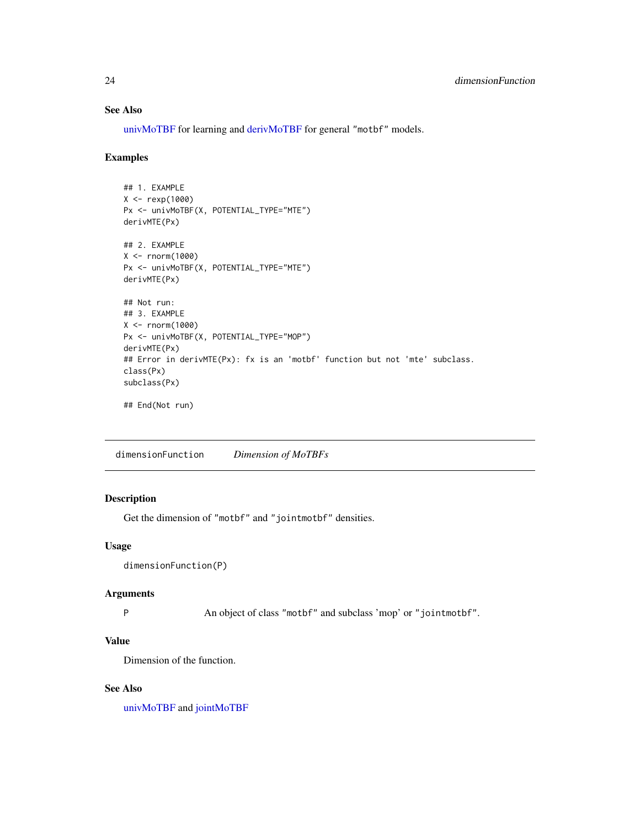## See Also

[univMoTBF](#page-78-1) for learning and [derivMoTBF](#page-21-1) for general "motbf" models.

#### Examples

```
## 1. EXAMPLE
X < - rexp(1000)
Px <- univMoTBF(X, POTENTIAL_TYPE="MTE")
derivMTE(Px)
## 2. EXAMPLE
X < - rnorm(1000)
Px <- univMoTBF(X, POTENTIAL_TYPE="MTE")
derivMTE(Px)
## Not run:
## 3. EXAMPLE
X < - rnorm(1000)
Px <- univMoTBF(X, POTENTIAL_TYPE="MOP")
derivMTE(Px)
## Error in derivMTE(Px): fx is an 'motbf' function but not 'mte' subclass.
class(Px)
subclass(Px)
```
## End(Not run)

dimensionFunction *Dimension of MoTBFs*

## Description

Get the dimension of "motbf" and "jointmotbf" densities.

#### Usage

```
dimensionFunction(P)
```
#### Arguments

P An object of class "motbf" and subclass 'mop' or "jointmotbf".

## Value

Dimension of the function.

## See Also

[univMoTBF](#page-78-1) and [jointMoTBF](#page-44-1)

<span id="page-23-0"></span>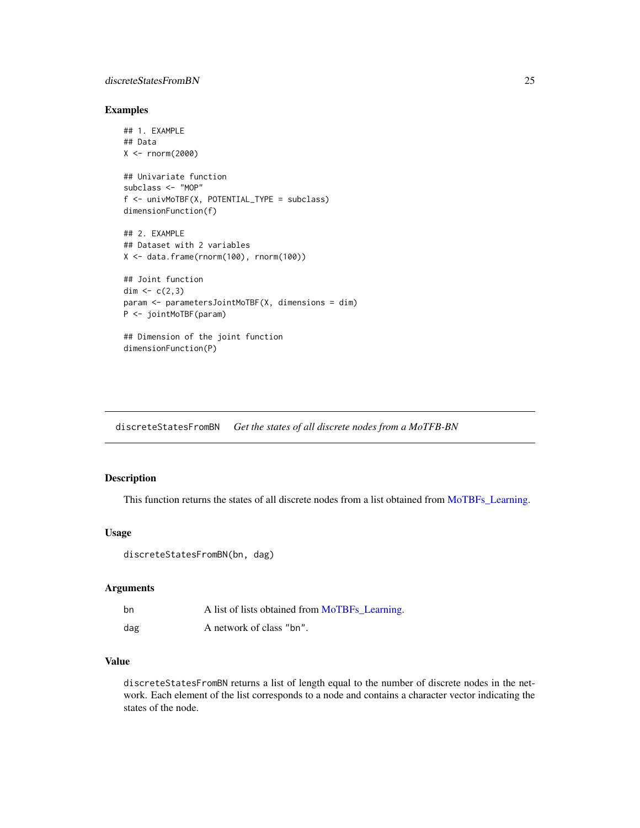#### <span id="page-24-0"></span>discreteStatesFromBN 25

## Examples

```
## 1. EXAMPLE
## Data
X <- rnorm(2000)
## Univariate function
subclass <- "MOP"
f <- univMoTBF(X, POTENTIAL_TYPE = subclass)
dimensionFunction(f)
## 2. EXAMPLE
## Dataset with 2 variables
X <- data.frame(rnorm(100), rnorm(100))
## Joint function
dim <-c(2,3)param <- parametersJointMoTBF(X, dimensions = dim)
P <- jointMoTBF(param)
```
## Dimension of the joint function dimensionFunction(P)

discreteStatesFromBN *Get the states of all discrete nodes from a MoTFB-BN*

## Description

This function returns the states of all discrete nodes from a list obtained from [MoTBFs\\_Learning.](#page-53-1)

## Usage

discreteStatesFromBN(bn, dag)

#### Arguments

| bn  | A list of lists obtained from MoTBFs_Learning. |
|-----|------------------------------------------------|
| dag | A network of class "bn".                       |

## Value

discreteStatesFromBN returns a list of length equal to the number of discrete nodes in the network. Each element of the list corresponds to a node and contains a character vector indicating the states of the node.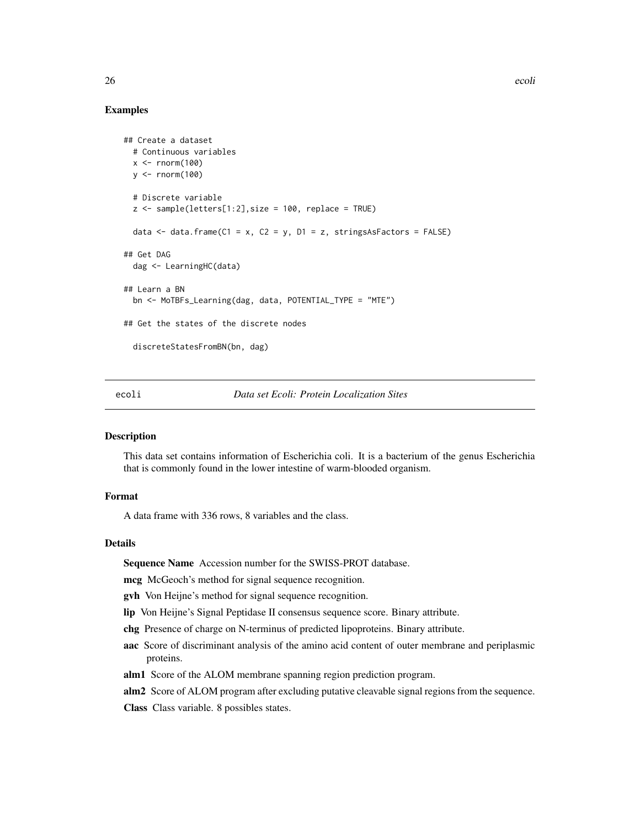## Examples

```
## Create a dataset
 # Continuous variables
 x \le - rnorm(100)
 y \le - rnorm(100)
 # Discrete variable
 z <- sample(letters[1:2], size = 100, replace = TRUE)
 data \le data.frame(C1 = x, C2 = y, D1 = z, stringsAsFactors = FALSE)
## Get DAG
 dag <- LearningHC(data)
## Learn a BN
 bn <- MoTBFs_Learning(dag, data, POTENTIAL_TYPE = "MTE")
## Get the states of the discrete nodes
 discreteStatesFromBN(bn, dag)
```
## ecoli *Data set Ecoli: Protein Localization Sites*

## **Description**

This data set contains information of Escherichia coli. It is a bacterium of the genus Escherichia that is commonly found in the lower intestine of warm-blooded organism.

#### Format

A data frame with 336 rows, 8 variables and the class.

#### Details

Sequence Name Accession number for the SWISS-PROT database.

mcg McGeoch's method for signal sequence recognition.

gvh Von Heijne's method for signal sequence recognition.

lip Von Heijne's Signal Peptidase II consensus sequence score. Binary attribute.

chg Presence of charge on N-terminus of predicted lipoproteins. Binary attribute.

- aac Score of discriminant analysis of the amino acid content of outer membrane and periplasmic proteins.
- alm1 Score of the ALOM membrane spanning region prediction program.
- alm2 Score of ALOM program after excluding putative cleavable signal regions from the sequence.

Class Class variable. 8 possibles states.

<span id="page-25-0"></span>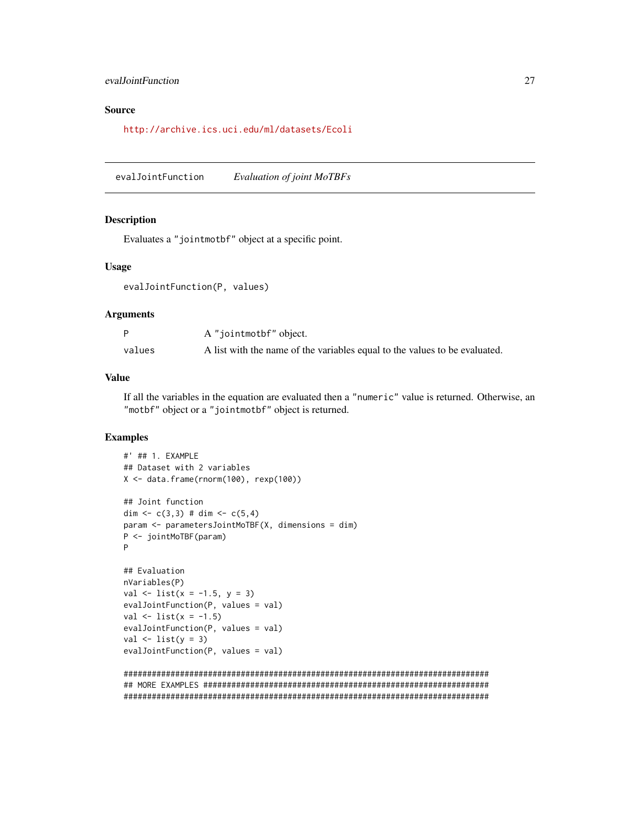## <span id="page-26-0"></span>evalJointFunction 27

## Source

<http://archive.ics.uci.edu/ml/datasets/Ecoli>

evalJointFunction *Evaluation of joint MoTBFs*

#### Description

Evaluates a "jointmotbf" object at a specific point.

#### Usage

evalJointFunction(P, values)

#### Arguments

|        | A "jointmotbf" object.                                                     |
|--------|----------------------------------------------------------------------------|
| values | A list with the name of the variables equal to the values to be evaluated. |

#### Value

If all the variables in the equation are evaluated then a "numeric" value is returned. Otherwise, an "motbf" object or a "jointmotbf" object is returned.

```
#' ## 1. EXAMPLE
## Dataset with 2 variables
X <- data.frame(rnorm(100), rexp(100))
## Joint function
dim \leq c(3,3) # dim \leq c(5,4)param <- parametersJointMoTBF(X, dimensions = dim)
P <- jointMoTBF(param)
P
## Evaluation
nVariables(P)
val \leftarrow list(x = -1.5, y = 3)
evalJointFunction(P, values = val)
val \leftarrow list(x = -1.5)evalJointFunction(P, values = val)
val \leftarrow list(y = 3)
evalJointFunction(P, values = val)
##############################################################################
## MORE EXAMPLES #############################################################
```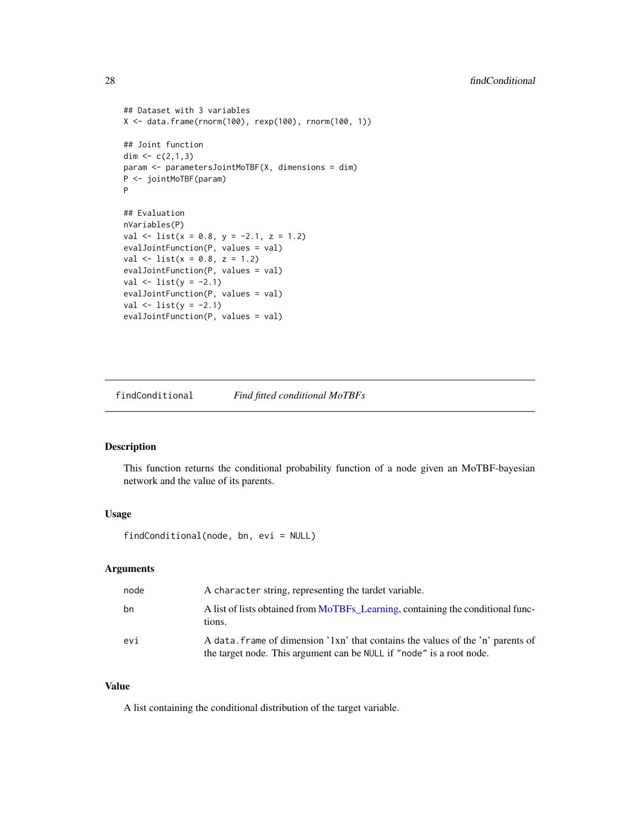```
## Dataset with 3 variables
X <- data.frame(rnorm(100), rexp(100), rnorm(100, 1))
## Joint function
dim <-c(2,1,3)param <- parametersJointMoTBF(X, dimensions = dim)
P <- jointMoTBF(param)
P
## Evaluation
nVariables(P)
val \le list(x = 0.8, y = -2.1, z = 1.2)
evalJointFunction(P, values = val)
val \le list(x = 0.8, z = 1.2)
evalJointFunction(P, values = val)
val \leftarrow list(y = -2.1)evalJointFunction(P, values = val)
val \leftarrow list(y = -2.1)evalJointFunction(P, values = val)
```
findConditional *Find fitted conditional MoTBFs*

#### Description

This function returns the conditional probability function of a node given an MoTBF-bayesian network and the value of its parents.

## Usage

findConditional(node, bn, evi = NULL)

## Arguments

| node | A character string, representing the tardet variable.                                                                                                   |
|------|---------------------------------------------------------------------------------------------------------------------------------------------------------|
| bn   | A list of lists obtained from MoTBFs_Learning, containing the conditional func-<br>tions.                                                               |
| evi  | A data, frame of dimension '1xn' that contains the values of the 'n' parents of<br>the target node. This argument can be NULL if "node" is a root node. |

#### Value

A list containing the conditional distribution of the target variable.

<span id="page-27-0"></span>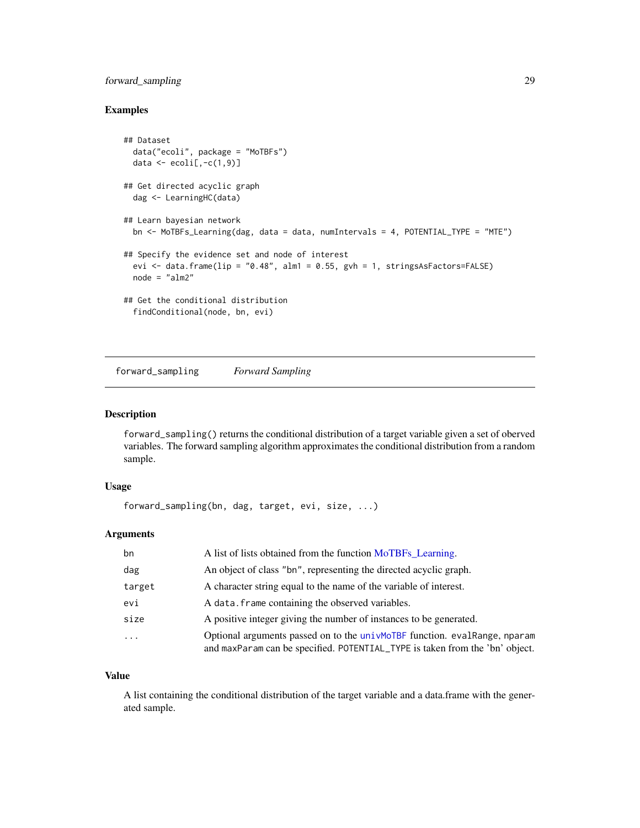## <span id="page-28-0"></span>forward\_sampling 29

## Examples

```
## Dataset
 data("ecoli", package = "MoTBFs")
 data \leq ecoli[,-c(1, 9)]
## Get directed acyclic graph
 dag <- LearningHC(data)
## Learn bayesian network
 bn <- MoTBFs_Learning(dag, data = data, numIntervals = 4, POTENTIAL_TYPE = "MTE")
## Specify the evidence set and node of interest
 evi \le data.frame(lip = "0.48", alm1 = 0.55, gvh = 1, stringsAsFactors=FALSE)
 node = "alm2"
## Get the conditional distribution
 findConditional(node, bn, evi)
```
forward\_sampling *Forward Sampling*

## Description

forward\_sampling() returns the conditional distribution of a target variable given a set of oberved variables. The forward sampling algorithm approximates the conditional distribution from a random sample.

#### Usage

forward\_sampling(bn, dag, target, evi, size, ...)

## Arguments

| bn      | A list of lists obtained from the function MoTBFs_Learning.                                                                                                |
|---------|------------------------------------------------------------------------------------------------------------------------------------------------------------|
| dag     | An object of class "bn", representing the directed acyclic graph.                                                                                          |
| target  | A character string equal to the name of the variable of interest.                                                                                          |
| evi     | A data, frame containing the observed variables.                                                                                                           |
| size    | A positive integer giving the number of instances to be generated.                                                                                         |
| $\cdot$ | Optional arguments passed on to the univMoTBF function. eval Range, nparam<br>and maxParam can be specified. POTENTIAL_TYPE is taken from the 'bn' object. |

#### Value

A list containing the conditional distribution of the target variable and a data.frame with the generated sample.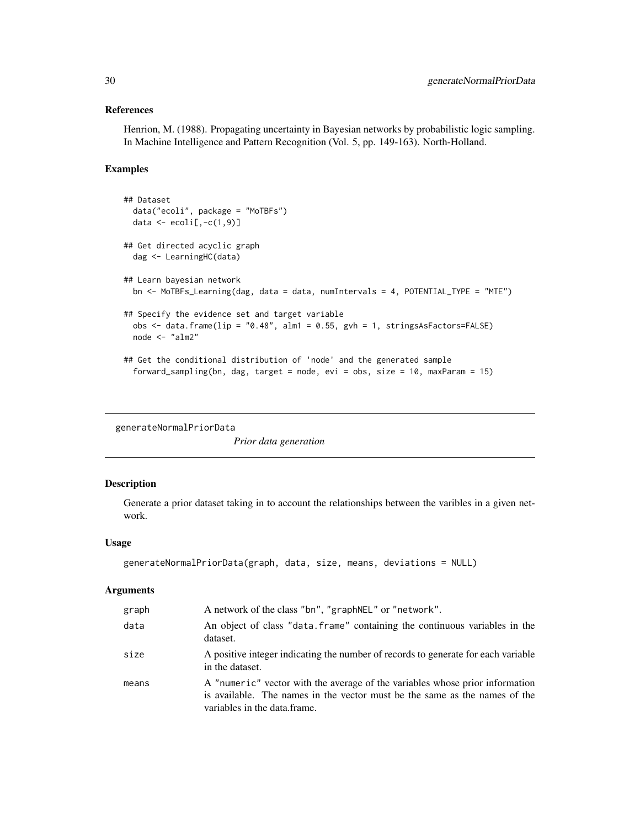## <span id="page-29-0"></span>References

Henrion, M. (1988). Propagating uncertainty in Bayesian networks by probabilistic logic sampling. In Machine Intelligence and Pattern Recognition (Vol. 5, pp. 149-163). North-Holland.

#### Examples

```
## Dataset
  data("ecoli", package = "MoTBFs")
  data \leq ecoli[,-c(1,9)]
## Get directed acyclic graph
  dag <- LearningHC(data)
## Learn bayesian network
  bn <- MoTBFs_Learning(dag, data = data, numIntervals = 4, POTENTIAL_TYPE = "MTE")
## Specify the evidence set and target variable
  obs <- data.frame(lip = "0.48", alm1 = 0.55, gvh = 1, stringsAsFactors=FALSE)
  node <- "alm2"
## Get the conditional distribution of 'node' and the generated sample
  forward_sampling(bn, dag, target = node, evi = obs, size = 10, maxParam = 15)
```
generateNormalPriorData

*Prior data generation*

## Description

Generate a prior dataset taking in to account the relationships between the varibles in a given network.

#### Usage

```
generateNormalPriorData(graph, data, size, means, deviations = NULL)
```
#### Arguments

| graph | A network of the class "bn", "graphNEL" or "network".                                                                                                                                      |
|-------|--------------------------------------------------------------------------------------------------------------------------------------------------------------------------------------------|
| data  | An object of class "data. frame" containing the continuous variables in the<br>dataset.                                                                                                    |
| size  | A positive integer indicating the number of records to generate for each variable<br>in the dataset.                                                                                       |
| means | A "numeric" vector with the average of the variables whose prior information<br>is available. The names in the vector must be the same as the names of the<br>variables in the data frame. |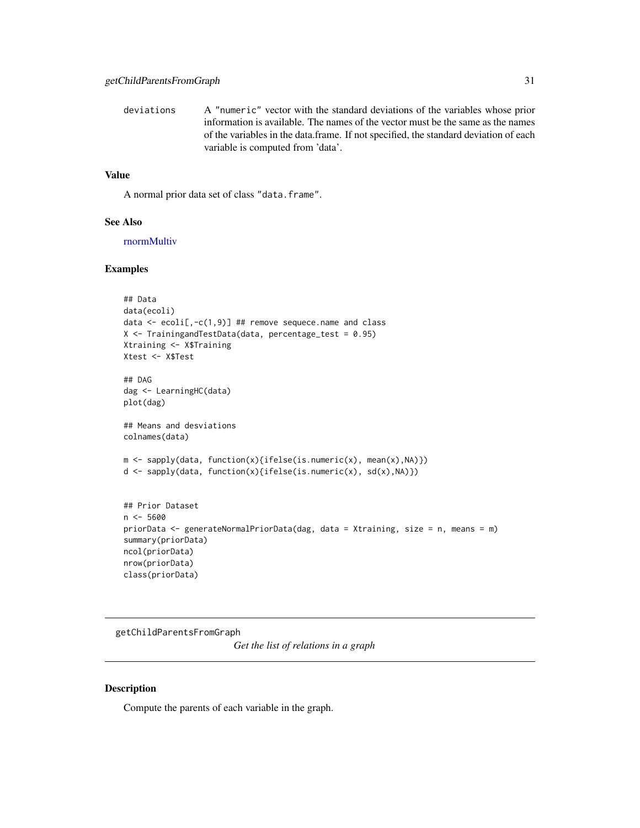<span id="page-30-0"></span>deviations A "numeric" vector with the standard deviations of the variables whose prior information is available. The names of the vector must be the same as the names of the variables in the data.frame. If not specified, the standard deviation of each variable is computed from 'data'.

## Value

A normal prior data set of class "data.frame".

#### See Also

[rnormMultiv](#page-71-1)

#### Examples

```
## Data
data(ecoli)
data \le ecoli[,-c(1,9)] ## remove sequece.name and class
X \leq - TrainingandTestData(data, percentage_test = 0.95)
Xtraining <- X$Training
Xtest <- X$Test
## DAG
dag <- LearningHC(data)
plot(dag)
## Means and desviations
colnames(data)
m <- sapply(data, function(x){ifelse(is.numeric(x), mean(x),NA)})
d <- sapply(data, function(x){ifelse(is.numeric(x), sd(x),NA)})
## Prior Dataset
n < -5600priorData <- generateNormalPriorData(dag, data = Xtraining, size = n, means = m)
summary(priorData)
ncol(priorData)
nrow(priorData)
class(priorData)
```
getChildParentsFromGraph

*Get the list of relations in a graph*

#### Description

Compute the parents of each variable in the graph.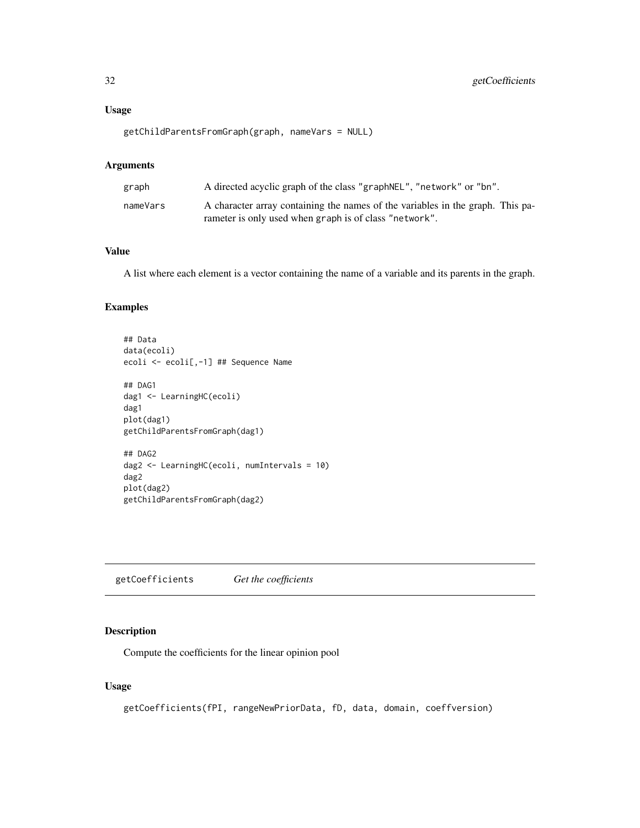## <span id="page-31-0"></span>Usage

getChildParentsFromGraph(graph, nameVars = NULL)

#### Arguments

| graph    | A directed acyclic graph of the class "graphNEL", "network" or "bn".                                                                     |
|----------|------------------------------------------------------------------------------------------------------------------------------------------|
| nameVars | A character array containing the names of the variables in the graph. This pa-<br>rameter is only used when graph is of class "network". |

## Value

A list where each element is a vector containing the name of a variable and its parents in the graph.

## Examples

```
## Data
data(ecoli)
ecoli <- ecoli[,-1] ## Sequence Name
## DAG1
dag1 <- LearningHC(ecoli)
dag1
plot(dag1)
getChildParentsFromGraph(dag1)
## DAG2
dag2 <- LearningHC(ecoli, numIntervals = 10)
dag2
plot(dag2)
getChildParentsFromGraph(dag2)
```
getCoefficients *Get the coefficients*

## Description

Compute the coefficients for the linear opinion pool

## Usage

```
getCoefficients(fPI, rangeNewPriorData, fD, data, domain, coeffversion)
```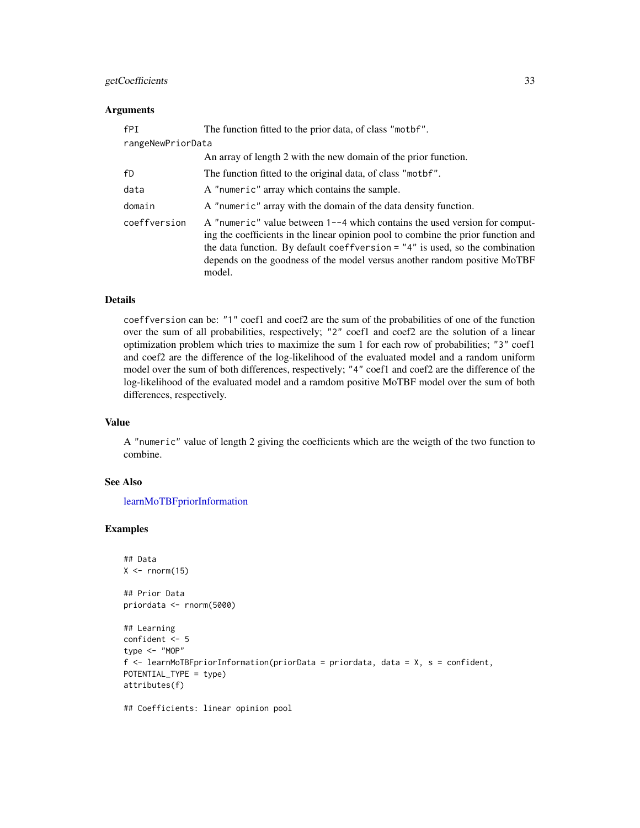## getCoefficients 33

#### **Arguments**

| fPI               | The function fitted to the prior data, of class "motbf".                                                                                                                                                                                                                                                                                  |  |
|-------------------|-------------------------------------------------------------------------------------------------------------------------------------------------------------------------------------------------------------------------------------------------------------------------------------------------------------------------------------------|--|
| rangeNewPriorData |                                                                                                                                                                                                                                                                                                                                           |  |
|                   | An array of length 2 with the new domain of the prior function.                                                                                                                                                                                                                                                                           |  |
| fD                | The function fitted to the original data, of class "mothet".                                                                                                                                                                                                                                                                              |  |
| data              | A "numeric" array which contains the sample.                                                                                                                                                                                                                                                                                              |  |
| domain            | A "numeric" array with the domain of the data density function.                                                                                                                                                                                                                                                                           |  |
| coeffversion      | A "numeric" value between $1-4$ which contains the used version for comput-<br>ing the coefficients in the linear opinion pool to combine the prior function and<br>the data function. By default coeffversion $=$ "4" is used, so the combination<br>depends on the goodness of the model versus another random positive MoTBF<br>model. |  |

## Details

coeffversion can be: "1" coef1 and coef2 are the sum of the probabilities of one of the function over the sum of all probabilities, respectively; "2" coef1 and coef2 are the solution of a linear optimization problem which tries to maximize the sum 1 for each row of probabilities; "3" coef1 and coef2 are the difference of the log-likelihood of the evaluated model and a random uniform model over the sum of both differences, respectively; "4" coef1 and coef2 are the difference of the log-likelihood of the evaluated model and a ramdom positive MoTBF model over the sum of both differences, respectively.

#### Value

A "numeric" value of length 2 giving the coefficients which are the weigth of the two function to combine.

## See Also

[learnMoTBFpriorInformation](#page-47-1)

## Examples

```
## Data
X \leftarrow \text{norm}(15)
```
## Prior Data priordata <- rnorm(5000)

```
## Learning
confident <- 5
type <- "MOP"
f <- learnMoTBFpriorInformation(priorData = priordata, data = X, s = confident,
POTENTIAL_TYPE = type)
attributes(f)
```
## Coefficients: linear opinion pool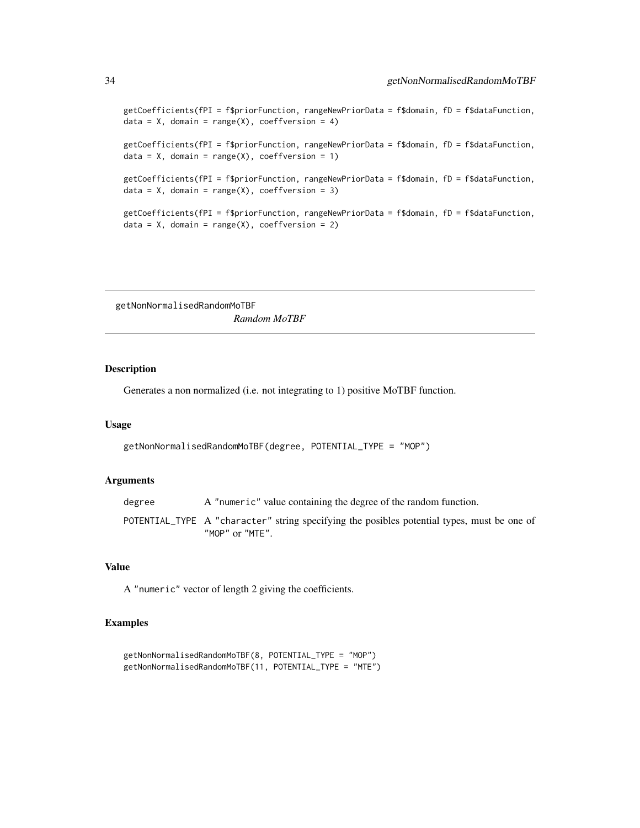```
getCoefficients(fPI = f$priorFunction, rangeNewPriorData = f$domain, fD = f$dataFunction,
data = X, domain = range(X), coeffversion = 4)
getCoefficients(fPI = f$priorFunction, rangeNewPriorData = f$domain, fD = f$dataFunction,
data = X, domain = range(X), coeffversion = 1)
getCoefficients(fPI = f$priorFunction, rangeNewPriorData = f$domain, fD = f$dataFunction,
data = X, domain = range(X), coeffversion = 3)
getCoefficients(fPI = f$priorFunction, rangeNewPriorData = f$domain, fD = f$dataFunction,
data = X, domain = range(X), coeffversion = 2)
```
getNonNormalisedRandomMoTBF *Ramdom MoTBF*

#### **Description**

Generates a non normalized (i.e. not integrating to 1) positive MoTBF function.

#### Usage

```
getNonNormalisedRandomMoTBF(degree, POTENTIAL_TYPE = "MOP")
```
## Arguments

degree A "numeric" value containing the degree of the random function. POTENTIAL\_TYPE A "character" string specifying the posibles potential types, must be one of "MOP" or "MTE".

## Value

A "numeric" vector of length 2 giving the coefficients.

```
getNonNormalisedRandomMoTBF(8, POTENTIAL_TYPE = "MOP")
getNonNormalisedRandomMoTBF(11, POTENTIAL_TYPE = "MTE")
```
<span id="page-33-0"></span>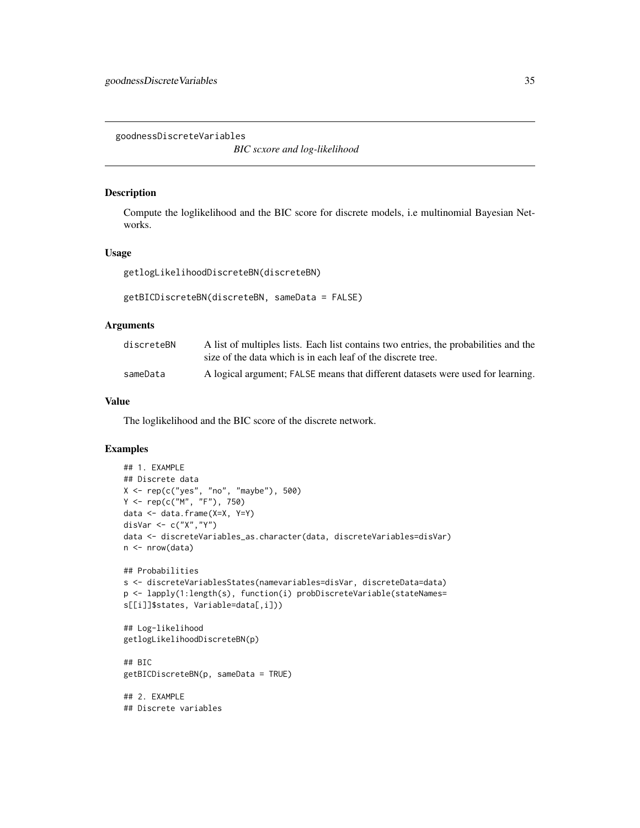<span id="page-34-0"></span>goodnessDiscreteVariables

*BIC scxore and log-likelihood*

#### Description

Compute the loglikelihood and the BIC score for discrete models, i.e multinomial Bayesian Networks.

## Usage

getlogLikelihoodDiscreteBN(discreteBN)

```
getBICDiscreteBN(discreteBN, sameData = FALSE)
```
#### Arguments

| discreteBN | A list of multiples lists. Each list contains two entries, the probabilities and the |
|------------|--------------------------------------------------------------------------------------|
|            | size of the data which is in each leaf of the discrete tree.                         |
| sameData   | A logical argument; FALSE means that different datasets were used for learning.      |

## Value

The loglikelihood and the BIC score of the discrete network.

```
## 1. EXAMPLE
## Discrete data
X \leq -\text{rep}(c("yes", "no", "maybe"), 500)Y \leq -\text{rep}(c("M", "F"), 750)data <- data.frame(X=X, Y=Y)
disVar <- c("X","Y")
data <- discreteVariables_as.character(data, discreteVariables=disVar)
n <- nrow(data)
## Probabilities
s <- discreteVariablesStates(namevariables=disVar, discreteData=data)
p <- lapply(1:length(s), function(i) probDiscreteVariable(stateNames=
s[[i]]$states, Variable=data[,i]))
## Log-likelihood
getlogLikelihoodDiscreteBN(p)
## BIC
getBICDiscreteBN(p, sameData = TRUE)
## 2. EXAMPLE
## Discrete variables
```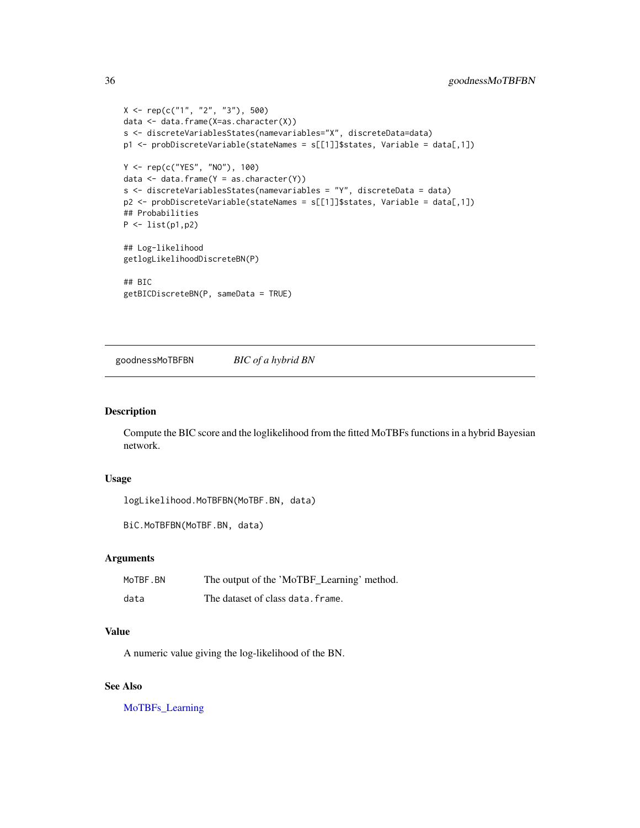```
X \leq -\text{rep}(c("1", "2", "3"), 500)data <- data.frame(X=as.character(X))
s <- discreteVariablesStates(namevariables="X", discreteData=data)
p1 <- probDiscreteVariable(stateNames = s[[1]]$states, Variable = data[,1])
Y <- rep(c("YES", "NO"), 100)
data \leq data.frame(Y = as.character(Y))
s <- discreteVariablesStates(namevariables = "Y", discreteData = data)
p2 <- probDiscreteVariable(stateNames = s[[1]]$states, Variable = data[,1])
## Probabilities
P <- list(p1,p2)
## Log-likelihood
getlogLikelihoodDiscreteBN(P)
## BIC
getBICDiscreteBN(P, sameData = TRUE)
```
goodnessMoTBFBN *BIC of a hybrid BN*

#### Description

Compute the BIC score and the loglikelihood from the fitted MoTBFs functions in a hybrid Bayesian network.

## Usage

```
logLikelihood.MoTBFBN(MoTBF.BN, data)
```

```
BiC.MoTBFBN(MoTBF.BN, data)
```
## Arguments

| MoTBF.BN | The output of the 'MoTBF_Learning' method. |
|----------|--------------------------------------------|
| data     | The dataset of class data. frame.          |

#### Value

A numeric value giving the log-likelihood of the BN.

## See Also

[MoTBFs\\_Learning](#page-53-1)

<span id="page-35-0"></span>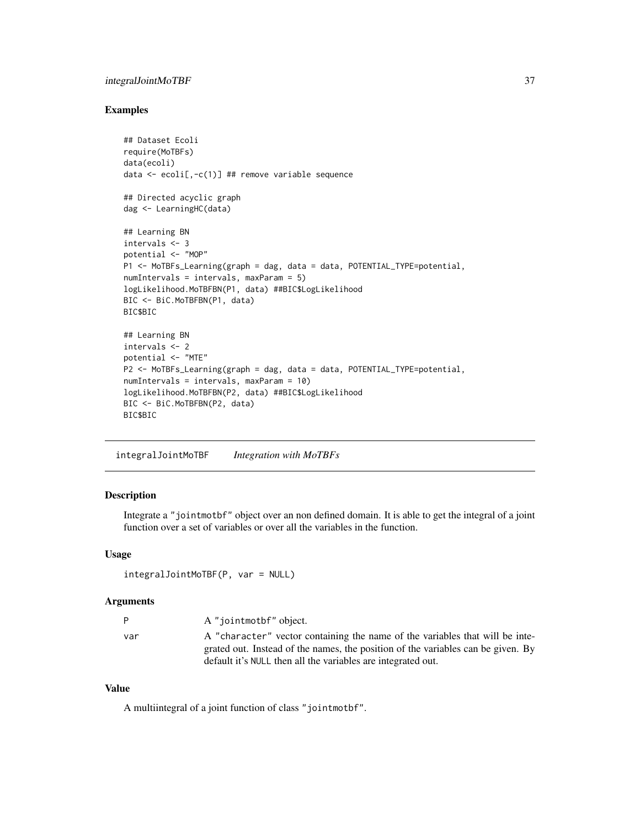# integralJointMoTBF 37

#### Examples

```
## Dataset Ecoli
require(MoTBFs)
data(ecoli)
data \le ecoli[,-c(1)] ## remove variable sequence
## Directed acyclic graph
dag <- LearningHC(data)
## Learning BN
intervals <- 3
potential <- "MOP"
P1 <- MoTBFs_Learning(graph = dag, data = data, POTENTIAL_TYPE=potential,
numIntervals = intervals, maxParam = 5)
logLikelihood.MoTBFBN(P1, data) ##BIC$LogLikelihood
BIC <- BiC.MoTBFBN(P1, data)
BIC$BIC
## Learning BN
intervals <- 2
potential <- "MTE"
P2 <- MoTBFs_Learning(graph = dag, data = data, POTENTIAL_TYPE=potential,
numIntervals = intervals, maxParam = 10)
logLikelihood.MoTBFBN(P2, data) ##BIC$LogLikelihood
BIC <- BiC.MoTBFBN(P2, data)
BIC$BIC
```
integralJointMoTBF *Integration with MoTBFs*

# Description

Integrate a "jointmotbf" object over an non defined domain. It is able to get the integral of a joint function over a set of variables or over all the variables in the function.

#### Usage

```
integralJointMoTBF(P, var = NULL)
```
#### Arguments

| P   | A "jointmothen" object.                                                          |
|-----|----------------------------------------------------------------------------------|
| var | A "character" vector containing the name of the variables that will be inte-     |
|     | grated out. Instead of the names, the position of the variables can be given. By |
|     | default it's NULL then all the variables are integrated out.                     |

#### Value

A multiintegral of a joint function of class "jointmotbf".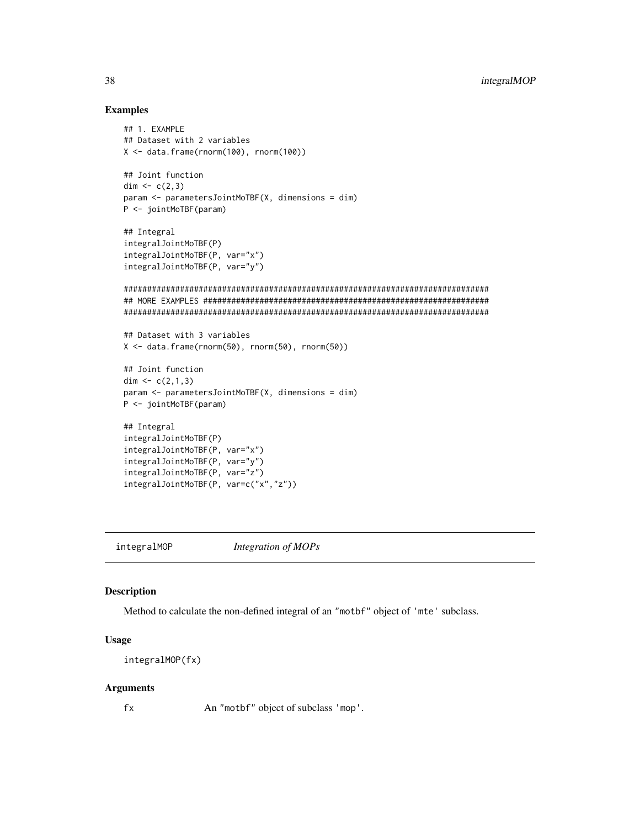## Examples

```
## 1. EXAMPLE
## Dataset with 2 variables
X <- data.frame(rnorm(100), rnorm(100))
## Joint function
dim <-c(2,3)param <- parametersJointMoTBF(X, dimensions = dim)
P <- jointMoTBF(param)
## Integral
integralJointMoTBF(P)
integralJointMoTBF(P, var="x")
integralJointMoTBF(P, var="y")
##############################################################################
## MORE EXAMPLES #############################################################
##############################################################################
## Dataset with 3 variables
X <- data.frame(rnorm(50), rnorm(50), rnorm(50))
## Joint function
dim \leq c(2,1,3)param <- parametersJointMoTBF(X, dimensions = dim)
P <- jointMoTBF(param)
## Integral
integralJointMoTBF(P)
integralJointMoTBF(P, var="x")
integralJointMoTBF(P, var="y")
integralJointMoTBF(P, var="z")
integralJointMoTBF(P, var=c("x","z"))
```
<span id="page-37-0"></span>integralMOP *Integration of MOPs*

## Description

Method to calculate the non-defined integral of an "motbf" object of 'mte' subclass.

#### Usage

```
integralMOP(fx)
```
#### Arguments

fx An "motbf" object of subclass 'mop'.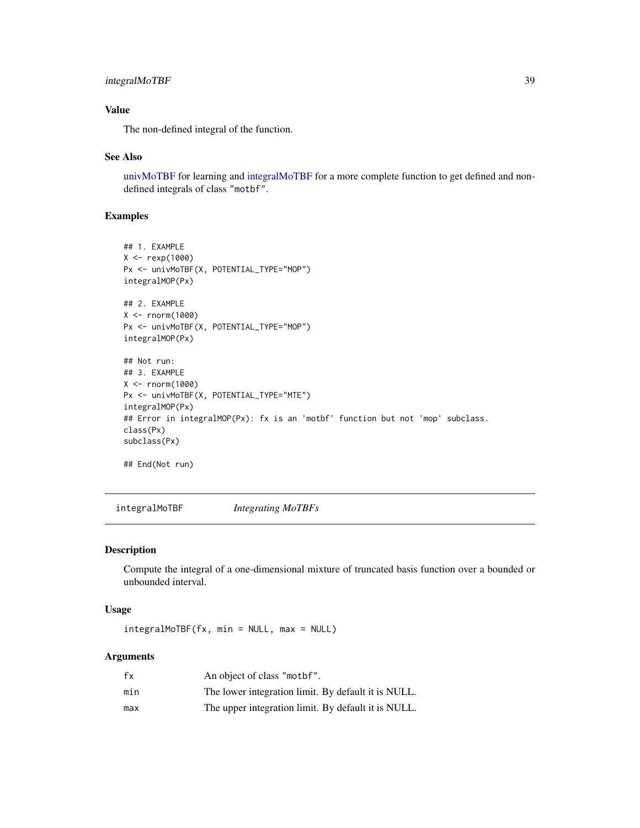# integralMoTBF 39

# Value

The non-defined integral of the function.

#### See Also

[univMoTBF](#page-78-0) for learning and [integralMoTBF](#page-38-0) for a more complete function to get defined and nondefined integrals of class "motbf".

## Examples

```
## 1. EXAMPLE
X <- rexp(1000)
Px <- univMoTBF(X, POTENTIAL_TYPE="MOP")
integralMOP(Px)
## 2. EXAMPLE
X <- rnorm(1000)
Px <- univMoTBF(X, POTENTIAL_TYPE="MOP")
integralMOP(Px)
## Not run:
## 3. EXAMPLE
X < - rnorm(1000)
Px <- univMoTBF(X, POTENTIAL_TYPE="MTE")
integralMOP(Px)
## Error in integralMOP(Px): fx is an 'motbf' function but not 'mop' subclass.
class(Px)
subclass(Px)
```
## End(Not run)

<span id="page-38-0"></span>integralMoTBF *Integrating MoTBFs*

#### Description

Compute the integral of a one-dimensional mixture of truncated basis function over a bounded or unbounded interval.

#### Usage

integralMoTBF(fx, min = NULL, max = NULL)

## Arguments

| fx  | An object of class "mother".                        |
|-----|-----------------------------------------------------|
| min | The lower integration limit. By default it is NULL. |
| max | The upper integration limit. By default it is NULL. |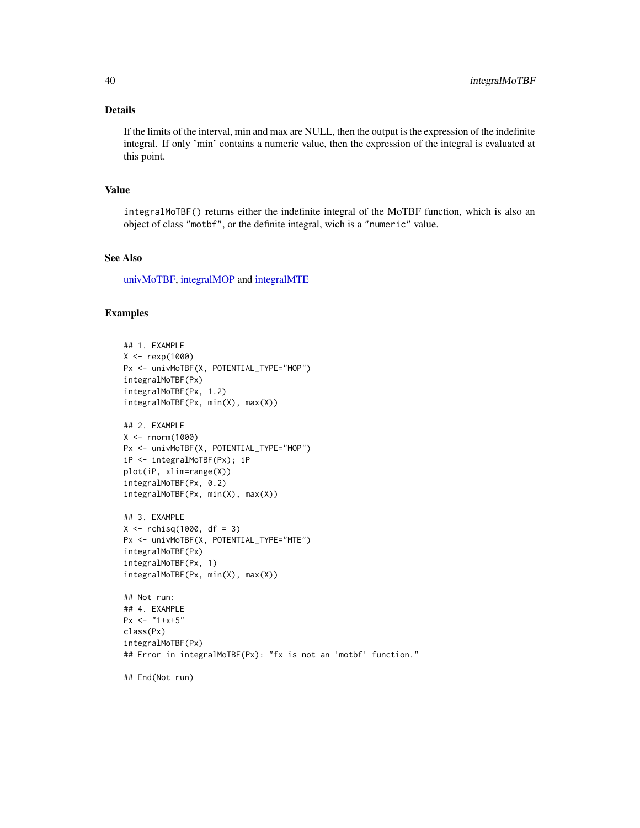## Details

If the limits of the interval, min and max are NULL, then the output is the expression of the indefinite integral. If only 'min' contains a numeric value, then the expression of the integral is evaluated at this point.

#### Value

integralMoTBF() returns either the indefinite integral of the MoTBF function, which is also an object of class "motbf", or the definite integral, wich is a "numeric" value.

# See Also

[univMoTBF,](#page-78-0) [integralMOP](#page-37-0) and [integralMTE](#page-40-0)

#### Examples

```
## 1. EXAMPLE
X <- rexp(1000)
Px <- univMoTBF(X, POTENTIAL_TYPE="MOP")
integralMoTBF(Px)
integralMoTBF(Px, 1.2)
integralMoTBF(Px, min(X), max(X))
## 2. EXAMPLE
X <- rnorm(1000)
Px <- univMoTBF(X, POTENTIAL_TYPE="MOP")
iP <- integralMoTBF(Px); iP
plot(iP, xlim=range(X))
integralMoTBF(Px, 0.2)
integralMoTBF(Px, min(X), max(X))
## 3. EXAMPLE
X \leftarrow rchisq(1000, df = 3)
Px <- univMoTBF(X, POTENTIAL_TYPE="MTE")
integralMoTBF(Px)
integralMoTBF(Px, 1)
integralMoTBF(Px, min(X), max(X))
## Not run:
## 4. EXAMPLE
Px \leftarrow "1+x+5"
class(Px)
integralMoTBF(Px)
## Error in integralMoTBF(Px): "fx is not an 'motbf' function."
```
## End(Not run)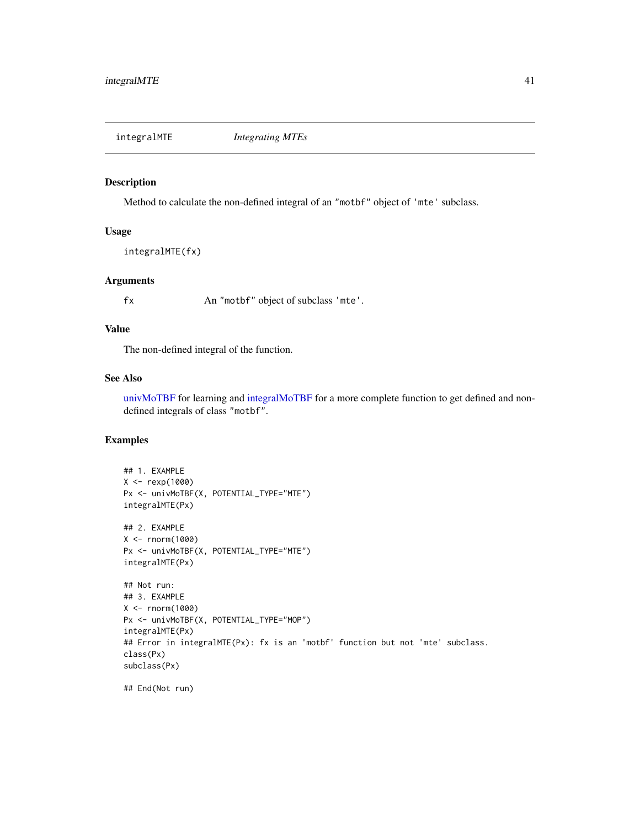<span id="page-40-0"></span>integralMTE *Integrating MTEs*

#### Description

Method to calculate the non-defined integral of an "motbf" object of 'mte' subclass.

# Usage

integralMTE(fx)

#### Arguments

fx An "motbf" object of subclass 'mte'.

## Value

The non-defined integral of the function.

## See Also

[univMoTBF](#page-78-0) for learning and [integralMoTBF](#page-38-0) for a more complete function to get defined and nondefined integrals of class "motbf".

```
## 1. EXAMPLE
X <- rexp(1000)
Px <- univMoTBF(X, POTENTIAL_TYPE="MTE")
integralMTE(Px)
## 2. EXAMPLE
X <- rnorm(1000)
Px <- univMoTBF(X, POTENTIAL_TYPE="MTE")
integralMTE(Px)
## Not run:
## 3. EXAMPLE
X <- rnorm(1000)
Px <- univMoTBF(X, POTENTIAL_TYPE="MOP")
integralMTE(Px)
## Error in integralMTE(Px): fx is an 'motbf' function but not 'mte' subclass.
class(Px)
subclass(Px)
```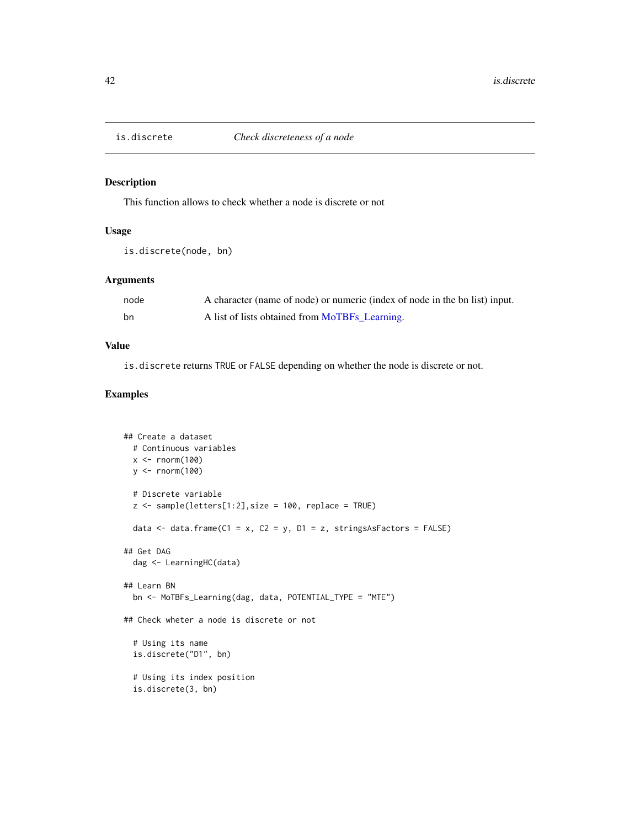# Description

This function allows to check whether a node is discrete or not

## Usage

```
is.discrete(node, bn)
```
## Arguments

| node | A character (name of node) or numeric (index of node in the bn list) input. |
|------|-----------------------------------------------------------------------------|
| bn   | A list of lists obtained from MoTBFs_Learning.                              |

## Value

is.discrete returns TRUE or FALSE depending on whether the node is discrete or not.

```
## Create a dataset
 # Continuous variables
 x <- rnorm(100)
 y <- rnorm(100)
 # Discrete variable
 z <- sample(letters[1:2], size = 100, replace = TRUE)
 data <- data.frame(C1 = x, C2 = y, D1 = z, stringsAsFactors = FALSE)
## Get DAG
 dag <- LearningHC(data)
## Learn BN
 bn <- MoTBFs_Learning(dag, data, POTENTIAL_TYPE = "MTE")
## Check wheter a node is discrete or not
 # Using its name
 is.discrete("D1", bn)
 # Using its index position
 is.discrete(3, bn)
```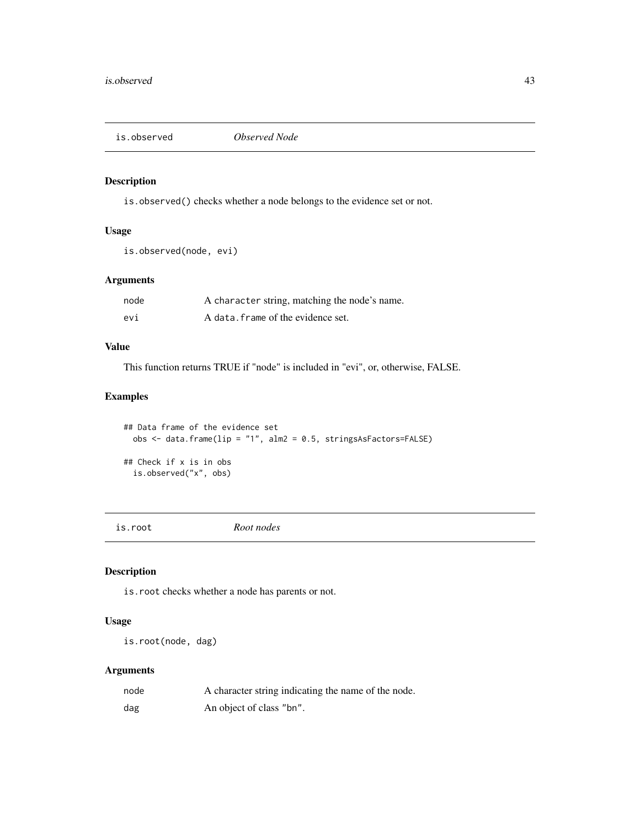is.observed *Observed Node*

# Description

is.observed() checks whether a node belongs to the evidence set or not.

# Usage

```
is.observed(node, evi)
```
# Arguments

| node | A character string, matching the node's name. |
|------|-----------------------------------------------|
| evi  | A data. frame of the evidence set.            |

# Value

This function returns TRUE if "node" is included in "evi", or, otherwise, FALSE.

# Examples

```
## Data frame of the evidence set
 obs <- data.frame(lip = "1", alm2 = 0.5, stringsAsFactors=FALSE)
## Check if x is in obs
  is.observed("x", obs)
```
is.root *Root nodes*

# Description

is.root checks whether a node has parents or not.

# Usage

is.root(node, dag)

## Arguments

| node | A character string indicating the name of the node. |
|------|-----------------------------------------------------|
| dag  | An object of class "bn".                            |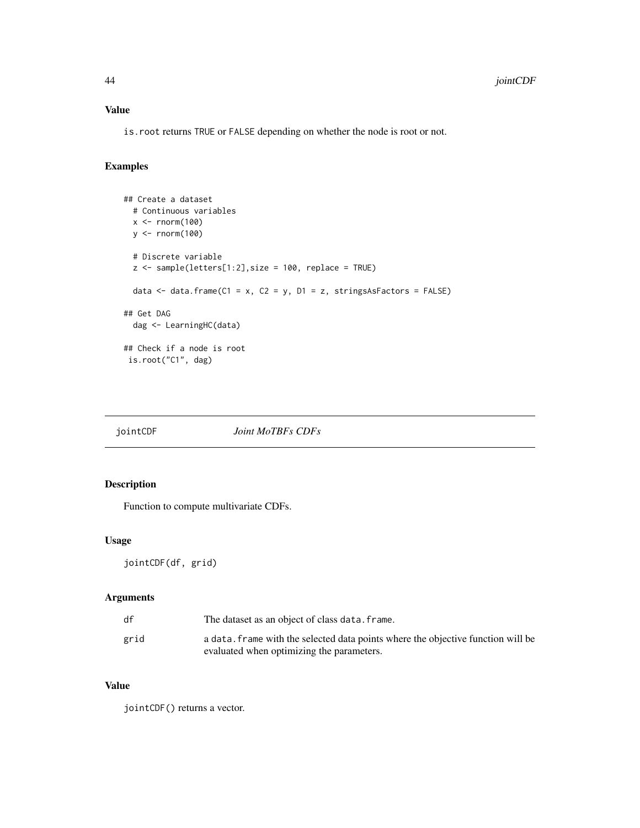# Value

is.root returns TRUE or FALSE depending on whether the node is root or not.

# Examples

```
## Create a dataset
  # Continuous variables
 x <- rnorm(100)
 y <- rnorm(100)
  # Discrete variable
  z <- sample(letters[1:2],size = 100, replace = TRUE)
  data \le data.frame(C1 = x, C2 = y, D1 = z, stringsAsFactors = FALSE)
## Get DAG
  dag <- LearningHC(data)
## Check if a node is root
 is.root("C1", dag)
```
jointCDF *Joint MoTBFs CDFs*

## Description

Function to compute multivariate CDFs.

## Usage

jointCDF(df, grid)

# Arguments

| df   | The dataset as an object of class data. frame.                                                                                |
|------|-------------------------------------------------------------------------------------------------------------------------------|
| grid | a data. frame with the selected data points where the objective function will be<br>evaluated when optimizing the parameters. |

# Value

jointCDF() returns a vector.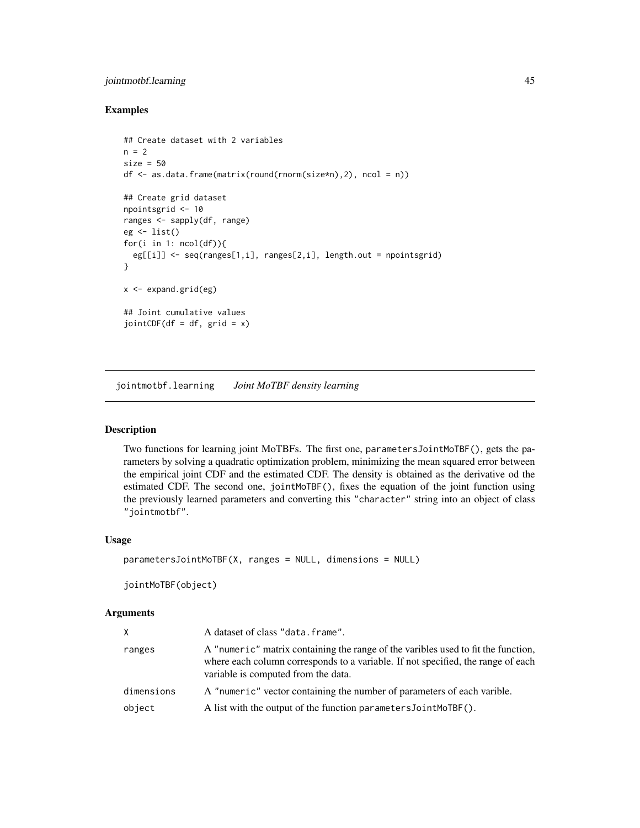# jointmotbf.learning 45

## Examples

```
## Create dataset with 2 variables
n = 2size = 50df <- as.data.frame(matrix(round(rnorm(size*n),2), ncol = n))
## Create grid dataset
npointsgrid <- 10
ranges <- sapply(df, range)
eg <- list()
for(i in 1: ncol(df))eg[[i]] <- seq(ranges[1,i], ranges[2,i], length.out = npointsgrid)
}
x \leq - expand.grid(eg)
## Joint cumulative values
jointCDF(df = df, grid = x)
```
jointmotbf.learning *Joint MoTBF density learning*

## <span id="page-44-0"></span>Description

Two functions for learning joint MoTBFs. The first one, parametersJointMoTBF(), gets the parameters by solving a quadratic optimization problem, minimizing the mean squared error between the empirical joint CDF and the estimated CDF. The density is obtained as the derivative od the estimated CDF. The second one, jointMoTBF(), fixes the equation of the joint function using the previously learned parameters and converting this "character" string into an object of class "jointmotbf".

# Usage

```
parametersJointMoTBF(X, ranges = NULL, dimensions = NULL)
```

```
jointMoTBF(object)
```
#### **Arguments**

| X.         | A dataset of class "data.frame".                                                                                                                                                                             |
|------------|--------------------------------------------------------------------------------------------------------------------------------------------------------------------------------------------------------------|
| ranges     | A "numeric" matrix containing the range of the varibles used to fit the function,<br>where each column corresponds to a variable. If not specified, the range of each<br>variable is computed from the data. |
| dimensions | A "numeric" vector containing the number of parameters of each varible.                                                                                                                                      |
| object     | A list with the output of the function parameters JointMoTBF().                                                                                                                                              |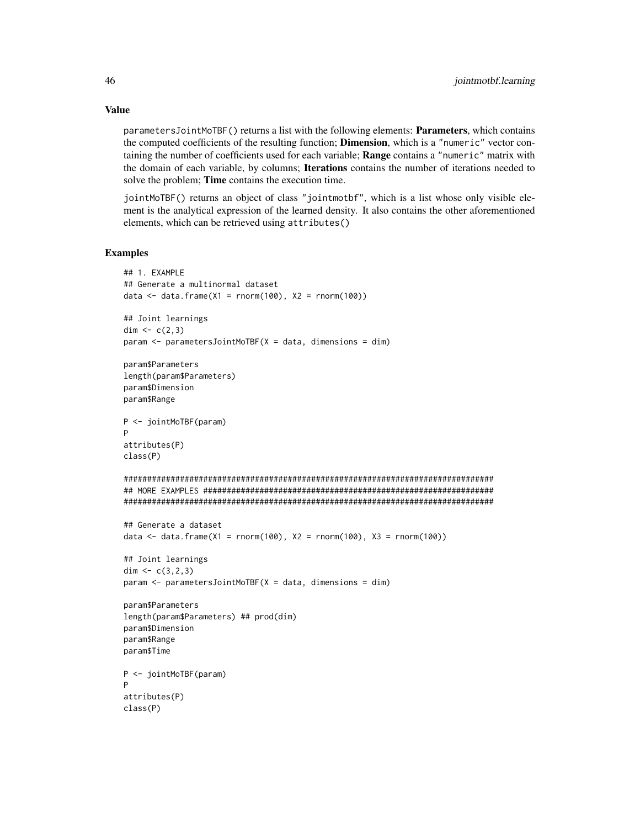parametersJointMoTBF() returns a list with the following elements: Parameters, which contains the computed coefficients of the resulting function; **Dimension**, which is a "numeric" vector containing the number of coefficients used for each variable; Range contains a "numeric" matrix with the domain of each variable, by columns; **Iterations** contains the number of iterations needed to solve the problem; **Time** contains the execution time.

jointMoTBF() returns an object of class "jointmotbf", which is a list whose only visible element is the analytical expression of the learned density. It also contains the other aforementioned elements, which can be retrieved using attributes()

#### Examples

```
## 1. EXAMPLE
## Generate a multinormal dataset
data \leq data.frame(X1 = rnorm(100), X2 = rnorm(100))
## Joint learnings
dim <-c(2,3)param < - parametersJointMoTBF(X = data, dimensions = dim)
param$Parameters
length(param$Parameters)
param$Dimension
param$Range
P <- jointMoTBF(param)
P
attributes(P)
class(P)
###############################################################################
## MORE EXAMPLES ##############################################################
###############################################################################
## Generate a dataset
data <- data.frame(X1 = rnorm(100), X2 = rnorm(100), X3 = rnorm(100))
## Joint learnings
dim <-c(3,2,3)param <- parametersJointMoTBF(X = data, dimensions = dim)
param$Parameters
length(param$Parameters) ## prod(dim)
param$Dimension
param$Range
param$Time
P <- jointMoTBF(param)
P
attributes(P)
class(P)
```
# Value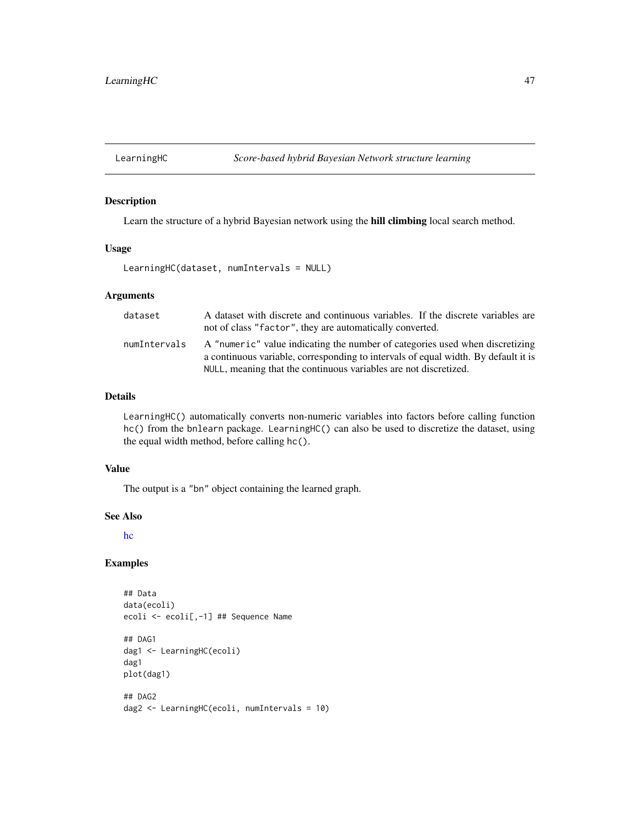# Description

Learn the structure of a hybrid Bayesian network using the hill climbing local search method.

#### Usage

```
LearningHC(dataset, numIntervals = NULL)
```
#### Arguments

| dataset      | A dataset with discrete and continuous variables. If the discrete variables are<br>not of class "factor", they are automatically converted.                                                                                            |
|--------------|----------------------------------------------------------------------------------------------------------------------------------------------------------------------------------------------------------------------------------------|
| numIntervals | A "numeric" value indicating the number of categories used when discretizing<br>a continuous variable, corresponding to intervals of equal width. By default it is<br>NULL, meaning that the continuous variables are not discretized. |

# Details

LearningHC() automatically converts non-numeric variables into factors before calling function hc() from the bnlearn package. LearningHC() can also be used to discretize the dataset, using the equal width method, before calling hc().

## Value

The output is a "bn" object containing the learned graph.

#### See Also

[hc](#page-0-0)

```
## Data
data(ecoli)
ecoli <- ecoli[,-1] ## Sequence Name
## DAG1
dag1 <- LearningHC(ecoli)
dag1
plot(dag1)
## DAG2
dag2 <- LearningHC(ecoli, numIntervals = 10)
```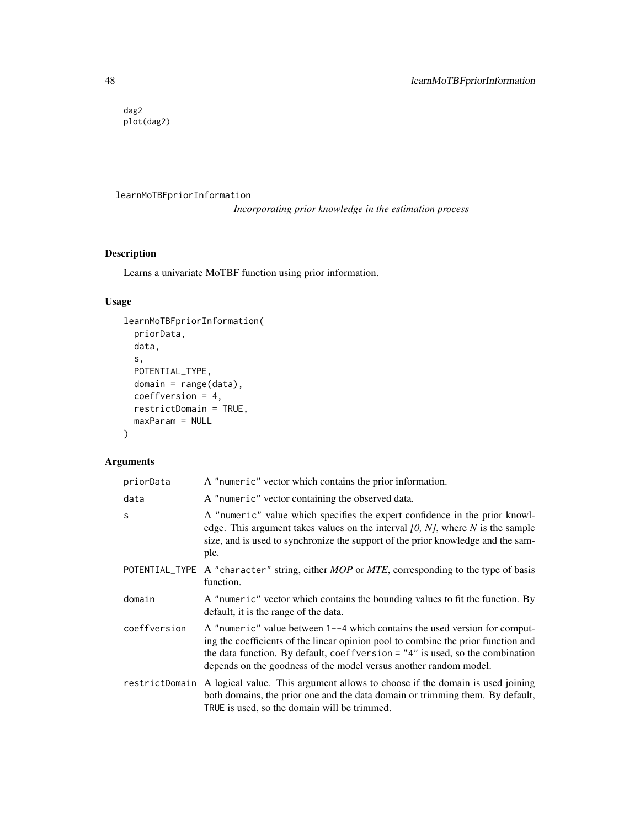dag2 plot(dag2)

# learnMoTBFpriorInformation

*Incorporating prior knowledge in the estimation process*

# Description

Learns a univariate MoTBF function using prior information.

# Usage

```
learnMoTBFpriorInformation(
 priorData,
 data,
  s,
 POTENTIAL_TYPE,
 domain = range(data),
 coeffversion = 4,
  restrictDomain = TRUE,
 maxParam = NULL
\mathcal{L}
```
# Arguments

| priorData      | A "numeric" vector which contains the prior information.                                                                                                                                                                                                                                                                |
|----------------|-------------------------------------------------------------------------------------------------------------------------------------------------------------------------------------------------------------------------------------------------------------------------------------------------------------------------|
| data           | A "numeric" vector containing the observed data.                                                                                                                                                                                                                                                                        |
| S              | A "numeric" value which specifies the expert confidence in the prior knowl-<br>edge. This argument takes values on the interval $[0, N]$ , where N is the sample<br>size, and is used to synchronize the support of the prior knowledge and the sam-<br>ple.                                                            |
|                | POTENTIAL_TYPE A "character" string, either $MOP$ or $MTE$ , corresponding to the type of basis<br>function.                                                                                                                                                                                                            |
| domain         | A "numeric" vector which contains the bounding values to fit the function. By<br>default, it is the range of the data.                                                                                                                                                                                                  |
| coeffversion   | A "numeric" value between 1--4 which contains the used version for comput-<br>ing the coefficients of the linear opinion pool to combine the prior function and<br>the data function. By default, coeffversion $=$ "4" is used, so the combination<br>depends on the goodness of the model versus another random model. |
| restrictDomain | A logical value. This argument allows to choose if the domain is used joining<br>both domains, the prior one and the data domain or trimming them. By default,<br>TRUE is used, so the domain will be trimmed.                                                                                                          |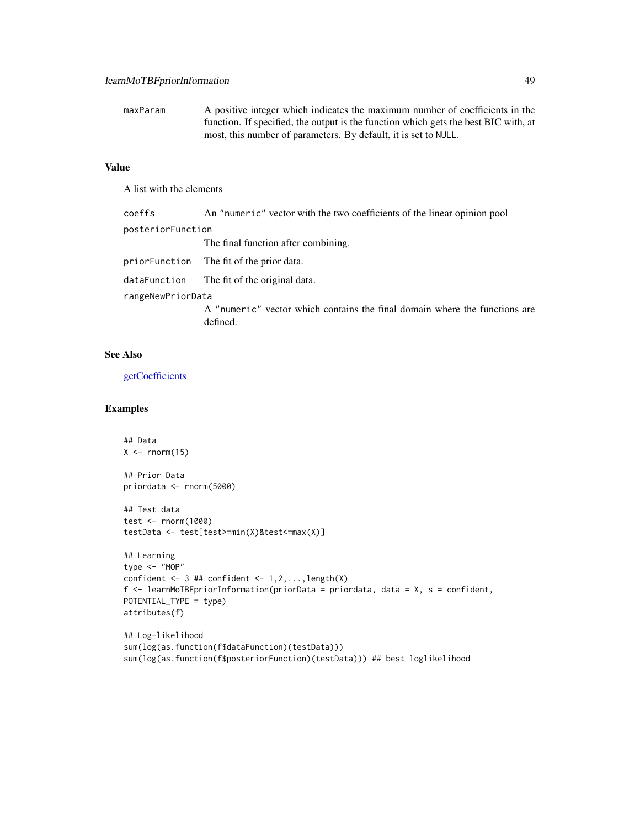maxParam A positive integer which indicates the maximum number of coefficients in the function. If specified, the output is the function which gets the best BIC with, at most, this number of parameters. By default, it is set to NULL.

# Value

A list with the elements

| coeffs            | An "numeric" vector with the two coefficients of the linear opinion pool               |
|-------------------|----------------------------------------------------------------------------------------|
| posteriorFunction |                                                                                        |
|                   | The final function after combining.                                                    |
|                   | priorFunction The fit of the prior data.                                               |
|                   | dataFunction The fit of the original data.                                             |
| rangeNewPriorData |                                                                                        |
|                   | A "numeric" vector which contains the final domain where the functions are<br>defined. |

#### See Also

[getCoefficients](#page-31-0)

```
## Data
X \leftarrow \text{norm}(15)## Prior Data
priordata <- rnorm(5000)
## Test data
test <- rnorm(1000)
testData <- test[test>=min(X)&test<=max(X)]
## Learning
type <- "MOP"
confident \leq -3 ## confident \leq -1, 2, \ldots, length(X)
f <- learnMoTBFpriorInformation(priorData = priordata, data = X, s = confident,
POTENTIAL_TYPE = type)
attributes(f)
## Log-likelihood
sum(log(as.function(f$dataFunction)(testData)))
sum(log(as.function(f$posteriorFunction)(testData))) ## best loglikelihood
```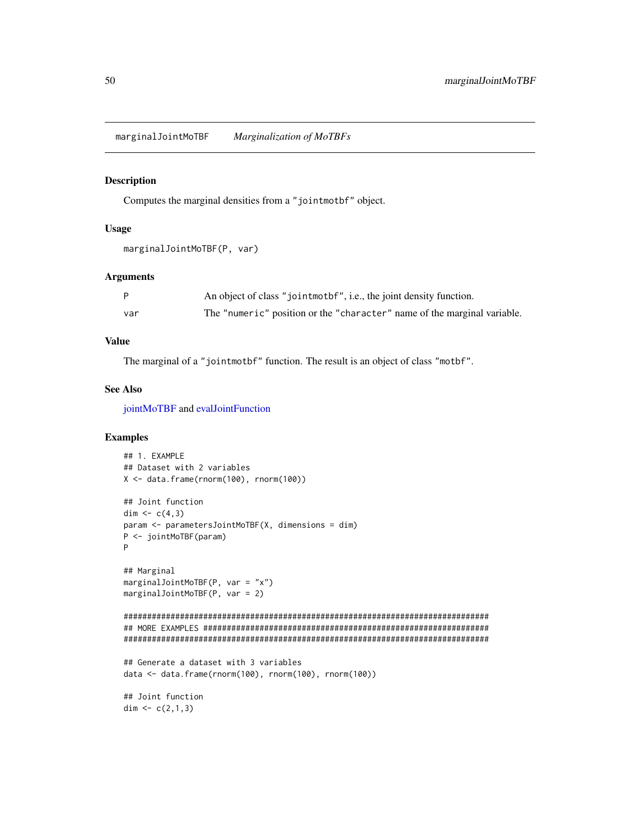marginalJointMoTBF *Marginalization of MoTBFs*

#### Description

Computes the marginal densities from a "jointmotbf" object.

## Usage

```
marginalJointMoTBF(P, var)
```
## Arguments

|     | An object of class "jointmothently", i.e., the joint density function.   |
|-----|--------------------------------------------------------------------------|
| var | The "numeric" position or the "character" name of the marginal variable. |

## Value

The marginal of a "jointmotbf" function. The result is an object of class "motbf".

#### See Also

[jointMoTBF](#page-44-0) and [evalJointFunction](#page-26-0)

```
## 1. EXAMPLE
## Dataset with 2 variables
X <- data.frame(rnorm(100), rnorm(100))
## Joint function
dim <- c(4,3)param <- parametersJointMoTBF(X, dimensions = dim)
P <- jointMoTBF(param)
P
## Marginal
marginalJointMoTBF(P, var = "x")
marginalJointMoTBF(P, var = 2)
##############################################################################
## MORE EXAMPLES #############################################################
##############################################################################
## Generate a dataset with 3 variables
data <- data.frame(rnorm(100), rnorm(100), rnorm(100))
## Joint function
dim <-c(2,1,3)
```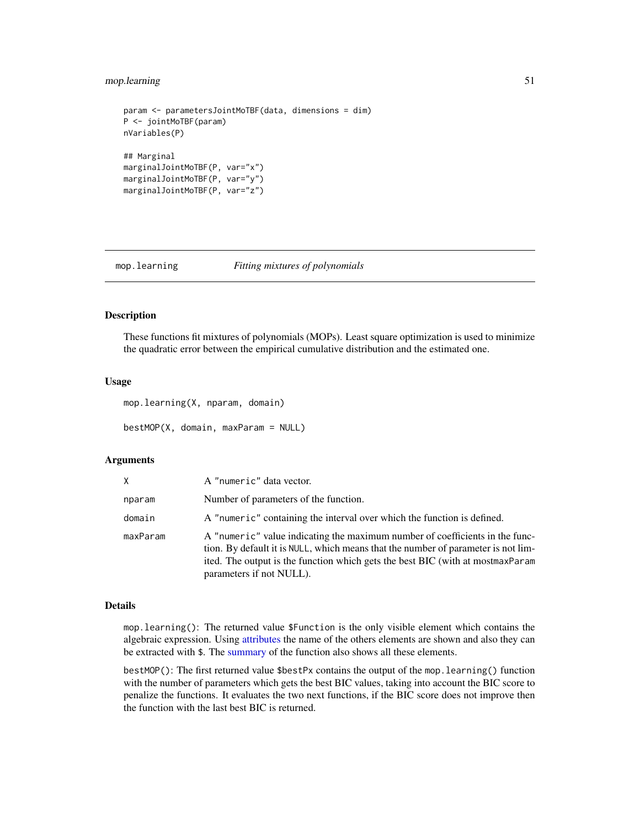## mop.learning 51

```
param <- parametersJointMoTBF(data, dimensions = dim)
P <- jointMoTBF(param)
nVariables(P)
## Marginal
marginalJointMoTBF(P, var="x")
marginalJointMoTBF(P, var="y")
marginalJointMoTBF(P, var="z")
```
mop.learning *Fitting mixtures of polynomials*

#### Description

These functions fit mixtures of polynomials (MOPs). Least square optimization is used to minimize the quadratic error between the empirical cumulative distribution and the estimated one.

#### Usage

mop.learning(X, nparam, domain)

bestMOP(X, domain, maxParam = NULL)

#### Arguments

| X        | A "numeric" data vector.                                                                                                                                                                                                                                                          |
|----------|-----------------------------------------------------------------------------------------------------------------------------------------------------------------------------------------------------------------------------------------------------------------------------------|
| nparam   | Number of parameters of the function.                                                                                                                                                                                                                                             |
| domain   | A "numeric" containing the interval over which the function is defined.                                                                                                                                                                                                           |
| maxParam | A "numeric" value indicating the maximum number of coefficients in the func-<br>tion. By default it is NULL, which means that the number of parameter is not lim-<br>ited. The output is the function which gets the best BIC (with at most max Param<br>parameters if not NULL). |

#### Details

mop.learning(): The returned value \$Function is the only visible element which contains the algebraic expression. Using [attributes](#page-0-0) the name of the others elements are shown and also they can be extracted with \$. The [summary](#page-0-0) of the function also shows all these elements.

bestMOP(): The first returned value \$bestPx contains the output of the mop.learning() function with the number of parameters which gets the best BIC values, taking into account the BIC score to penalize the functions. It evaluates the two next functions, if the BIC score does not improve then the function with the last best BIC is returned.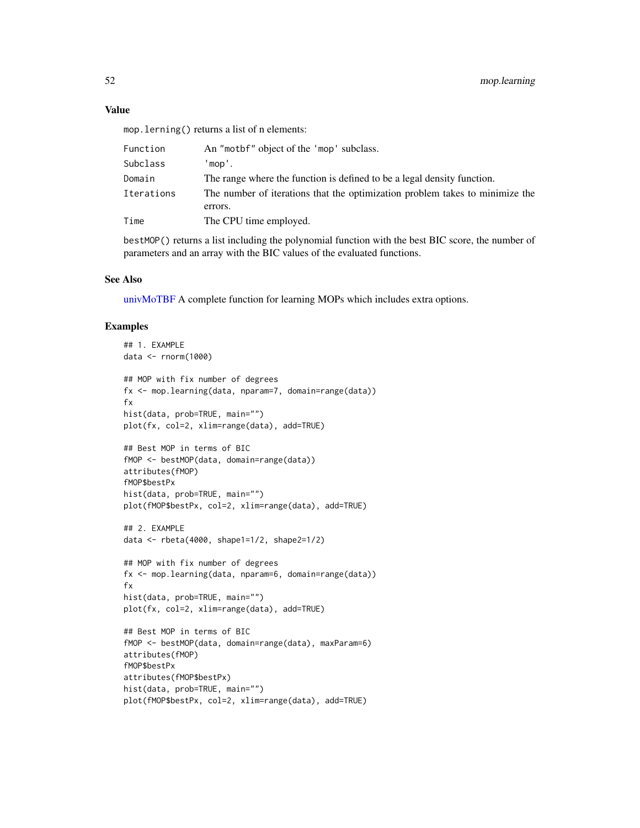#### Value

mop.lerning() returns a list of n elements:

| Subclass<br>'mop'.                                                                                    |  |
|-------------------------------------------------------------------------------------------------------|--|
| The range where the function is defined to be a legal density function.<br>Domain                     |  |
| The number of iterations that the optimization problem takes to minimize the<br>Iterations<br>errors. |  |
| The CPU time employed.<br>Time                                                                        |  |

bestMOP() returns a list including the polynomial function with the best BIC score, the number of parameters and an array with the BIC values of the evaluated functions.

#### See Also

[univMoTBF](#page-78-0) A complete function for learning MOPs which includes extra options.

```
## 1. EXAMPLE
data <- rnorm(1000)
## MOP with fix number of degrees
fx <- mop.learning(data, nparam=7, domain=range(data))
fx
hist(data, prob=TRUE, main="")
plot(fx, col=2, xlim=range(data), add=TRUE)
## Best MOP in terms of BIC
fMOP <- bestMOP(data, domain=range(data))
attributes(fMOP)
fMOP$bestPx
hist(data, prob=TRUE, main="")
plot(fMOP$bestPx, col=2, xlim=range(data), add=TRUE)
## 2. EXAMPLE
data <- rbeta(4000, shape1=1/2, shape2=1/2)
## MOP with fix number of degrees
fx <- mop.learning(data, nparam=6, domain=range(data))
fx
hist(data, prob=TRUE, main="")
plot(fx, col=2, xlim=range(data), add=TRUE)
## Best MOP in terms of BIC
fMOP <- bestMOP(data, domain=range(data), maxParam=6)
attributes(fMOP)
fMOP$bestPx
attributes(fMOP$bestPx)
hist(data, prob=TRUE, main="")
plot(fMOP$bestPx, col=2, xlim=range(data), add=TRUE)
```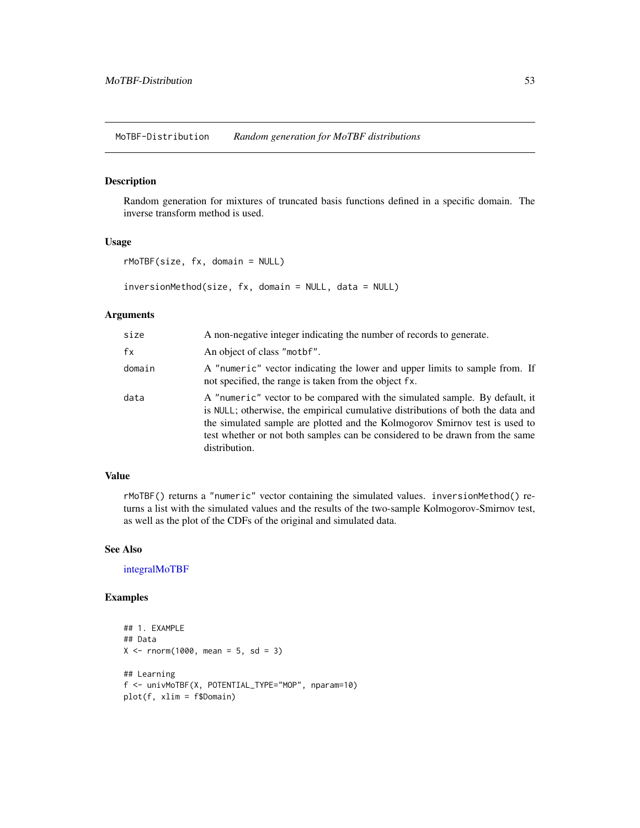MoTBF-Distribution *Random generation for MoTBF distributions*

## Description

Random generation for mixtures of truncated basis functions defined in a specific domain. The inverse transform method is used.

# Usage

```
rMoTBF(size, fx, domain = NULL)
```
inversionMethod(size, fx, domain = NULL, data = NULL)

#### Arguments

| size   | A non-negative integer indicating the number of records to generate.                                                                                                                                                                                                                                                                           |
|--------|------------------------------------------------------------------------------------------------------------------------------------------------------------------------------------------------------------------------------------------------------------------------------------------------------------------------------------------------|
| fx     | An object of class "mother".                                                                                                                                                                                                                                                                                                                   |
| domain | A "numeric" vector indicating the lower and upper limits to sample from. If<br>not specified, the range is taken from the object fx.                                                                                                                                                                                                           |
| data   | A "numeric" vector to be compared with the simulated sample. By default, it<br>is NULL; otherwise, the empirical cumulative distributions of both the data and<br>the simulated sample are plotted and the Kolmogorov Smirnov test is used to<br>test whether or not both samples can be considered to be drawn from the same<br>distribution. |

#### Value

rMoTBF() returns a "numeric" vector containing the simulated values. inversionMethod() returns a list with the simulated values and the results of the two-sample Kolmogorov-Smirnov test, as well as the plot of the CDFs of the original and simulated data.

#### See Also

[integralMoTBF](#page-38-0)

```
## 1. EXAMPLE
## Data
X < - rnorm(1000, mean = 5, sd = 3)
## Learning
f <- univMoTBF(X, POTENTIAL_TYPE="MOP", nparam=10)
plot(f, xlim = f$Domain)
```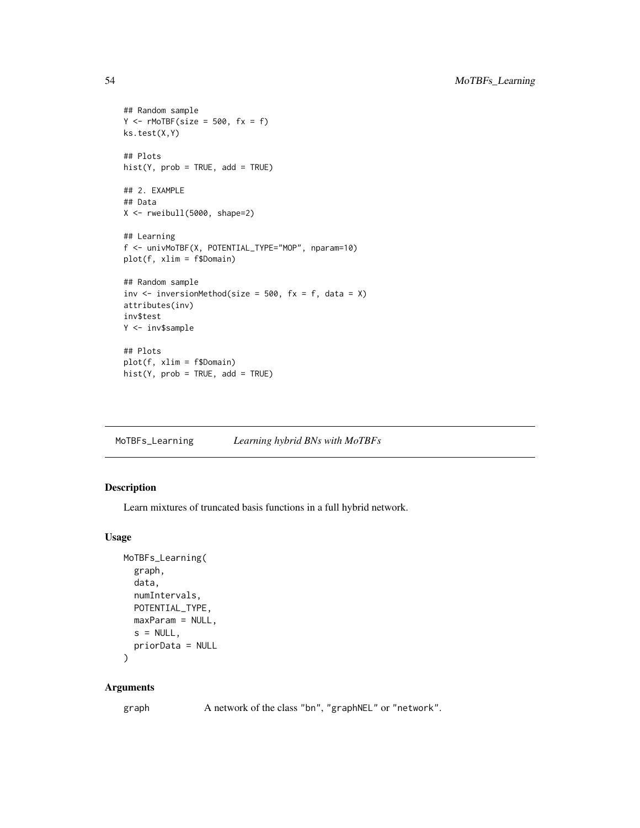```
## Random sample
Y \leftarrow rMoTBF(size = 500, fx = f)ks.test(X,Y)
## Plots
hist(Y, prob = TRUE, add = TRUE)## 2. EXAMPLE
## Data
X \leftarrow \text{rweibull}(5000, \text{shape=2})## Learning
f <- univMoTBF(X, POTENTIAL_TYPE="MOP", nparam=10)
plot(f, xlim = f$Domain)
## Random sample
inv \le inversionMethod(size = 500, fx = f, data = X)
attributes(inv)
inv$test
Y <- inv$sample
## Plots
plot(f, xlim = f$Domain)
hist(Y, prob = TRUE, add = TRUE)
```
<span id="page-53-0"></span>MoTBFs\_Learning *Learning hybrid BNs with MoTBFs*

#### Description

Learn mixtures of truncated basis functions in a full hybrid network.

#### Usage

```
MoTBFs_Learning(
  graph,
 data,
  numIntervals,
 POTENTIAL_TYPE,
 maxParam = NULL,
 s = NULL,
  priorData = NULL
)
```
## Arguments

graph A network of the class "bn", "graphNEL" or "network".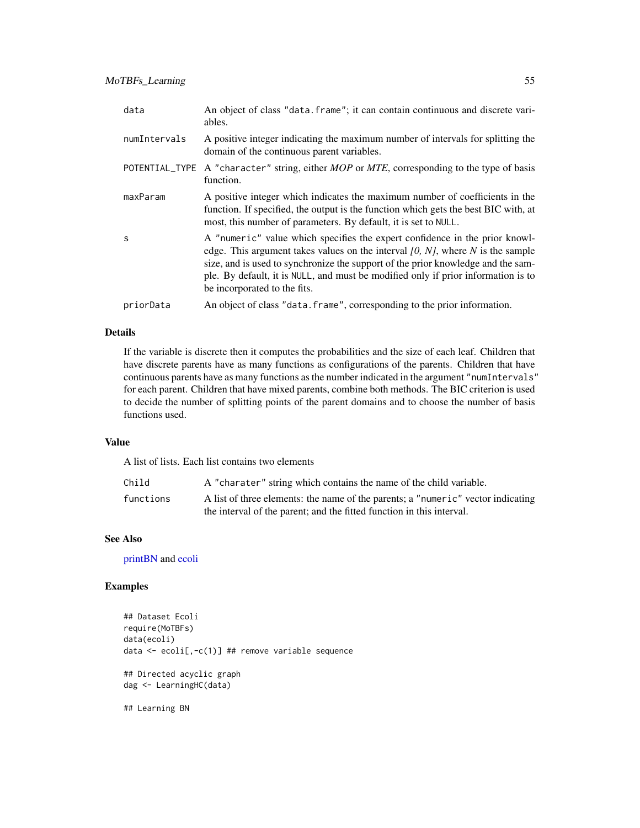| data         | An object of class "data. frame"; it can contain continuous and discrete vari-<br>ables.                                                                                                                                                                                                                                                                                  |
|--------------|---------------------------------------------------------------------------------------------------------------------------------------------------------------------------------------------------------------------------------------------------------------------------------------------------------------------------------------------------------------------------|
| numIntervals | A positive integer indicating the maximum number of intervals for splitting the<br>domain of the continuous parent variables.                                                                                                                                                                                                                                             |
|              | POTENTIAL_TYPE A "character" string, either MOP or MTE, corresponding to the type of basis<br>function.                                                                                                                                                                                                                                                                   |
| maxParam     | A positive integer which indicates the maximum number of coefficients in the<br>function. If specified, the output is the function which gets the best BIC with, at<br>most, this number of parameters. By default, it is set to NULL.                                                                                                                                    |
| S            | A "numeric" value which specifies the expert confidence in the prior knowl-<br>edge. This argument takes values on the interval $[0, N]$ , where N is the sample<br>size, and is used to synchronize the support of the prior knowledge and the sam-<br>ple. By default, it is NULL, and must be modified only if prior information is to<br>be incorporated to the fits. |
| priorData    | An object of class "data. frame", corresponding to the prior information.                                                                                                                                                                                                                                                                                                 |

# Details

If the variable is discrete then it computes the probabilities and the size of each leaf. Children that have discrete parents have as many functions as configurations of the parents. Children that have continuous parents have as many functions as the number indicated in the argument "numIntervals" for each parent. Children that have mixed parents, combine both methods. The BIC criterion is used to decide the number of splitting points of the parent domains and to choose the number of basis functions used.

## Value

A list of lists. Each list contains two elements

| Child     | A "charater" string which contains the name of the child variable.                                                                                        |
|-----------|-----------------------------------------------------------------------------------------------------------------------------------------------------------|
| functions | A list of three elements: the name of the parents; a "numeric" vector indicating<br>the interval of the parent; and the fitted function in this interval. |

# See Also

[printBN](#page-65-0) and [ecoli](#page-25-0)

# Examples

```
## Dataset Ecoli
require(MoTBFs)
data(ecoli)
data <- ecoli[,-c(1)] ## remove variable sequence
## Directed acyclic graph
dag <- LearningHC(data)
```
## Learning BN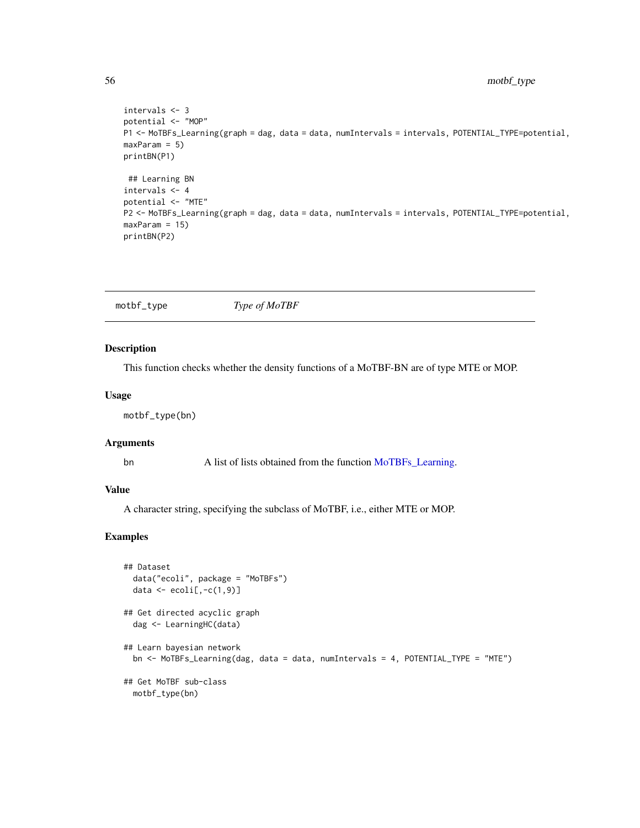```
intervals <- 3
potential <- "MOP"
P1 <- MoTBFs_Learning(graph = dag, data = data, numIntervals = intervals, POTENTIAL_TYPE=potential,
maxParam = 5)
printBN(P1)
 ## Learning BN
intervals <- 4
potential <- "MTE"
P2 <- MoTBFs_Learning(graph = dag, data = data, numIntervals = intervals, POTENTIAL_TYPE=potential,
maxParam = 15)
printBN(P2)
```
motbf\_type *Type of MoTBF*

#### Description

This function checks whether the density functions of a MoTBF-BN are of type MTE or MOP.

# Usage

motbf\_type(bn)

# Arguments

bn A list of lists obtained from the function [MoTBFs\\_Learning.](#page-53-0)

# Value

A character string, specifying the subclass of MoTBF, i.e., either MTE or MOP.

```
## Dataset
 data("ecoli", package = "MoTBFs")
 data \leq ecoli[,-c(1, 9)]
## Get directed acyclic graph
 dag <- LearningHC(data)
## Learn bayesian network
 bn <- MoTBFs_Learning(dag, data = data, numIntervals = 4, POTENTIAL_TYPE = "MTE")
## Get MoTBF sub-class
 motbf_type(bn)
```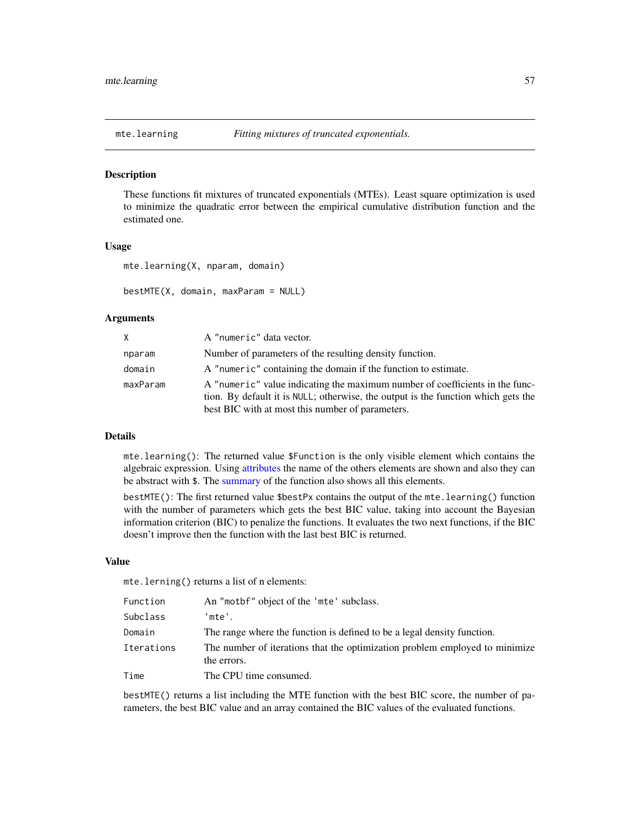#### Description

These functions fit mixtures of truncated exponentials (MTEs). Least square optimization is used to minimize the quadratic error between the empirical cumulative distribution function and the estimated one.

#### Usage

mte.learning(X, nparam, domain)

```
bestMTE(X, domain, maxParam = NULL)
```
## Arguments

| X.       | A "numeric" data vector.                                                                                                                                                                                              |
|----------|-----------------------------------------------------------------------------------------------------------------------------------------------------------------------------------------------------------------------|
| nparam   | Number of parameters of the resulting density function.                                                                                                                                                               |
| domain   | A "numeric" containing the domain if the function to estimate.                                                                                                                                                        |
| maxParam | A "numeric" value indicating the maximum number of coefficients in the func-<br>tion. By default it is NULL; otherwise, the output is the function which gets the<br>best BIC with at most this number of parameters. |

# Details

mte.learning(): The returned value \$Function is the only visible element which contains the algebraic expression. Using [attributes](#page-0-0) the name of the others elements are shown and also they can be abstract with  $\$ . The [summary](#page-0-0) of the function also shows all this elements.

bestMTE(): The first returned value \$bestPx contains the output of the mte.learning() function with the number of parameters which gets the best BIC value, taking into account the Bayesian information criterion (BIC) to penalize the functions. It evaluates the two next functions, if the BIC doesn't improve then the function with the last best BIC is returned.

#### Value

mte.lerning() returns a list of n elements:

| Function   | An "motbf" object of the 'mte' subclass.                                                   |
|------------|--------------------------------------------------------------------------------------------|
| Subclass   | 'mte'.                                                                                     |
| Domain     | The range where the function is defined to be a legal density function.                    |
| Iterations | The number of iterations that the optimization problem employed to minimize<br>the errors. |
| Time       | The CPU time consumed.                                                                     |

bestMTE() returns a list including the MTE function with the best BIC score, the number of parameters, the best BIC value and an array contained the BIC values of the evaluated functions.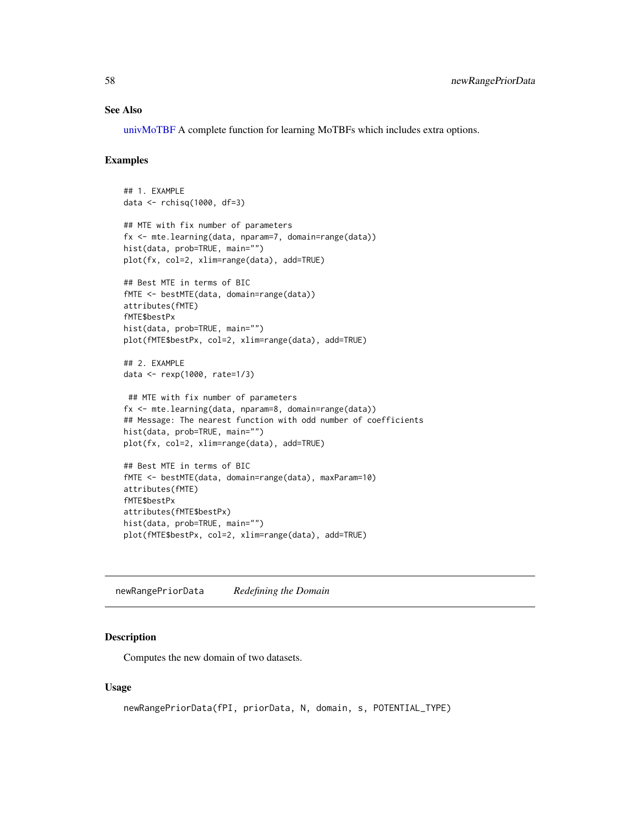#### See Also

[univMoTBF](#page-78-0) A complete function for learning MoTBFs which includes extra options.

#### Examples

```
## 1. EXAMPLE
data <- rchisq(1000, df=3)
## MTE with fix number of parameters
fx <- mte.learning(data, nparam=7, domain=range(data))
hist(data, prob=TRUE, main="")
plot(fx, col=2, xlim=range(data), add=TRUE)
## Best MTE in terms of BIC
fMTE <- bestMTE(data, domain=range(data))
attributes(fMTE)
fMTE$bestPx
hist(data, prob=TRUE, main="")
plot(fMTE$bestPx, col=2, xlim=range(data), add=TRUE)
## 2. EXAMPLE
data <- rexp(1000, rate=1/3)
## MTE with fix number of parameters
fx <- mte.learning(data, nparam=8, domain=range(data))
## Message: The nearest function with odd number of coefficients
hist(data, prob=TRUE, main="")
plot(fx, col=2, xlim=range(data), add=TRUE)
## Best MTE in terms of BIC
fMTE <- bestMTE(data, domain=range(data), maxParam=10)
attributes(fMTE)
fMTE$bestPx
```
attributes(fMTE\$bestPx) hist(data, prob=TRUE, main="") plot(fMTE\$bestPx, col=2, xlim=range(data), add=TRUE)

newRangePriorData *Redefining the Domain*

## Description

Computes the new domain of two datasets.

#### Usage

```
newRangePriorData(fPI, priorData, N, domain, s, POTENTIAL_TYPE)
```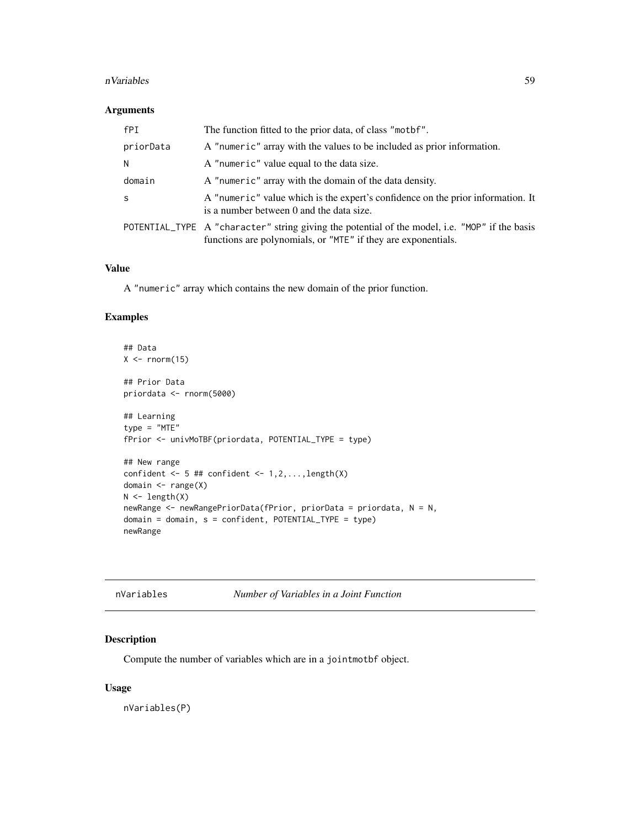#### nVariables 59

## Arguments

| fPI          | The function fitted to the prior data, of class "mother".                                                                                                       |
|--------------|-----------------------------------------------------------------------------------------------------------------------------------------------------------------|
| priorData    | A "numeric" array with the values to be included as prior information.                                                                                          |
| N            | A "numeric" value equal to the data size.                                                                                                                       |
| domain       | A "numeric" array with the domain of the data density.                                                                                                          |
| <sub>S</sub> | A "numeric" value which is the expert's confidence on the prior information. It<br>is a number between 0 and the data size.                                     |
|              | POTENTIAL_TYPE A "character" string giving the potential of the model, i.e. "MOP" if the basis<br>functions are polynomials, or "MTE" if they are exponentials. |

# Value

A "numeric" array which contains the new domain of the prior function.

# Examples

```
## Data
X \leftarrow \text{norm}(15)## Prior Data
priordata <- rnorm(5000)
## Learning
type = "MTE"
fPrior <- univMoTBF(priordata, POTENTIAL_TYPE = type)
## New range
confident \leq -5 ## confident \leq -1, 2, \ldots, length(X)
domain <- range(X)
N \leftarrow length(X)newRange <- newRangePriorData(fPrior, priorData = priordata, N = N,
domain = domain, s = confident, POTENTIAL_TYPE = type)newRange
```

| nVariables | Number of Variables in a Joint Function |
|------------|-----------------------------------------|

# Description

Compute the number of variables which are in a jointmotbf object.

# Usage

nVariables(P)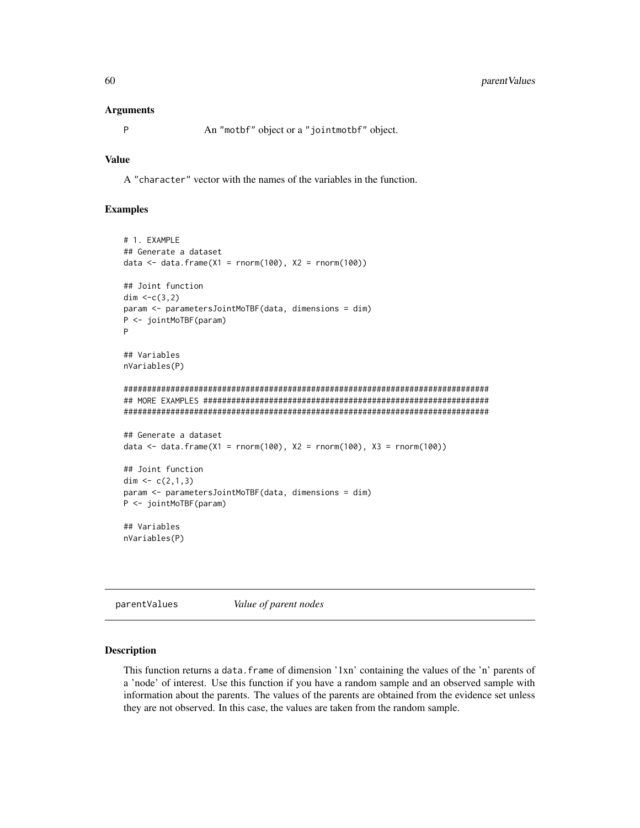#### Arguments

```
P An "motbf" object or a "jointmotbf" object.
```
## Value

A "character" vector with the names of the variables in the function.

#### Examples

```
# 1. EXAMPLE
## Generate a dataset
data \leq data.frame(X1 = rnorm(100), X2 = rnorm(100))
## Joint function
dim <-c(3,2)param <- parametersJointMoTBF(data, dimensions = dim)
P <- jointMoTBF(param)
P
## Variables
nVariables(P)
##############################################################################
## MORE EXAMPLES #############################################################
##############################################################################
## Generate a dataset
data <- data.frame(X1 = rnorm(100), X2 = rnorm(100), X3 = rnorm(100))
## Joint function
dim <-c(2,1,3)param <- parametersJointMoTBF(data, dimensions = dim)
P <- jointMoTBF(param)
## Variables
nVariables(P)
```
parentValues *Value of parent nodes*

#### Description

This function returns a data.frame of dimension '1xn' containing the values of the 'n' parents of a 'node' of interest. Use this function if you have a random sample and an observed sample with information about the parents. The values of the parents are obtained from the evidence set unless they are not observed. In this case, the values are taken from the random sample.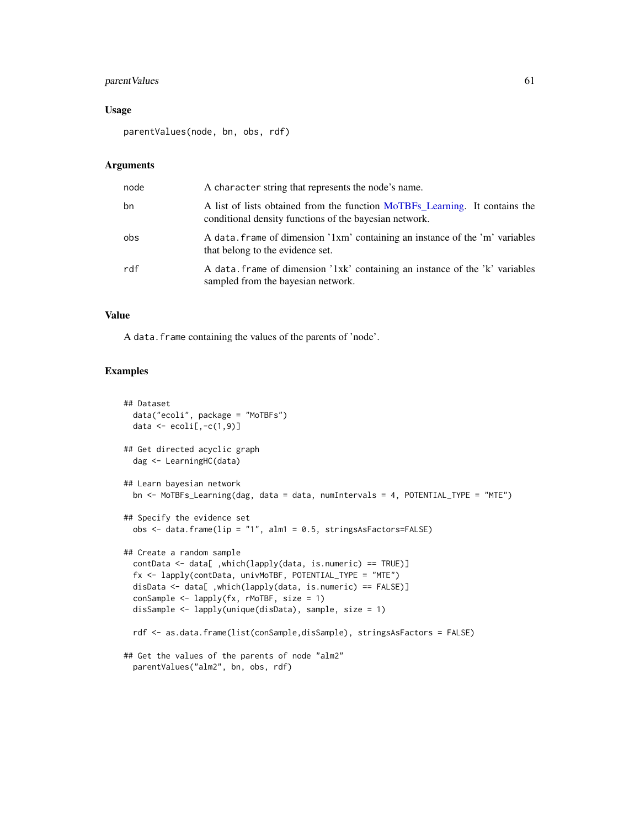## parent Values 61

#### Usage

parentValues(node, bn, obs, rdf)

#### Arguments

| node | A character string that represents the node's name.                                                                                   |
|------|---------------------------------------------------------------------------------------------------------------------------------------|
| bn   | A list of lists obtained from the function MoTBFs Learning. It contains the<br>conditional density functions of the bayesian network. |
| obs  | A data, frame of dimension '1xm' containing an instance of the 'm' variables<br>that belong to the evidence set.                      |
| rdf  | A data frame of dimension '1xk' containing an instance of the 'k' variables<br>sampled from the bayesian network.                     |

# Value

A data.frame containing the values of the parents of 'node'.

```
## Dataset
 data("ecoli", package = "MoTBFs")
 data \leq ecoli[,-c(1,9)]
## Get directed acyclic graph
 dag <- LearningHC(data)
## Learn bayesian network
 bn <- MoTBFs_Learning(dag, data = data, numIntervals = 4, POTENTIAL_TYPE = "MTE")
## Specify the evidence set
 obs <- data.frame(lip = "1", alm1 = 0.5, stringsAsFactors=FALSE)
## Create a random sample
 contData <- data[ ,which(lapply(data, is.numeric) == TRUE)]
 fx <- lapply(contData, univMoTBF, POTENTIAL_TYPE = "MTE")
 disData <- data[ ,which(lapply(data, is.numeric) == FALSE)]
 conSample <- lapply(fx, rMoTBF, size = 1)
 disSample <- lapply(unique(disData), sample, size = 1)
 rdf <- as.data.frame(list(conSample,disSample), stringsAsFactors = FALSE)
## Get the values of the parents of node "alm2"
 parentValues("alm2", bn, obs, rdf)
```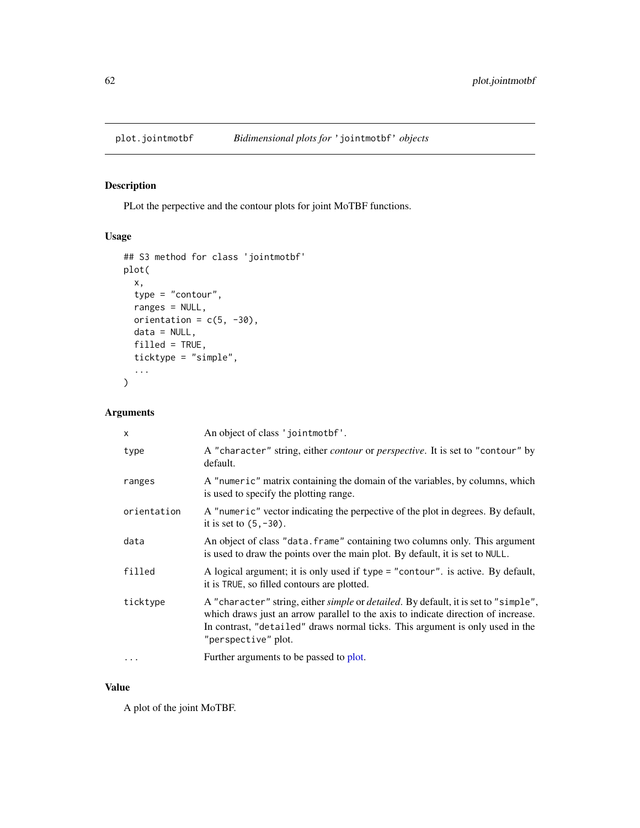# Description

PLot the perpective and the contour plots for joint MoTBF functions.

# Usage

```
## S3 method for class 'jointmotbf'
plot(
 x,
  type = "contour",
 ranges = NULL,
 orientation = c(5, -30),
 data = NULL,
 filled = TRUE,
  ticktype = "simple",
  ...
)
```
# Arguments

| X           | An object of class 'jointmothf'.                                                                                                                                                                                                                                                 |
|-------------|----------------------------------------------------------------------------------------------------------------------------------------------------------------------------------------------------------------------------------------------------------------------------------|
| type        | A "character" string, either <i>contour</i> or <i>perspective</i> . It is set to "contour" by<br>default.                                                                                                                                                                        |
| ranges      | A "numeric" matrix containing the domain of the variables, by columns, which<br>is used to specify the plotting range.                                                                                                                                                           |
| orientation | A "numeric" vector indicating the perpective of the plot in degrees. By default,<br>it is set to $(5, -30)$ .                                                                                                                                                                    |
| data        | An object of class "data. frame" containing two columns only. This argument<br>is used to draw the points over the main plot. By default, it is set to NULL.                                                                                                                     |
| filled      | A logical argument; it is only used if type = "contour". is active. By default,<br>it is TRUE, so filled contours are plotted.                                                                                                                                                   |
| ticktype    | A "character" string, either simple or detailed. By default, it is set to "simple",<br>which draws just an arrow parallel to the axis to indicate direction of increase.<br>In contrast, "detailed" draws normal ticks. This argument is only used in the<br>"perspective" plot. |
| $\cdots$    | Further arguments to be passed to plot.                                                                                                                                                                                                                                          |

#### Value

A plot of the joint MoTBF.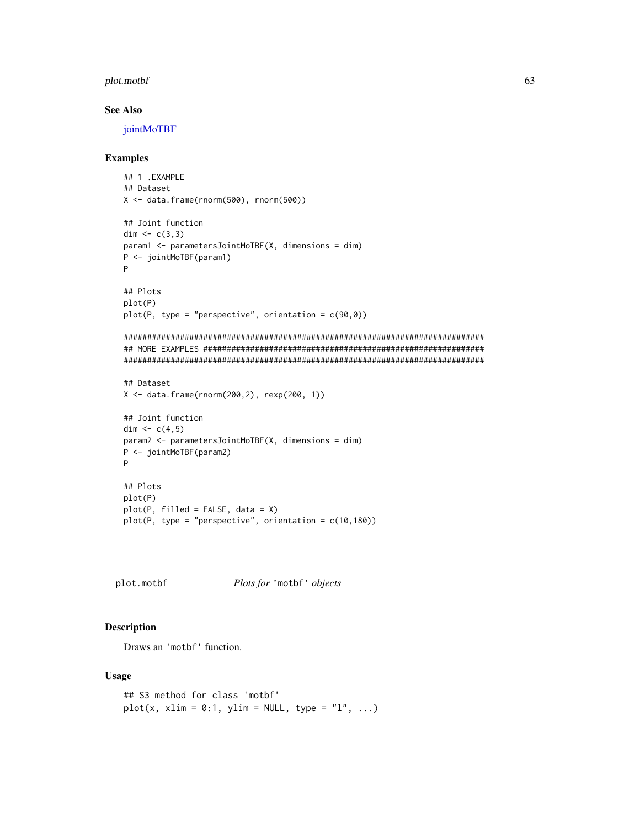#### plot.motbf 63

## See Also

[jointMoTBF](#page-44-0)

#### Examples

```
## 1 .EXAMPLE
## Dataset
X <- data.frame(rnorm(500), rnorm(500))
## Joint function
dim <- c(3,3)param1 <- parametersJointMoTBF(X, dimensions = dim)
P <- jointMoTBF(param1)
P
## Plots
plot(P)
plot(P, type = "perspective", orientation = c(90, 0))
#############################################################################
## MORE EXAMPLES ############################################################
#############################################################################
## Dataset
X \le - data.frame(rnorm(200,2), rexp(200, 1))
## Joint function
dim <-c(4,5)param2 <- parametersJointMoTBF(X, dimensions = dim)
P <- jointMoTBF(param2)
P
## Plots
plot(P)
plot(P, filled = FALSE, data = X)
plot(P, type = "perspective", orientation = c(10,180))
```
plot.motbf *Plots for* 'motbf' *objects*

# Description

Draws an 'motbf' function.

#### Usage

```
## S3 method for class 'motbf'
plot(x, xlim = 0:1, ylim = NULL, type = "l", ...)
```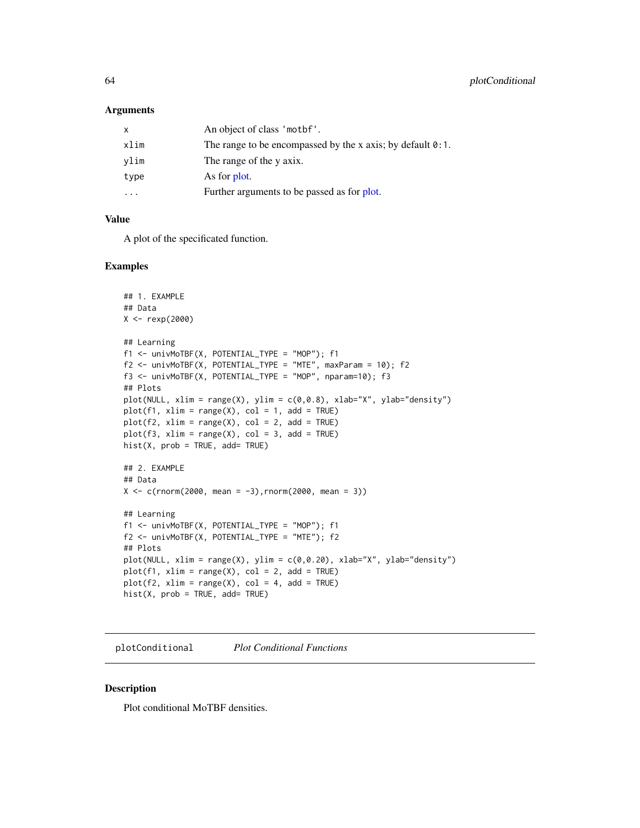#### Arguments

| x       | An object of class 'mothet'.                                       |
|---------|--------------------------------------------------------------------|
| xlim    | The range to be encompassed by the x axis; by default $\theta$ :1. |
| vlim    | The range of the y axix.                                           |
| type    | As for plot.                                                       |
| $\cdot$ | Further arguments to be passed as for plot.                        |
|         |                                                                    |

## Value

A plot of the specificated function.

#### Examples

```
## 1. EXAMPLE
## Data
X <- rexp(2000)
## Learning
f1 <- univMoTBF(X, POTENTIAL_TYPE = "MOP"); f1
f2 <- univMoTBF(X, POTENTIAL_TYPE = "MTE", maxParam = 10); f2
f3 <- univMoTBF(X, POTENTIAL_TYPE = "MOP", nparam=10); f3
## Plots
plot(NULL, xlim = range(X), ylim = c(0, 0.8), xlab="X", ylab="density")
plot(f1, xlim = range(X), col = 1, add = TRUE)plot(f2, xlim = range(X), col = 2, add = TRUE)plot(f3, xlim = range(X), col = 3, add = TRUE)hist(X, prob = TRUE, add = TRUE)## 2. EXAMPLE
## Data
X \leq c (rnorm(2000, mean = -3), rnorm(2000, mean = 3))
## Learning
f1 <- univMoTBF(X, POTENTIAL_TYPE = "MOP"); f1
f2 <- univMoTBF(X, POTENTIAL_TYPE = "MTE"); f2
## Plots
plot(NULL, xlim = range(X), ylim = c(0, 0.20), xlab="X", ylab="density")
plot(f1, xlim = range(X), col = 2, add = TRUE)plot(f2, xlim = range(X), col = 4, add = TRUE)hist(X, prob = TRUE, add = TRUE)
```
plotConditional *Plot Conditional Functions*

#### Description

Plot conditional MoTBF densities.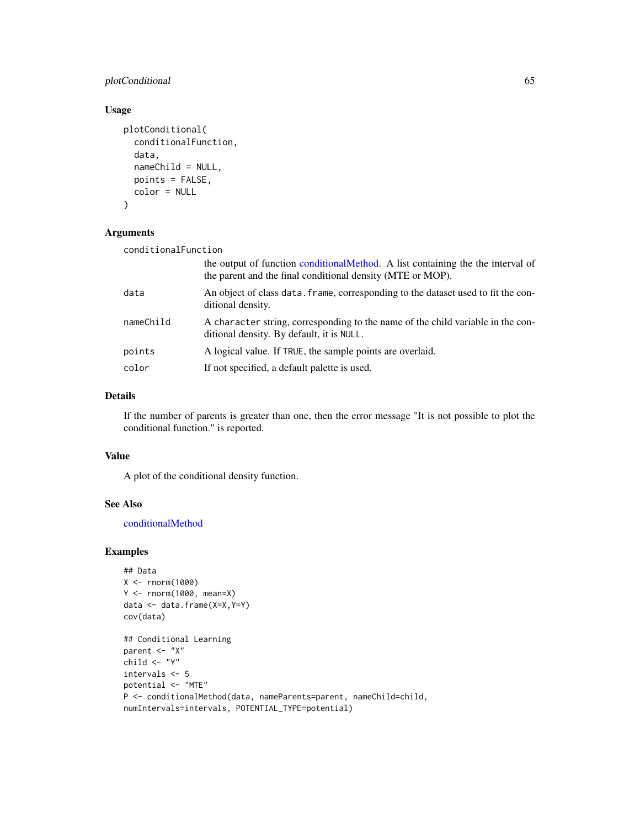# plotConditional 65

# Usage

```
plotConditional(
  conditionalFunction,
  data,
 nameChild = NULL,
 points = FALSE,
 color = NULL
)
```
# Arguments

| conditionalFunction |                                                                                                                                                |  |
|---------------------|------------------------------------------------------------------------------------------------------------------------------------------------|--|
|                     | the output of function conditional Method. A list containing the the interval of<br>the parent and the final conditional density (MTE or MOP). |  |
| data                | An object of class data. frame, corresponding to the dataset used to fit the con-<br>ditional density.                                         |  |
| nameChild           | A character string, corresponding to the name of the child variable in the con-<br>ditional density. By default, it is NULL.                   |  |
| points              | A logical value. If TRUE, the sample points are overlaid.                                                                                      |  |
| color               | If not specified, a default palette is used.                                                                                                   |  |

# Details

If the number of parents is greater than one, then the error message "It is not possible to plot the conditional function." is reported.

## Value

A plot of the conditional density function.

## See Also

[conditionalMethod](#page-15-0)

```
## Data
X <- rnorm(1000)
Y <- rnorm(1000, mean=X)
data <- data.frame(X=X,Y=Y)
cov(data)
## Conditional Learning
parent <- "X"
child <- "Y"
intervals <- 5
potential <- "MTE"
P <- conditionalMethod(data, nameParents=parent, nameChild=child,
numIntervals=intervals, POTENTIAL_TYPE=potential)
```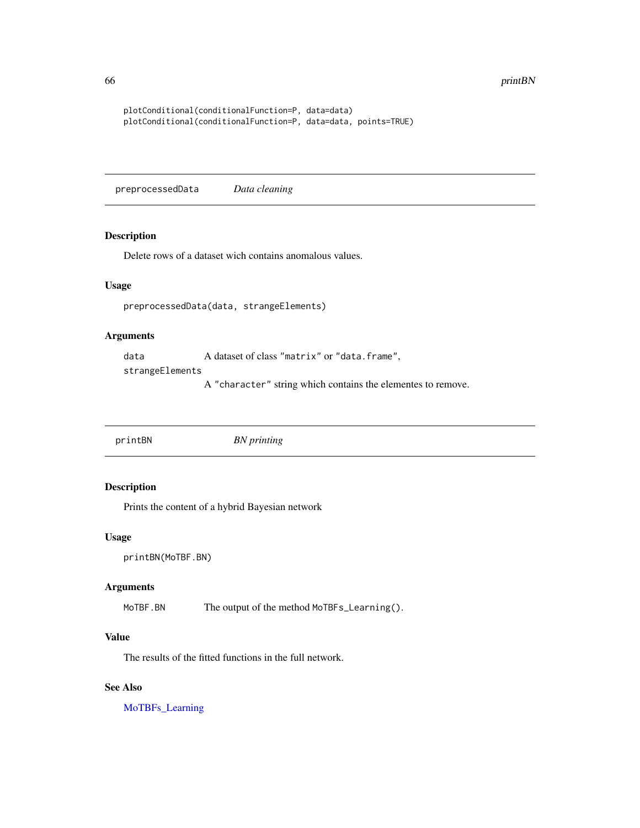66 printBN printBN printBN printBN printBN printBN printBN printBN printBN printBN printBN printBN printBN pri

```
plotConditional(conditionalFunction=P, data=data)
plotConditional(conditionalFunction=P, data=data, points=TRUE)
```
preprocessedData *Data cleaning*

# Description

Delete rows of a dataset wich contains anomalous values.

# Usage

preprocessedData(data, strangeElements)

# Arguments

data A dataset of class "matrix" or "data.frame",

strangeElements

A "character" string which contains the elementes to remove.

<span id="page-65-0"></span>printBN *BN printing*

# Description

Prints the content of a hybrid Bayesian network

## Usage

```
printBN(MoTBF.BN)
```
## Arguments

MoTBF.BN The output of the method MoTBFs\_Learning().

## Value

The results of the fitted functions in the full network.

## See Also

[MoTBFs\\_Learning](#page-53-0)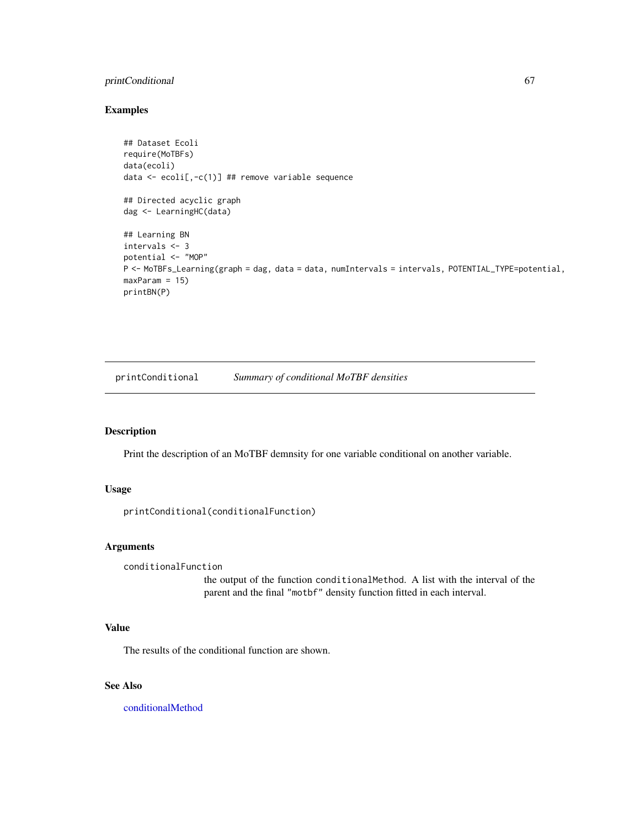# printConditional 67

# Examples

```
## Dataset Ecoli
require(MoTBFs)
data(ecoli)
data <- ecoli[,-c(1)] ## remove variable sequence
## Directed acyclic graph
dag <- LearningHC(data)
## Learning BN
intervals <- 3
potential <- "MOP"
P <- MoTBFs_Learning(graph = dag, data = data, numIntervals = intervals, POTENTIAL_TYPE=potential,
maxParam = 15)
printBN(P)
```
printConditional *Summary of conditional MoTBF densities*

# Description

Print the description of an MoTBF demnsity for one variable conditional on another variable.

# Usage

```
printConditional(conditionalFunction)
```
# Arguments

```
conditionalFunction
```
the output of the function conditionalMethod. A list with the interval of the parent and the final "motbf" density function fitted in each interval.

# Value

The results of the conditional function are shown.

# See Also

[conditionalMethod](#page-15-0)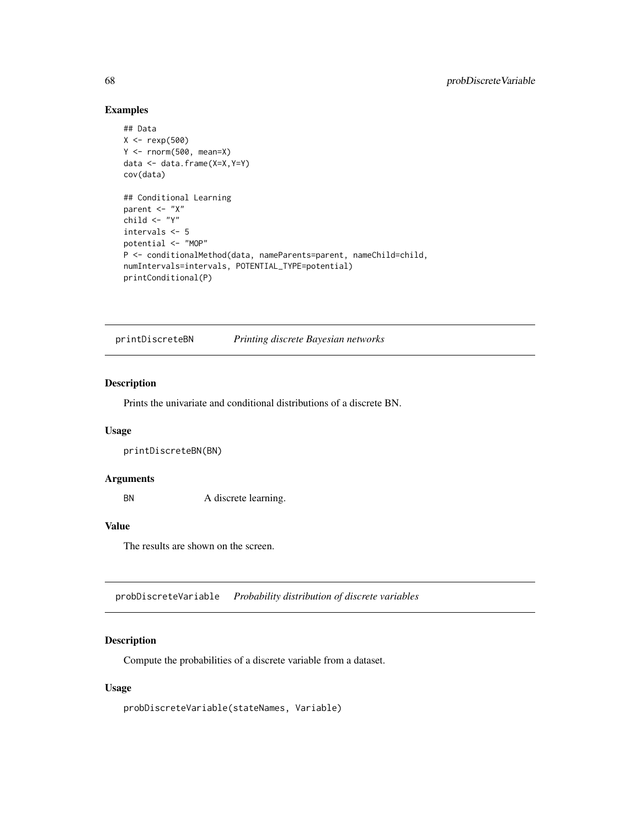# Examples

```
## Data
X < - rexp(500)
Y \le - rnorm(500, mean=X)
data <- data.frame(X=X,Y=Y)
cov(data)
## Conditional Learning
parent <- "X"
child \leftarrow "Y"intervals <- 5
potential <- "MOP"
P <- conditionalMethod(data, nameParents=parent, nameChild=child,
numIntervals=intervals, POTENTIAL_TYPE=potential)
printConditional(P)
```
printDiscreteBN *Printing discrete Bayesian networks*

#### Description

Prints the univariate and conditional distributions of a discrete BN.

# Usage

printDiscreteBN(BN)

#### Arguments

BN A discrete learning.

#### Value

The results are shown on the screen.

probDiscreteVariable *Probability distribution of discrete variables*

## Description

Compute the probabilities of a discrete variable from a dataset.

#### Usage

probDiscreteVariable(stateNames, Variable)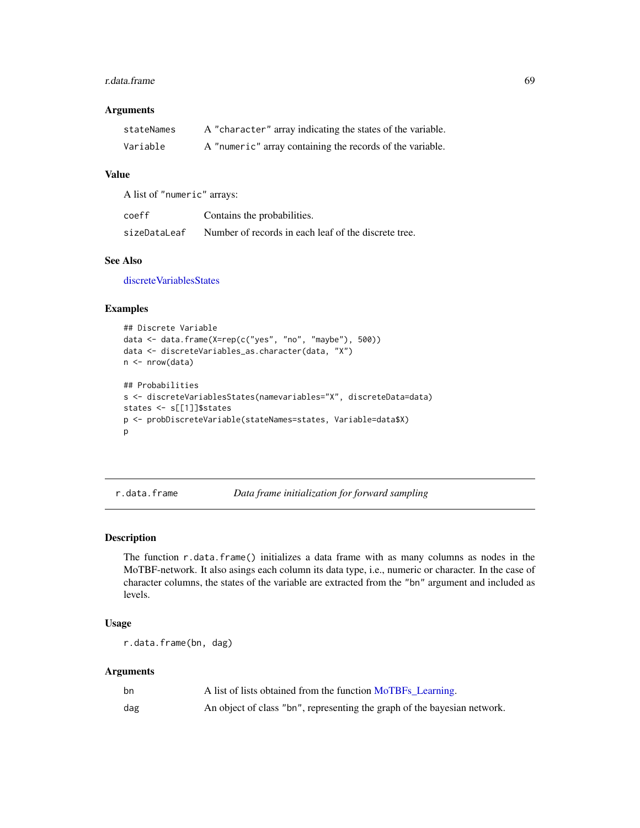#### r.data.frame 69

## Arguments

| stateNames | A "character" array indicating the states of the variable. |
|------------|------------------------------------------------------------|
| Variable   | A "numeric" array containing the records of the variable.  |

## Value

A list of "numeric" arrays:

| coeff        | Contains the probabilities.                          |
|--------------|------------------------------------------------------|
| sizeDataLeaf | Number of records in each leaf of the discrete tree. |

## See Also

[discreteVariablesStates](#page-18-0)

#### Examples

```
## Discrete Variable
data <- data.frame(X=rep(c("yes", "no", "maybe"), 500))
data <- discreteVariables_as.character(data, "X")
n <- nrow(data)
## Probabilities
s <- discreteVariablesStates(namevariables="X", discreteData=data)
states <- s[[1]]$states
p <- probDiscreteVariable(stateNames=states, Variable=data$X)
p
```
r.data.frame *Data frame initialization for forward sampling*

# Description

The function r.data.frame() initializes a data frame with as many columns as nodes in the MoTBF-network. It also asings each column its data type, i.e., numeric or character. In the case of character columns, the states of the variable are extracted from the "bn" argument and included as levels.

## Usage

```
r.data.frame(bn, dag)
```
#### Arguments

| bn  | A list of lists obtained from the function MoTBFs Learning.              |
|-----|--------------------------------------------------------------------------|
| dag | An object of class "bn", representing the graph of the bayesian network. |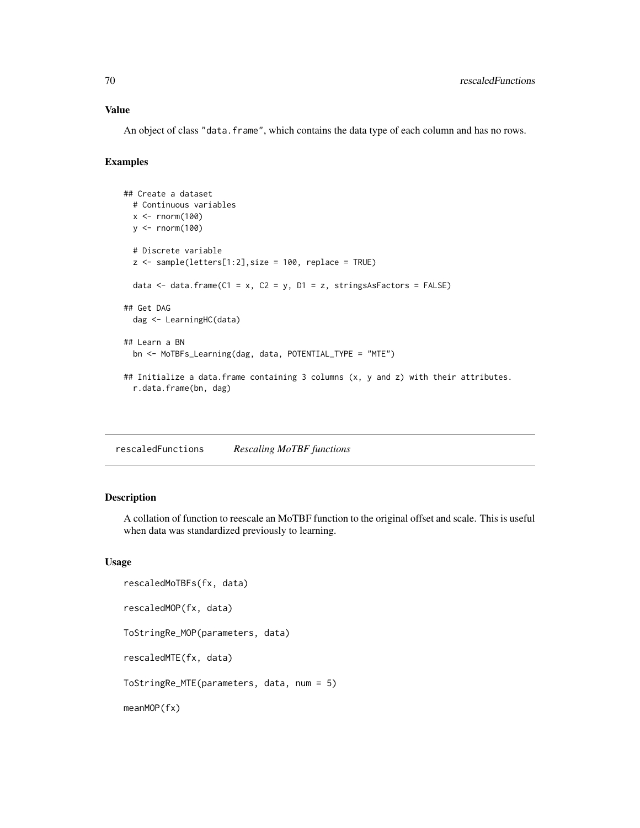## Value

An object of class "data. frame", which contains the data type of each column and has no rows.

#### Examples

```
## Create a dataset
 # Continuous variables
 x \le rnorm(100)
 y <- rnorm(100)
 # Discrete variable
 z <- sample(letters[1:2], size = 100, replace = TRUE)
 data \le data.frame(C1 = x, C2 = y, D1 = z, stringsAsFactors = FALSE)
## Get DAG
 dag <- LearningHC(data)
## Learn a BN
 bn <- MoTBFs_Learning(dag, data, POTENTIAL_TYPE = "MTE")
## Initialize a data.frame containing 3 columns (x, y and z) with their attributes.
 r.data.frame(bn, dag)
```
rescaledFunctions *Rescaling MoTBF functions*

# Description

A collation of function to reescale an MoTBF function to the original offset and scale. This is useful when data was standardized previously to learning.

#### Usage

```
rescaledMoTBFs(fx, data)
rescaledMOP(fx, data)
ToStringRe_MOP(parameters, data)
rescaledMTE(fx, data)
ToStringRe_MTE(parameters, data, num = 5)
meanMOP(fx)
```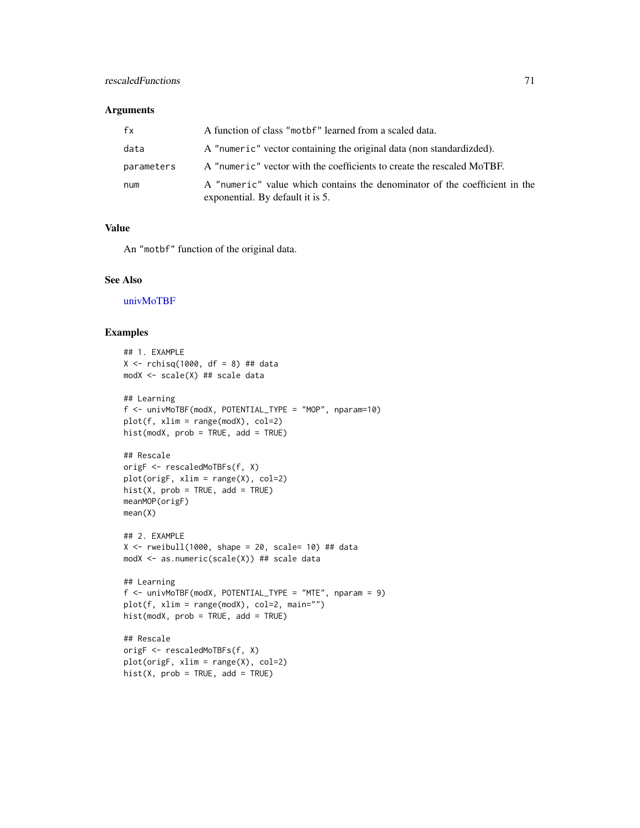## Arguments

| fx         | A function of class "motbf" learned from a scaled data.                                                        |
|------------|----------------------------------------------------------------------------------------------------------------|
| data       | A "numeric" vector containing the original data (non standardizded).                                           |
| parameters | A "numeric" vector with the coefficients to create the rescaled MoTBF.                                         |
| num        | A "numeric" value which contains the denominator of the coefficient in the<br>exponential. By default it is 5. |

# Value

An "motbf" function of the original data.

## See Also

[univMoTBF](#page-78-0)

```
## 1. EXAMPLE
X \le - rchisq(1000, df = 8) ## data
modX <- scale(X) ## scale data
## Learning
f <- univMoTBF(modX, POTENTIAL_TYPE = "MOP", nparam=10)
plot(f, xlim = range(modX), col=2)
hist(modX, prob = TRUE, add = TRUE)
## Rescale
origF <- rescaledMoTBFs(f, X)
plot(origF, xlim = range(X), col=2)
hist(X, prob = TRUE, add = TRUE)meanMOP(origF)
mean(X)
## 2. EXAMPLE
X \le rweibull(1000, shape = 20, scale= 10) ## data
modX <- as.numeric(scale(X)) ## scale data
## Learning
f <- univMoTBF(modX, POTENTIAL_TYPE = "MTE", nparam = 9)
plot(f, xlim = range(modX), col=2, main="")
hist(modX, prob = TRUE, add = TRUE)
## Rescale
origF <- rescaledMoTBFs(f, X)
plot(origF, xlim = range(X), col=2)
hist(X, prob = TRUE, add = TRUE)
```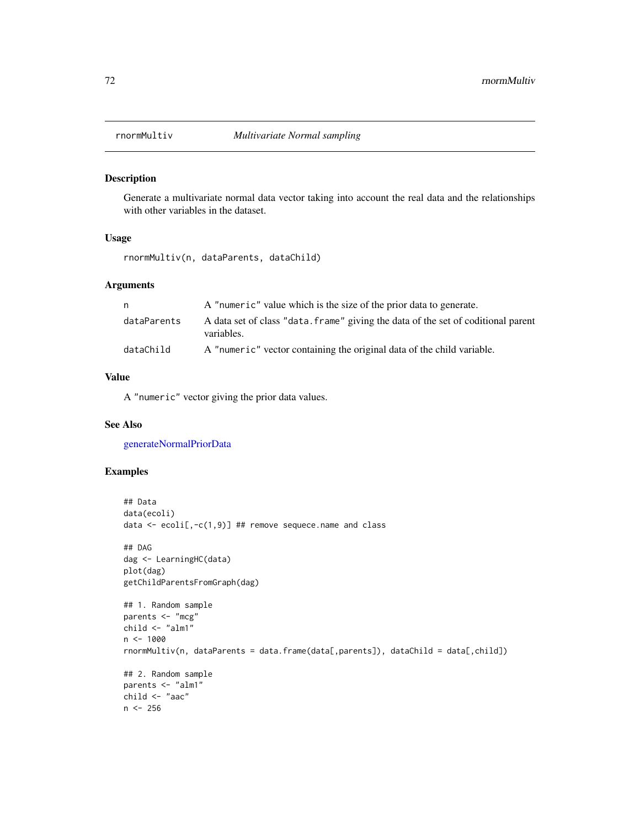## Description

Generate a multivariate normal data vector taking into account the real data and the relationships with other variables in the dataset.

# Usage

rnormMultiv(n, dataParents, dataChild)

## Arguments

| n.          | A "numeric" value which is the size of the prior data to generate.                              |
|-------------|-------------------------------------------------------------------------------------------------|
| dataParents | A data set of class "data. frame" giving the data of the set of coditional parent<br>variables. |
| dataChild   | A "numeric" vector containing the original data of the child variable.                          |

#### Value

A "numeric" vector giving the prior data values.

#### See Also

[generateNormalPriorData](#page-29-0)

```
## Data
data(ecoli)
data <- ecoli[,-c(1,9)] ## remove sequece.name and class
## DAG
dag <- LearningHC(data)
plot(dag)
getChildParentsFromGraph(dag)
## 1. Random sample
parents <- "mcg"
child \leq "alm1"n < - 1000rnormMultiv(n, dataParents = data.frame(data[,parents]), dataChild = data[,child])
## 2. Random sample
parents <- "alm1"
child <- "aac"
n < -256
```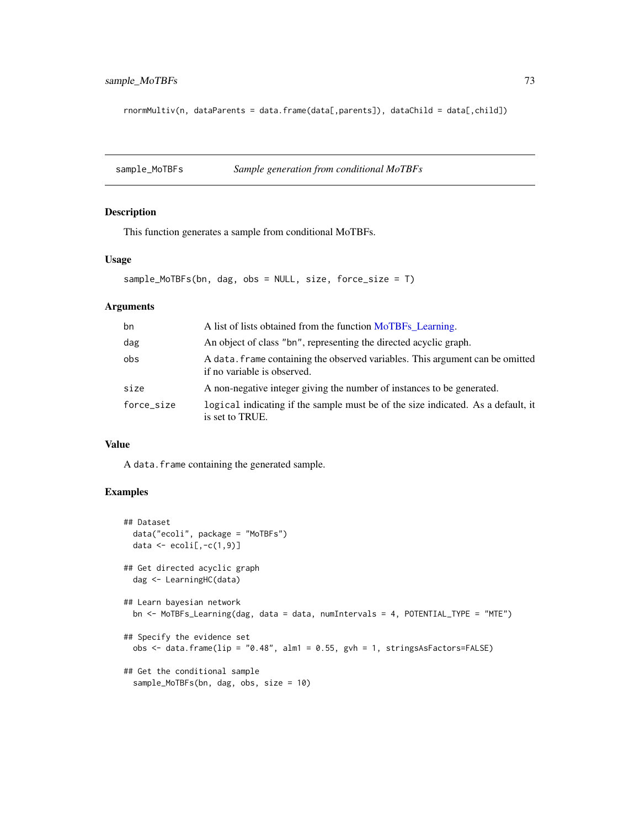<span id="page-72-0"></span>rnormMultiv(n, dataParents = data.frame(data[,parents]), dataChild = data[,child])

sample\_MoTBFs *Sample generation from conditional MoTBFs*

# Description

This function generates a sample from conditional MoTBFs.

#### Usage

```
sample_MoTBFs(bn, dag, obs = NULL, size, force_size = T)
```
# Arguments

| bn         | A list of lists obtained from the function MoTBFs Learning.                                                  |
|------------|--------------------------------------------------------------------------------------------------------------|
| dag        | An object of class "bn", representing the directed acyclic graph.                                            |
| obs        | A data. frame containing the observed variables. This argument can be omitted<br>if no variable is observed. |
| size       | A non-negative integer giving the number of instances to be generated.                                       |
| force size | logical indicating if the sample must be of the size indicated. As a default, it<br>is set to TRUE.          |

## Value

A data.frame containing the generated sample.

```
## Dataset
 data("ecoli", package = "MoTBFs")
 data \leq ecoli[,-c(1,9)]
## Get directed acyclic graph
 dag <- LearningHC(data)
## Learn bayesian network
 bn <- MoTBFs_Learning(dag, data = data, numIntervals = 4, POTENTIAL_TYPE = "MTE")
## Specify the evidence set
 obs <- data.frame(lip = "0.48", alm1 = 0.55, gvh = 1, stringsAsFactors=FALSE)
## Get the conditional sample
 sample_MoTBFs(bn, dag, obs, size = 10)
```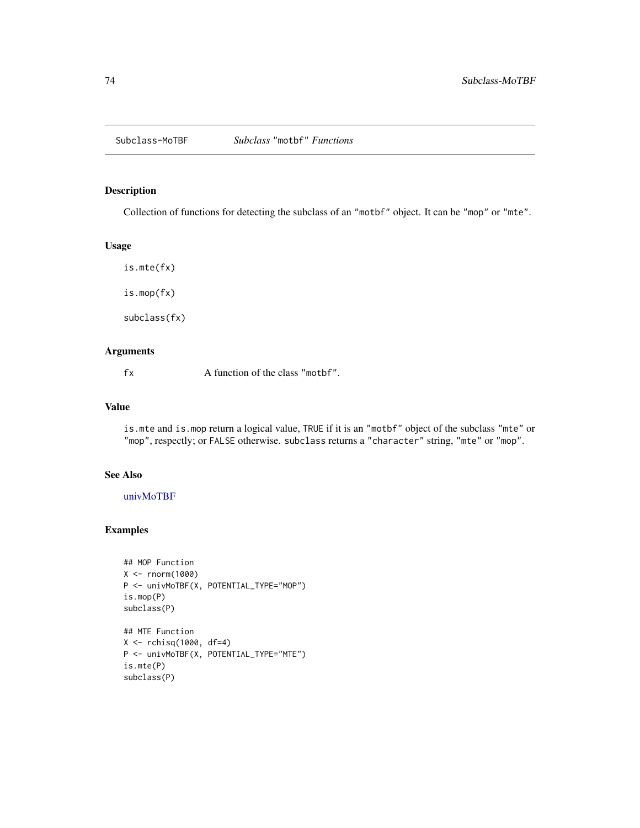<span id="page-73-0"></span>

# Description

Collection of functions for detecting the subclass of an "motbf" object. It can be "mop" or "mte".

#### Usage

is.mte(fx) is.mop(fx)

subclass(fx)

# Arguments

fx A function of the class "mother".

# Value

is.mte and is.mop return a logical value, TRUE if it is an "motbf" object of the subclass "mte" or "mop", respectly; or FALSE otherwise. subclass returns a "character" string, "mte" or "mop".

#### See Also

[univMoTBF](#page-78-0)

subclass(P)

```
## MOP Function
X <- rnorm(1000)
P <- univMoTBF(X, POTENTIAL_TYPE="MOP")
is.mop(P)
subclass(P)
## MTE Function
X <- rchisq(1000, df=4)
P <- univMoTBF(X, POTENTIAL_TYPE="MTE")
is.mte(P)
```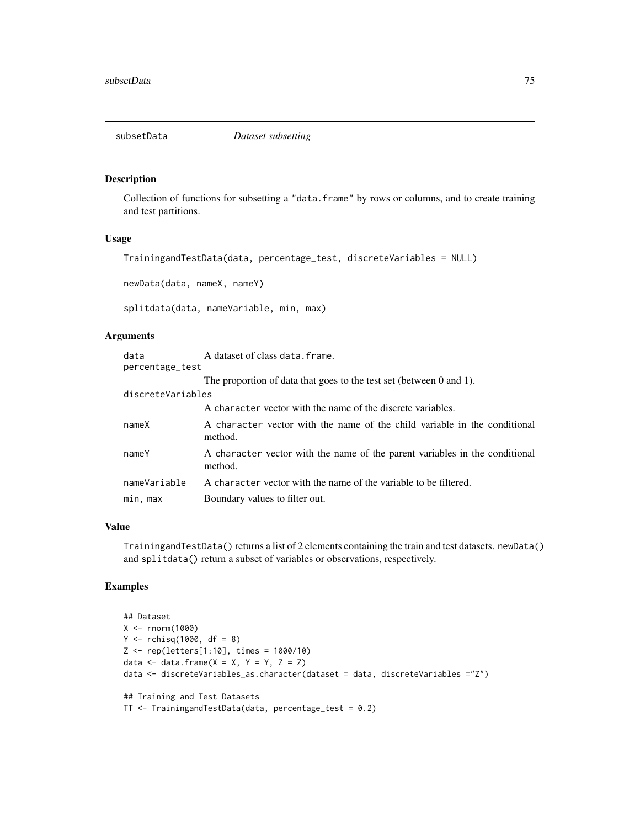<span id="page-74-0"></span>

#### Description

Collection of functions for subsetting a "data.frame" by rows or columns, and to create training and test partitions.

#### Usage

```
TrainingandTestData(data, percentage_test, discreteVariables = NULL)
```
newData(data, nameX, nameY)

splitdata(data, nameVariable, min, max)

#### Arguments

| data              | A dataset of class data. frame.                                                        |
|-------------------|----------------------------------------------------------------------------------------|
| percentage_test   |                                                                                        |
|                   | The proportion of data that goes to the test set (between $0$ and $1$ ).               |
| discreteVariables |                                                                                        |
|                   | A character vector with the name of the discrete variables.                            |
| nameX             | A character vector with the name of the child variable in the conditional<br>method.   |
| nameY             | A character vector with the name of the parent variables in the conditional<br>method. |
| nameVariable      | A character vector with the name of the variable to be filtered.                       |
| min, max          | Boundary values to filter out.                                                         |

#### Value

TrainingandTestData() returns a list of 2 elements containing the train and test datasets. newData() and splitdata() return a subset of variables or observations, respectively.

```
## Dataset
X <- rnorm(1000)
Y \le - rchisq(1000, df = 8)
Z <- rep(letters[1:10], times = 1000/10)
data \leq data.frame(X = X, Y = Y, Z = Z)
data <- discreteVariables_as.character(dataset = data, discreteVariables ="Z")
## Training and Test Datasets
TT < - TrainingandTestData(data, percentage_test = 0.2)
```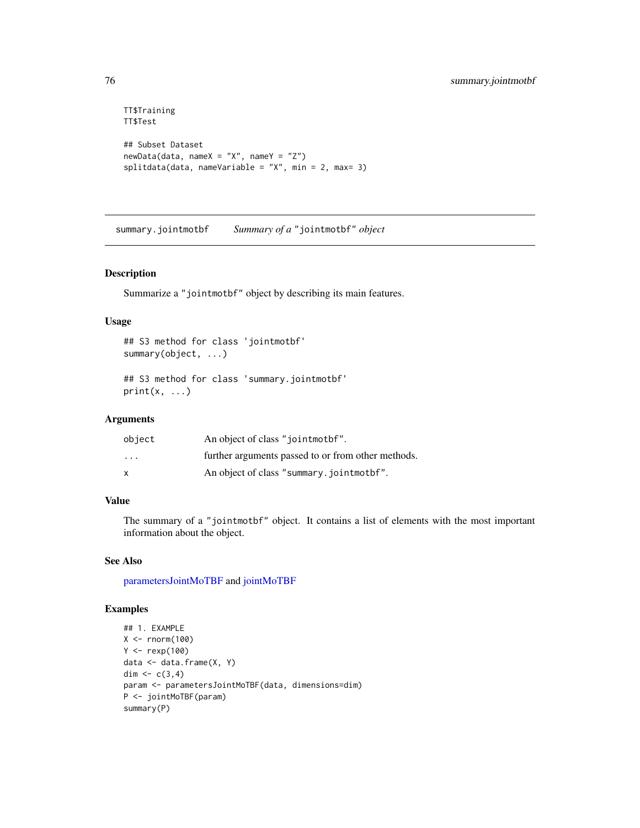```
TT$Training
TT$Test
## Subset Dataset
newData(data, nameX = "X", nameY = "Z")splitdata(data, nameVariable = "X", min = 2, max= 3)
```
summary.jointmotbf *Summary of a* "jointmotbf" *object*

#### Description

Summarize a "jointmotbf" object by describing its main features.

### Usage

```
## S3 method for class 'jointmotbf'
summary(object, ...)
```

```
## S3 method for class 'summary.jointmotbf'
print(x, \ldots)
```
# Arguments

| object                  | An object of class "jointmothet".                  |
|-------------------------|----------------------------------------------------|
| $\cdot$ $\cdot$ $\cdot$ | further arguments passed to or from other methods. |
| x                       | An object of class "summary.jointmothen".          |

# Value

The summary of a "jointmotbf" object. It contains a list of elements with the most important information about the object.

# See Also

[parametersJointMoTBF](#page-44-0) and [jointMoTBF](#page-44-0)

```
## 1. EXAMPLE
X < - rnorm(100)
Y < - rexp(100)
data <- data.frame(X, Y)
dim <- c(3, 4)param <- parametersJointMoTBF(data, dimensions=dim)
P <- jointMoTBF(param)
summary(P)
```
<span id="page-75-0"></span>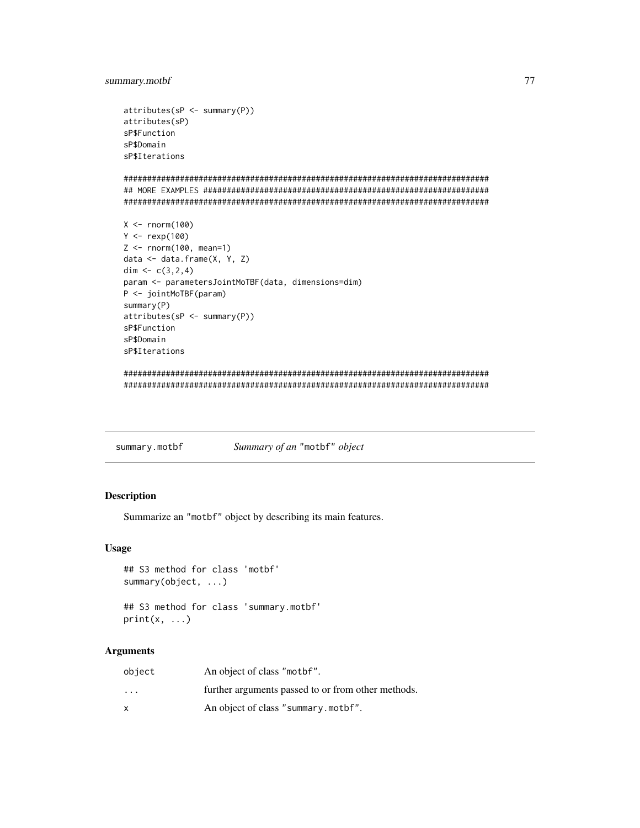# <span id="page-76-0"></span>summary.motbf 77

```
attributes(sP <- summary(P))
attributes(sP)
sP$Function
sP$Domain
sP$Iterations
##############################################################################
## MORE EXAMPLES #############################################################
##############################################################################
X < - rnorm(100)
Y <- rexp(100)
Z <- rnorm(100, mean=1)
data <- data.frame(X, Y, Z)
dim <-c(3,2,4)param <- parametersJointMoTBF(data, dimensions=dim)
P <- jointMoTBF(param)
summary(P)
attributes(sP <- summary(P))
sP$Function
sP$Domain
sP$Iterations
##############################################################################
```
##############################################################################

summary.motbf *Summary of an* "motbf" *object*

### Description

Summarize an "motbf" object by describing its main features.

#### Usage

```
## S3 method for class 'motbf'
summary(object, ...)
```

```
## S3 method for class 'summary.motbf'
print(x, \ldots)
```
#### Arguments

| object                  | An object of class "motbf".                        |
|-------------------------|----------------------------------------------------|
| $\cdot$ $\cdot$ $\cdot$ | further arguments passed to or from other methods. |
|                         | An object of class "summary.mothet".               |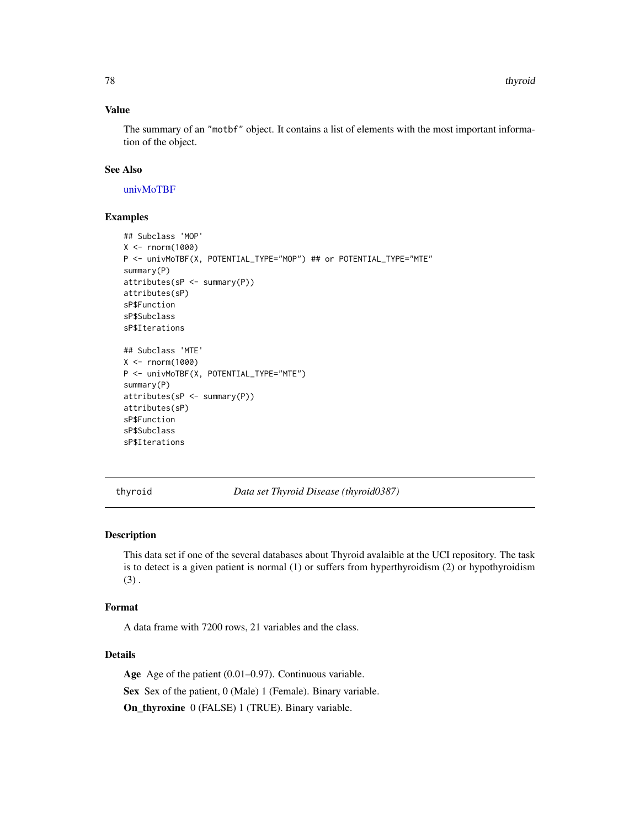# <span id="page-77-0"></span>Value

The summary of an "motbf" object. It contains a list of elements with the most important information of the object.

#### See Also

[univMoTBF](#page-78-0)

### Examples

```
## Subclass 'MOP'
X < - rnorm(1000)
P <- univMoTBF(X, POTENTIAL_TYPE="MOP") ## or POTENTIAL_TYPE="MTE"
summary(P)
attributes(sP <- summary(P))
attributes(sP)
sP$Function
sP$Subclass
sP$Iterations
## Subclass 'MTE'
X < - rnorm(1000)
P <- univMoTBF(X, POTENTIAL_TYPE="MTE")
summary(P)
attributes(sP <- summary(P))
attributes(sP)
sP$Function
sP$Subclass
sP$Iterations
```
thyroid *Data set Thyroid Disease (thyroid0387)*

# **Description**

This data set if one of the several databases about Thyroid avalaible at the UCI repository. The task is to detect is a given patient is normal (1) or suffers from hyperthyroidism (2) or hypothyroidism  $(3)$ .

#### Format

A data frame with 7200 rows, 21 variables and the class.

# Details

Age Age of the patient (0.01–0.97). Continuous variable.

Sex Sex of the patient, 0 (Male) 1 (Female). Binary variable.

On\_thyroxine 0 (FALSE) 1 (TRUE). Binary variable.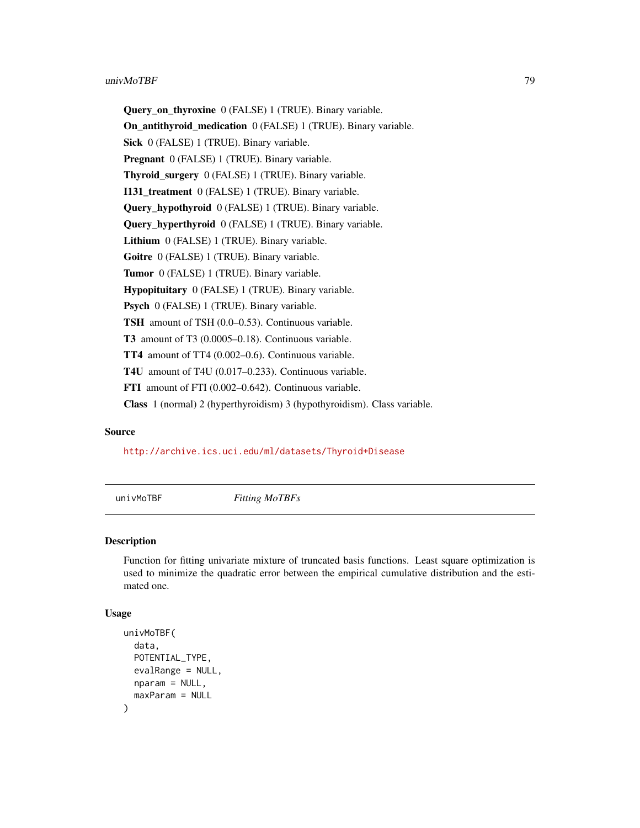#### <span id="page-78-1"></span>univMoTBF  $\sim$  79

Query\_on\_thyroxine 0 (FALSE) 1 (TRUE). Binary variable. On\_antithyroid\_medication 0 (FALSE) 1 (TRUE). Binary variable. Sick 0 (FALSE) 1 (TRUE). Binary variable. Pregnant 0 (FALSE) 1 (TRUE). Binary variable. Thyroid\_surgery 0 (FALSE) 1 (TRUE). Binary variable. I131\_treatment 0 (FALSE) 1 (TRUE). Binary variable. Query\_hypothyroid 0 (FALSE) 1 (TRUE). Binary variable. Query\_hyperthyroid 0 (FALSE) 1 (TRUE). Binary variable. Lithium 0 (FALSE) 1 (TRUE). Binary variable. Goitre 0 (FALSE) 1 (TRUE). Binary variable. Tumor 0 (FALSE) 1 (TRUE). Binary variable. Hypopituitary 0 (FALSE) 1 (TRUE). Binary variable. Psych 0 (FALSE) 1 (TRUE). Binary variable. TSH amount of TSH (0.0–0.53). Continuous variable. T3 amount of T3 (0.0005–0.18). Continuous variable. TT4 amount of TT4 (0.002–0.6). Continuous variable. T4U amount of T4U (0.017–0.233). Continuous variable. FTI amount of FTI (0.002–0.642). Continuous variable. Class 1 (normal) 2 (hyperthyroidism) 3 (hypothyroidism). Class variable.

#### Source

#### <http://archive.ics.uci.edu/ml/datasets/Thyroid+Disease>

<span id="page-78-0"></span>

univMoTBF *Fitting MoTBFs*

# **Description**

Function for fitting univariate mixture of truncated basis functions. Least square optimization is used to minimize the quadratic error between the empirical cumulative distribution and the estimated one.

#### Usage

```
univMoTBF(
  data,
 POTENTIAL_TYPE,
  evalRange = NULL,
 nparam = NULL,
  maxParam = NULL
)
```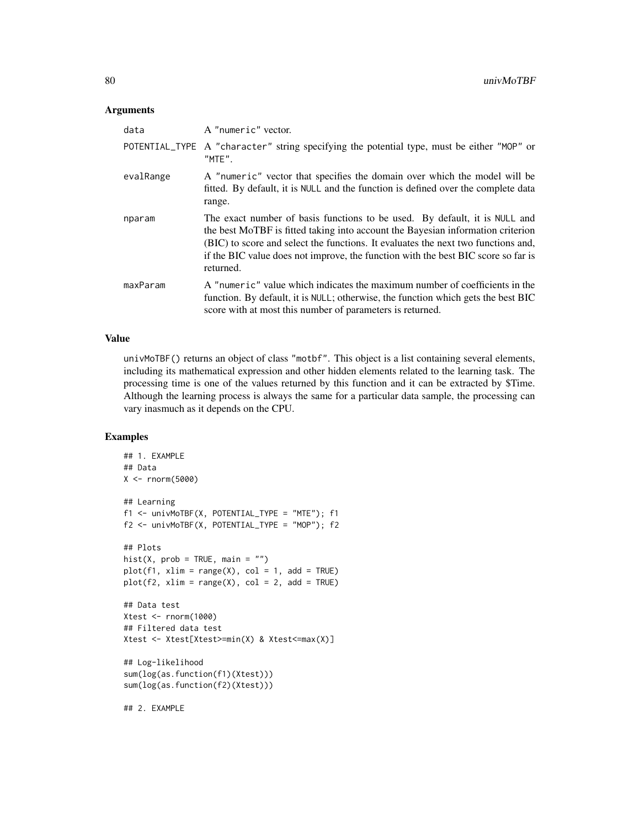#### **Arguments**

| data      | A "numeric" vector.                                                                                                                                                                                                                                                                                                                                  |
|-----------|------------------------------------------------------------------------------------------------------------------------------------------------------------------------------------------------------------------------------------------------------------------------------------------------------------------------------------------------------|
|           | POTENTIAL_TYPE A "character" string specifying the potential type, must be either "MOP" or<br>$"$ MTE $"$ .                                                                                                                                                                                                                                          |
| evalRange | A "numeric" vector that specifies the domain over which the model will be<br>fitted. By default, it is NULL and the function is defined over the complete data<br>range.                                                                                                                                                                             |
| nparam    | The exact number of basis functions to be used. By default, it is NULL and<br>the best MoTBF is fitted taking into account the Bayesian information criterion<br>(BIC) to score and select the functions. It evaluates the next two functions and,<br>if the BIC value does not improve, the function with the best BIC score so far is<br>returned. |
| maxParam  | A "numeric" value which indicates the maximum number of coefficients in the<br>function. By default, it is NULL; otherwise, the function which gets the best BIC<br>score with at most this number of parameters is returned.                                                                                                                        |

### Value

univMoTBF() returns an object of class "motbf". This object is a list containing several elements, including its mathematical expression and other hidden elements related to the learning task. The processing time is one of the values returned by this function and it can be extracted by \$Time. Although the learning process is always the same for a particular data sample, the processing can vary inasmuch as it depends on the CPU.

```
## 1. EXAMPLE
## Data
X <- rnorm(5000)
## Learning
f1 <- univMoTBF(X, POTENTIAL_TYPE = "MTE"); f1
f2 <- univMoTBF(X, POTENTIAL_TYPE = "MOP"); f2
## Plots
hist(X, prob = TRUE, main = "")
plot(f1, xlim = range(X), col = 1, add = TRUE)plot(f2, xlim = range(X), col = 2, add = TRUE)## Data test
Xtest <- rnorm(1000)
## Filtered data test
Xtest <- Xtest[Xtest>=min(X) & Xtest<=max(X)]
## Log-likelihood
sum(log(as.function(f1)(Xtest)))
sum(log(as.function(f2)(Xtest)))
## 2. EXAMPLE
```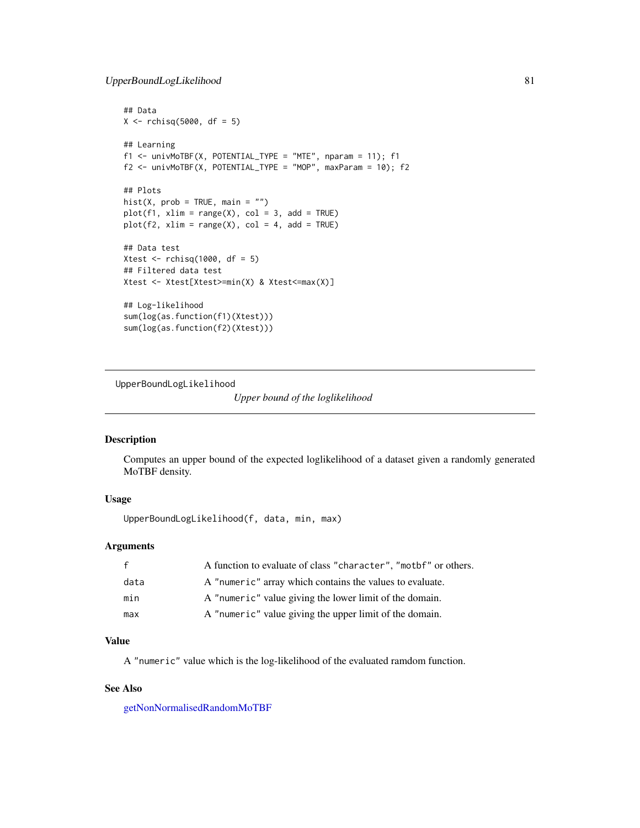```
## Data
X \leftarrow rchisq(5000, df = 5)
## Learning
f1 \le - univMoTBF(X, POTENTIAL_TYPE = "MTE", nparam = 11); f1f2 \le - univMoTBF(X, POTENTIAL_TYPE = "MOP", maxParam = 10); f2## Plots
hist(X, prob = TRUE, main = "")
plot(f1, xlim = range(X), col = 3, add = TRUE)plot(f2, xlim = range(X), col = 4, add = TRUE)
## Data test
Xtest \le rchisq(1000, df = 5)
## Filtered data test
Xtest <- Xtest[Xtest>=min(X) & Xtest<=max(X)]
## Log-likelihood
sum(log(as.function(f1)(Xtest)))
sum(log(as.function(f2)(Xtest)))
```
UpperBoundLogLikelihood

*Upper bound of the loglikelihood*

#### Description

Computes an upper bound of the expected loglikelihood of a dataset given a randomly generated MoTBF density.

#### Usage

UpperBoundLogLikelihood(f, data, min, max)

#### Arguments

| $\mathbf{f}$ | A function to evaluate of class "character", "mother" or others. |
|--------------|------------------------------------------------------------------|
| data         | A "numeric" array which contains the values to evaluate.         |
| min          | A "numeric" value giving the lower limit of the domain.          |
| max          | A "numeric" value giving the upper limit of the domain.          |

# Value

A "numeric" value which is the log-likelihood of the evaluated ramdom function.

# See Also

[getNonNormalisedRandomMoTBF](#page-33-0)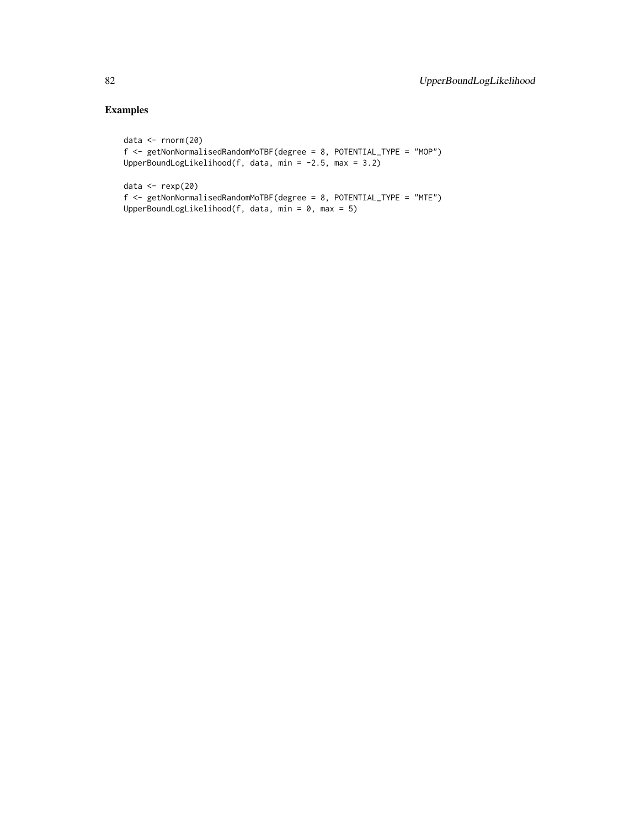```
data <- rnorm(20)
f <- getNonNormalisedRandomMoTBF(degree = 8, POTENTIAL_TYPE = "MOP")
UpperBoundLogLikelihood(f, data, min = -2.5, max = 3.2)
data <- rexp(20)
```

```
f <- getNonNormalisedRandomMoTBF(degree = 8, POTENTIAL_TYPE = "MTE")
UpperBoundLogLikelihood(f, data, min = 0, max = 5)
```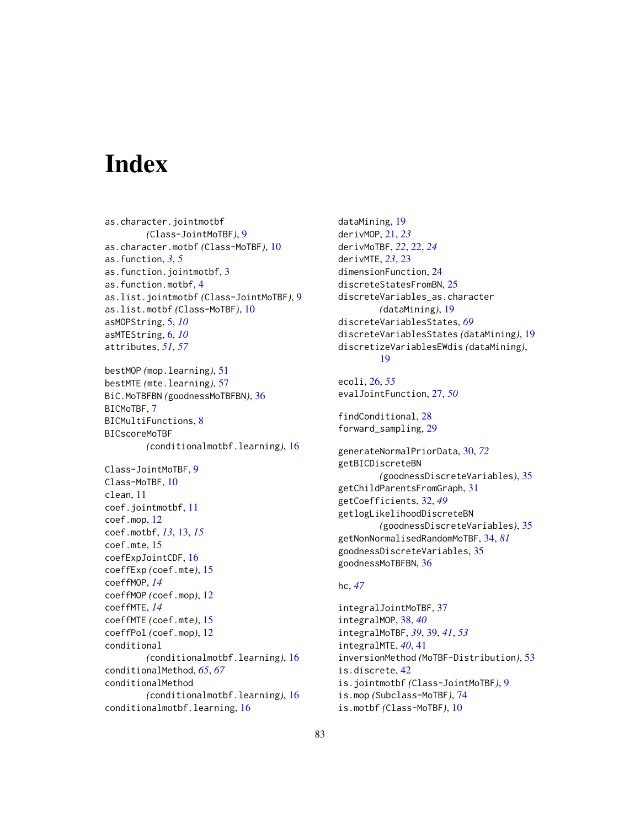# **Index**

as.character.jointmotbf *(*Class-JointMoTBF*)*, [9](#page-8-0) as.character.motbf *(*Class-MoTBF*)*, [10](#page-9-0) as.function, *[3](#page-2-0)*, *[5](#page-4-0)* as.function.jointmotbf, [3](#page-2-0) as.function.motbf, [4](#page-3-0) as.list.jointmotbf *(*Class-JointMoTBF*)*, [9](#page-8-0) as.list.motbf *(*Class-MoTBF*)*, [10](#page-9-0) asMOPString, [5,](#page-4-0) *[10](#page-9-0)* asMTEString, [6,](#page-5-0) *[10](#page-9-0)* attributes, *[51](#page-50-0)*, *[57](#page-56-0)*

bestMOP *(*mop.learning*)*, [51](#page-50-0) bestMTE *(*mte.learning*)*, [57](#page-56-0) BiC.MoTBFBN *(*goodnessMoTBFBN*)*, [36](#page-35-0) BICMoTBF, [7](#page-6-0) BICMultiFunctions, [8](#page-7-0) BICscoreMoTBF *(*conditionalmotbf.learning*)*, [16](#page-15-0)

Class-JointMoTBF, [9](#page-8-0) Class-MoTBF, [10](#page-9-0) clean, [11](#page-10-0) coef.jointmotbf, [11](#page-10-0) coef.mop, [12](#page-11-0) coef.motbf, *[13](#page-12-0)*, [13,](#page-12-0) *[15](#page-14-0)* coef.mte, [15](#page-14-0) coefExpJointCDF, [16](#page-15-0) coeffExp *(*coef.mte*)*, [15](#page-14-0) coeffMOP, *[14](#page-13-0)* coeffMOP *(*coef.mop*)*, [12](#page-11-0) coeffMTE, *[14](#page-13-0)* coeffMTE *(*coef.mte*)*, [15](#page-14-0) coeffPol *(*coef.mop*)*, [12](#page-11-0) conditional *(*conditionalmotbf.learning*)*, [16](#page-15-0) conditionalMethod, *[65](#page-64-0)*, *[67](#page-66-0)* conditionalMethod *(*conditionalmotbf.learning*)*, [16](#page-15-0) conditionalmotbf.learning, [16](#page-15-0)

dataMining, [19](#page-18-0) derivMOP, [21,](#page-20-0) *[23](#page-22-0)* derivMoTBF, *[22](#page-21-0)*, [22,](#page-21-0) *[24](#page-23-0)* derivMTE, *[23](#page-22-0)*, [23](#page-22-0) dimensionFunction, [24](#page-23-0) discreteStatesFromBN, [25](#page-24-0) discreteVariables\_as.character *(*dataMining*)*, [19](#page-18-0) discreteVariablesStates, *[69](#page-68-0)* discreteVariablesStates *(*dataMining*)*, [19](#page-18-0) discretizeVariablesEWdis *(*dataMining*)*, [19](#page-18-0)

# ecoli, [26,](#page-25-0) *[55](#page-54-0)* evalJointFunction, [27,](#page-26-0) *[50](#page-49-0)*

findConditional, [28](#page-27-0) forward\_sampling, [29](#page-28-0)

generateNormalPriorData, [30,](#page-29-0) *[72](#page-71-0)* getBICDiscreteBN *(*goodnessDiscreteVariables*)*, [35](#page-34-0) getChildParentsFromGraph, [31](#page-30-0) getCoefficients, [32,](#page-31-0) *[49](#page-48-0)* getlogLikelihoodDiscreteBN *(*goodnessDiscreteVariables*)*, [35](#page-34-0) getNonNormalisedRandomMoTBF, [34,](#page-33-1) *[81](#page-80-0)* goodnessDiscreteVariables, [35](#page-34-0) goodnessMoTBFBN, [36](#page-35-0)

#### hc, *[47](#page-46-0)*

integralJointMoTBF, [37](#page-36-0) integralMOP, [38,](#page-37-0) *[40](#page-39-0)* integralMoTBF, *[39](#page-38-0)*, [39,](#page-38-0) *[41](#page-40-0)*, *[53](#page-52-0)* integralMTE, *[40](#page-39-0)*, [41](#page-40-0) inversionMethod *(*MoTBF-Distribution*)*, [53](#page-52-0) is.discrete, [42](#page-41-0) is.jointmotbf *(*Class-JointMoTBF*)*, [9](#page-8-0) is.mop *(*Subclass-MoTBF*)*, [74](#page-73-0) is.motbf *(*Class-MoTBF*)*, [10](#page-9-0)